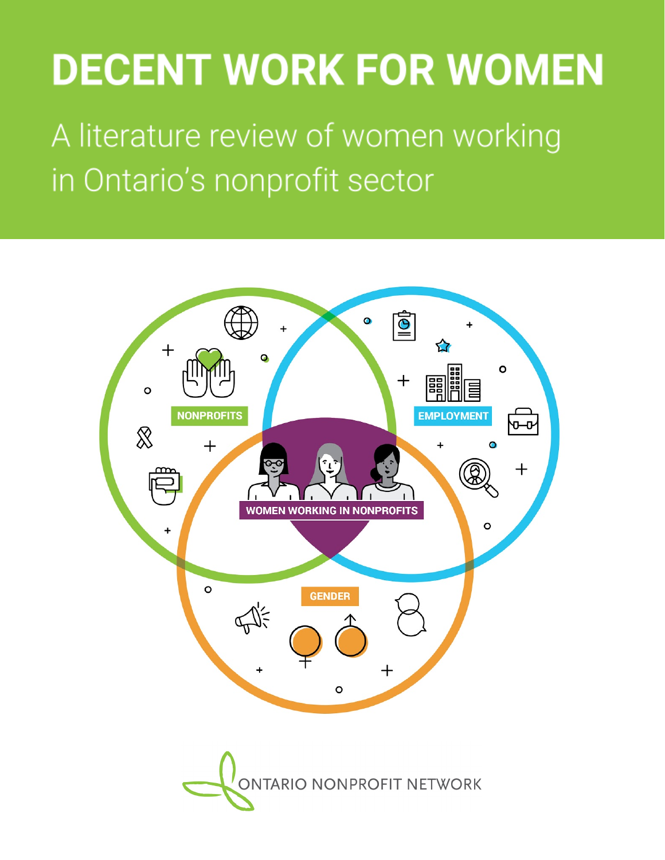# **DECENT WORK FOR WOMEN**

A literature review of women working in Ontario's nonprofit sector

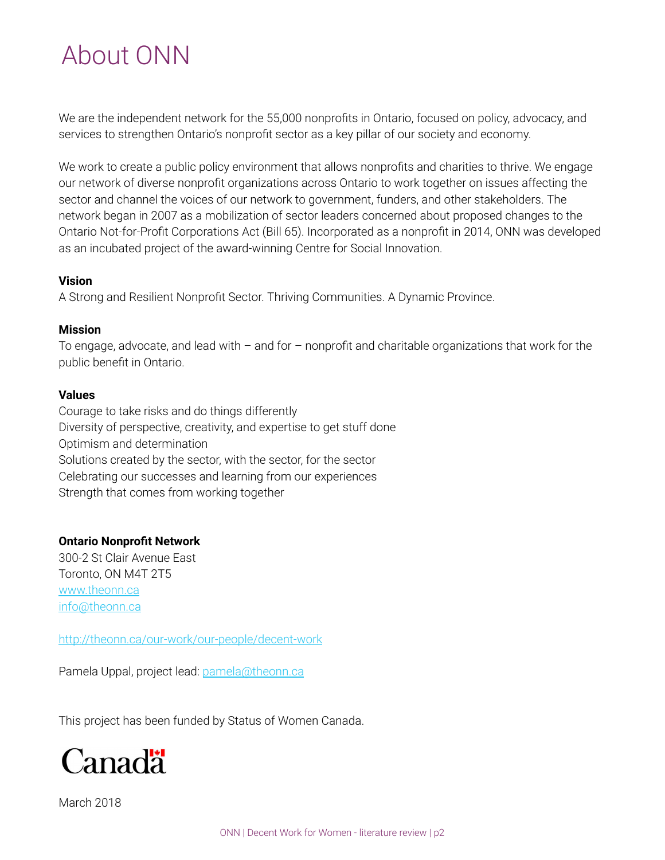## About ONN

We are the independent network for the 55,000 nonprofits in Ontario, focused on policy, advocacy, and services to strengthen Ontario's nonprofit sector as a key pillar of our society and economy.

We work to create a public policy environment that allows nonprofits and charities to thrive. We engage our network of diverse nonprofit organizations across Ontario to work together on issues affecting the sector and channel the voices of our network to government, funders, and other stakeholders. The network began in 2007 as a mobilization of sector leaders concerned about proposed changes to the Ontario Not-for-Profit Corporations Act (Bill 65). Incorporated as a nonprofit in 2014, ONN was developed as an incubated project of the award-winning Centre for Social Innovation.

#### **Vision**

A Strong and Resilient Nonprofit Sector. Thriving Communities. A Dynamic Province.

#### **Mission**

To engage, advocate, and lead with  $-$  and for  $-$  nonprofit and charitable organizations that work for the public benefit in Ontario.

#### **Values**

Courage to take risks and do things differently Diversity of perspective, creativity, and expertise to get stuff done Optimism and determination Solutions created by the sector, with the sector, for the sector Celebrating our successes and learning from our experiences Strength that comes from working together

#### **Ontario Nonprofit Network**

300-2 St Clair Avenue East Toronto, ON M4T 2T5 [www.theonn.ca](http://www.theonn.ca/) [info@theonn.ca](mailto:info@theonn.ca)

[http://theonn.ca/our-work/our-people/decent-work](https://theonn.ca/our-work/our-people/decent-work/)

Pamela Uppal, project lead: [pamela@theonn.ca](mailto:pamela@theonn.ca)

This project has been funded by Status of Women Canada.

![](_page_1_Picture_14.jpeg)

March 2018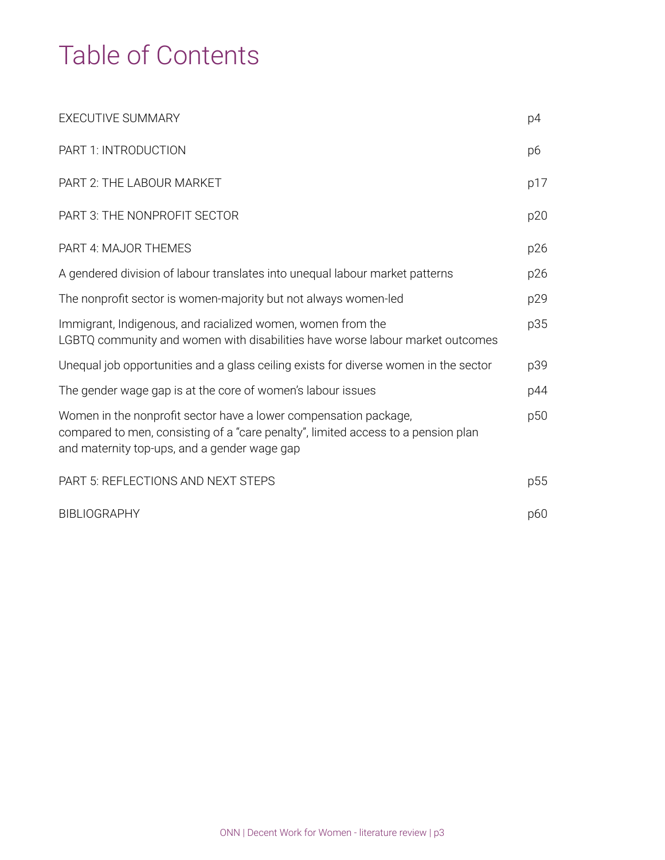## Table of Contents

| EXECUTIVE SUMMARY                                                                                                                                                                                     | p4  |
|-------------------------------------------------------------------------------------------------------------------------------------------------------------------------------------------------------|-----|
| PART 1: INTRODUCTION                                                                                                                                                                                  | p6  |
| PART 2: THE LABOUR MARKET                                                                                                                                                                             | p17 |
| PART 3: THE NONPROFIT SECTOR                                                                                                                                                                          | p20 |
| PART 4: MAJOR THEMES                                                                                                                                                                                  | p26 |
| A gendered division of labour translates into unequal labour market patterns                                                                                                                          | p26 |
| The nonprofit sector is women-majority but not always women-led                                                                                                                                       | p29 |
| Immigrant, Indigenous, and racialized women, women from the<br>LGBTQ community and women with disabilities have worse labour market outcomes                                                          | p35 |
| Unequal job opportunities and a glass ceiling exists for diverse women in the sector                                                                                                                  | p39 |
| The gender wage gap is at the core of women's labour issues                                                                                                                                           | p44 |
| Women in the nonprofit sector have a lower compensation package,<br>compared to men, consisting of a "care penalty", limited access to a pension plan<br>and maternity top-ups, and a gender wage gap | p50 |
| PART 5: REFLECTIONS AND NEXT STEPS                                                                                                                                                                    | p55 |
| <b>BIBLIOGRAPHY</b>                                                                                                                                                                                   | p60 |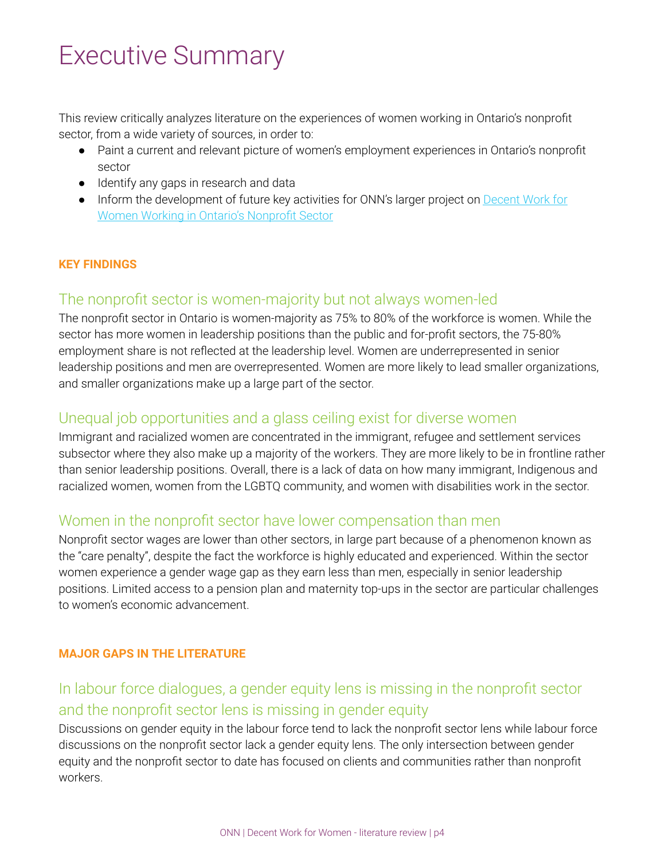## Executive Summary

This review critically analyzes literature on the experiences of women working in Ontario's nonprofit sector, from a wide variety of sources, in order to:

- Paint a current and relevant picture of women's employment experiences in Ontario's nonprofit sector
- Identify any gaps in research and data
- Inform the development of future key activities for ONN's larger project on [Decent](https://theonn.ca/our-work/our-people/decent-work/) Work for [Women Working](https://theonn.ca/our-work/our-people/decent-work/) in Ontario's Nonprofit Sector

### **KEY FINDINGS**

## The nonprofit sector is women-majority but not always women-led

The nonprofit sector in Ontario is women-majority as 75% to 80% of the workforce is women. While the sector has more women in leadership positions than the public and for-profit sectors, the 75-80% employment share is not reflected at the leadership level. Women are underrepresented in senior leadership positions and men are overrepresented. Women are more likely to lead smaller organizations, and smaller organizations make up a large part of the sector.

## Unequal job opportunities and a glass ceiling exist for diverse women

Immigrant and racialized women are concentrated in the immigrant, refugee and settlement services subsector where they also make up a majority of the workers. They are more likely to be in frontline rather than senior leadership positions. Overall, there is a lack of data on how many immigrant, Indigenous and racialized women, women from the LGBTQ community, and women with disabilities work in the sector.

## Women in the nonprofit sector have lower compensation than men

Nonprofit sector wages are lower than other sectors, in large part because of a phenomenon known as the "care penalty", despite the fact the workforce is highly educated and experienced. Within the sector women experience a gender wage gap as they earn less than men, especially in senior leadership positions. Limited access to a pension plan and maternity top-ups in the sector are particular challenges to women's economic advancement.

### **MAJOR GAPS IN THE LITERATURE**

## In labour force dialogues, a gender equity lens is missing in the nonprofit sector and the nonprofit sector lens is missing in gender equity

Discussions on gender equity in the labour force tend to lack the nonprofit sector lens while labour force discussions on the nonprofit sector lack a gender equity lens. The only intersection between gender equity and the nonprofit sector to date has focused on clients and communities rather than nonprofit workers.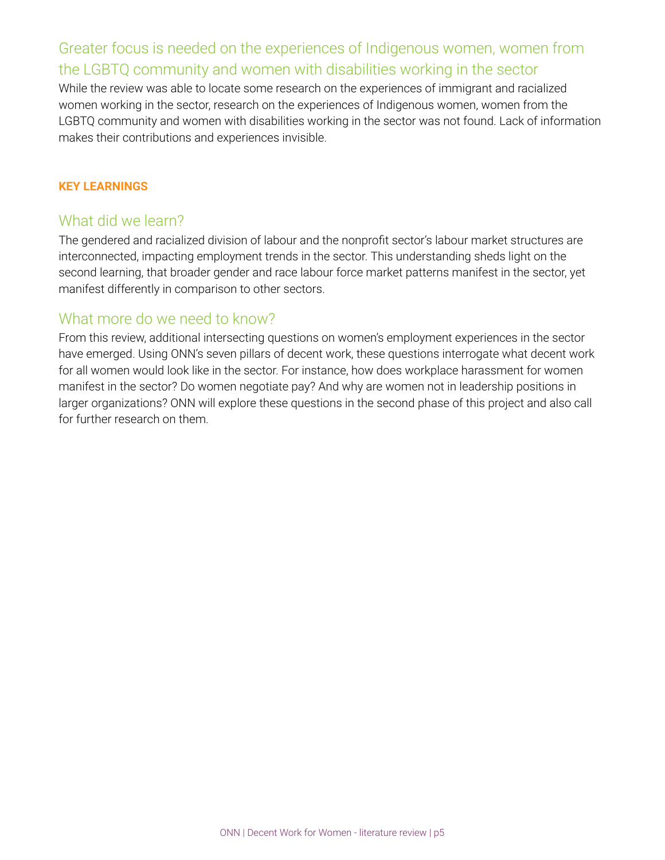## Greater focus is needed on the experiences of Indigenous women, women from the LGBTQ community and women with disabilities working in the sector

While the review was able to locate some research on the experiences of immigrant and racialized women working in the sector, research on the experiences of Indigenous women, women from the LGBTQ community and women with disabilities working in the sector was not found. Lack of information makes their contributions and experiences invisible.

#### **KEY LEARNINGS**

### What did we learn?

The gendered and racialized division of labour and the nonprofit sector's labour market structures are interconnected, impacting employment trends in the sector. This understanding sheds light on the second learning, that broader gender and race labour force market patterns manifest in the sector, yet manifest differently in comparison to other sectors.

### What more do we need to know?

From this review, additional intersecting questions on women's employment experiences in the sector have emerged. Using ONN's seven pillars of decent work, these questions interrogate what decent work for all women would look like in the sector. For instance, how does workplace harassment for women manifest in the sector? Do women negotiate pay? And why are women not in leadership positions in larger organizations? ONN will explore these questions in the second phase of this project and also call for further research on them.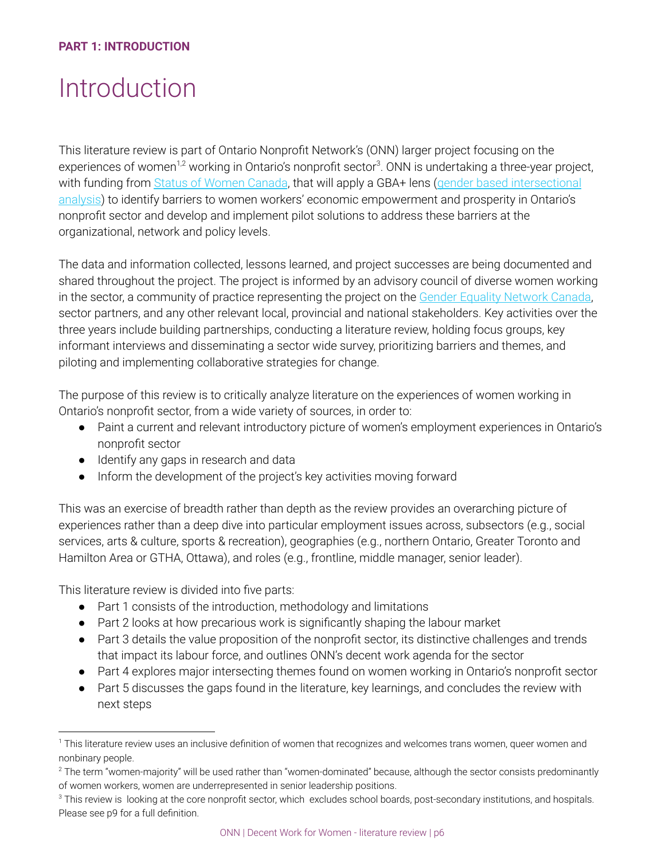## Introduction

This literature review is part of Ontario Nonprofit Network's (ONN) larger project focusing on the experiences of women<sup>1,2</sup> working in Ontario's nonprofit sector<sup>3</sup>. ONN is undertaking a three-year project, with funding from Status of [Women Canada](http://www.swc-cfc.gc.ca/index-en.html), that will apply a GBA+ lens (gender based [intersectional](http://www.swc-cfc.gc.ca/gba-acs/guide-en.html) [analysis](http://www.swc-cfc.gc.ca/gba-acs/guide-en.html)) to identify barriers to women workers' economic empowerment and prosperity in Ontario's nonprofit sector and develop and implement pilot solutions to address these barriers at the organizational, network and policy levels.

The data and information collected, lessons learned, and project successes are being documented and shared throughout the project. The project is informed by an advisory council of diverse women working in the sector, a community of practice representing the project on the Gender Equality [Network](https://www.canadianwomen.org/our-work/gender-equality-network-canada/) Canada, sector partners, and any other relevant local, provincial and national stakeholders. Key activities over the three years include building partnerships, conducting a literature review, holding focus groups, key informant interviews and disseminating a sector wide survey, prioritizing barriers and themes, and piloting and implementing collaborative strategies for change.

The purpose of this review is to critically analyze literature on the experiences of women working in Ontario's nonprofit sector, from a wide variety of sources, in order to:

- Paint a current and relevant introductory picture of women's employment experiences in Ontario's nonprofit sector
- Identify any gaps in research and data
- Inform the development of the project's key activities moving forward

This was an exercise of breadth rather than depth as the review provides an overarching picture of experiences rather than a deep dive into particular employment issues across, subsectors (e.g., social services, arts & culture, sports & recreation), geographies (e.g., northern Ontario, Greater Toronto and Hamilton Area or GTHA, Ottawa), and roles (e.g., frontline, middle manager, senior leader).

This literature review is divided into five parts:

- Part 1 consists of the introduction, methodology and limitations
- Part 2 looks at how precarious work is significantly shaping the labour market
- Part 3 details the value proposition of the nonprofit sector, its distinctive challenges and trends that impact its labour force, and outlines ONN's decent work agenda for the sector
- Part 4 explores major intersecting themes found on women working in Ontario's nonprofit sector
- Part 5 discusses the gaps found in the literature, key learnings, and concludes the review with next steps

<sup>&</sup>lt;sup>1</sup> This literature review uses an inclusive definition of women that recognizes and welcomes trans women, queer women and nonbinary people.

 $^2$  The term "women-majority" will be used rather than "women-dominated" because, although the sector consists predominantly of women workers, women are underrepresented in senior leadership positions.

 $3$  This review is looking at the core nonprofit sector, which excludes school boards, post-secondary institutions, and hospitals. Please see p9 for a full definition.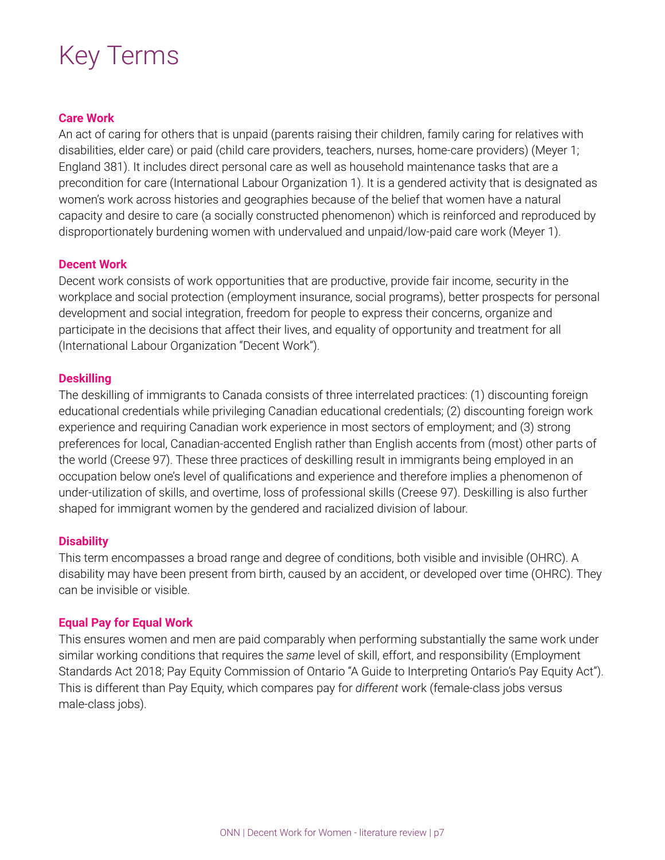## Key Terms

#### **Care Work**

An act of caring for others that is unpaid (parents raising their children, family caring for relatives with disabilities, elder care) or paid (child care providers, teachers, nurses, home-care providers) (Meyer 1; England 381). It includes direct personal care as well as household maintenance tasks that are a precondition for care (International Labour Organization 1). It is a gendered activity that is designated as women's work across histories and geographies because of the belief that women have a natural capacity and desire to care (a socially constructed phenomenon) which is reinforced and reproduced by disproportionately burdening women with undervalued and unpaid/low-paid care work (Meyer 1).

#### **Decent Work**

Decent work consists of work opportunities that are productive, provide fair income, security in the workplace and social protection (employment insurance, social programs), better prospects for personal development and social integration, freedom for people to express their concerns, organize and participate in the decisions that affect their lives, and equality of opportunity and treatment for all (International Labour Organization "Decent Work").

#### **Deskilling**

The deskilling of immigrants to Canada consists of three interrelated practices: (1) discounting foreign educational credentials while privileging Canadian educational credentials; (2) discounting foreign work experience and requiring Canadian work experience in most sectors of employment; and (3) strong preferences for local, Canadian-accented English rather than English accents from (most) other parts of the world (Creese 97). These three practices of deskilling result in immigrants being employed in an occupation below one's level of qualifications and experience and therefore implies a phenomenon of under-utilization of skills, and overtime, loss of professional skills (Creese 97). Deskilling is also further shaped for immigrant women by the gendered and racialized division of labour.

#### **Disability**

This term encompasses a broad range and degree of conditions, both visible and invisible (OHRC). A disability may have been present from birth, caused by an accident, or developed over time (OHRC). They can be invisible or visible.

#### **Equal Pay for Equal Work**

This ensures women and men are paid comparably when performing substantially the same work under similar working conditions that requires the *same* level of skill, effort, and responsibility (Employment Standards Act 2018; Pay Equity Commission of Ontario "A Guide to Interpreting Ontario's Pay Equity Act"). This is different than Pay Equity, which compares pay for *different* work (female-class jobs versus male-class jobs).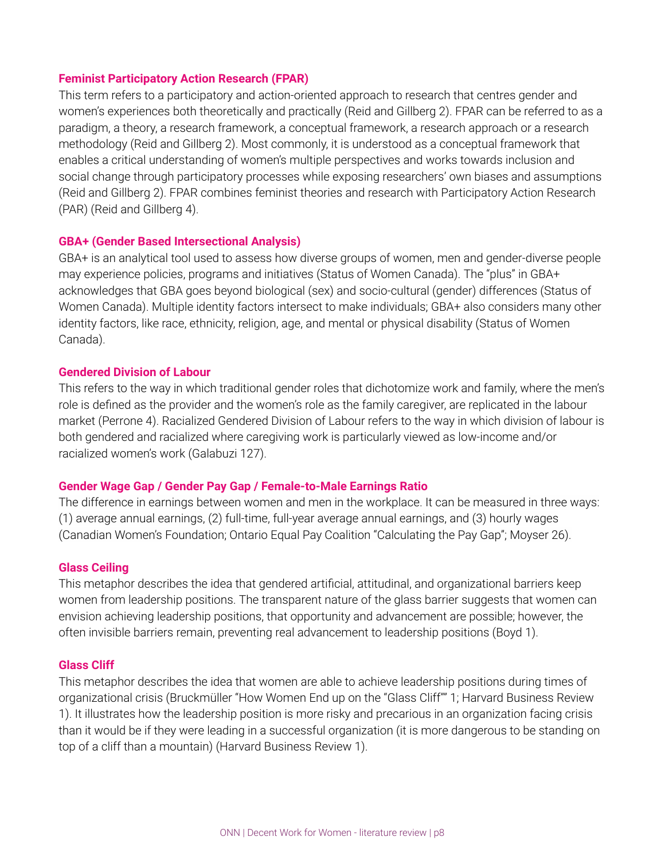#### **Feminist Participatory Action Research (FPAR)**

This term refers to a participatory and action-oriented approach to research that centres gender and women's experiences both theoretically and practically (Reid and Gillberg 2). FPAR can be referred to as a paradigm, a theory, a research framework, a conceptual framework, a research approach or a research methodology (Reid and Gillberg 2). Most commonly, it is understood as a conceptual framework that enables a critical understanding of women's multiple perspectives and works towards inclusion and social change through participatory processes while exposing researchers' own biases and assumptions (Reid and Gillberg 2). FPAR combines feminist theories and research with Participatory Action Research (PAR) (Reid and Gillberg 4).

#### **GBA+ (Gender Based Intersectional Analysis)**

GBA+ is an analytical tool used to assess how diverse groups of women, men and gender-diverse people may experience policies, programs and initiatives (Status of Women Canada). The "plus" in GBA+ acknowledges that GBA goes beyond biological (sex) and socio-cultural (gender) differences (Status of Women Canada). Multiple identity factors intersect to make individuals; GBA+ also considers many other identity factors, like race, ethnicity, religion, age, and mental or physical disability (Status of Women Canada).

#### **Gendered Division of Labour**

This refers to the way in which traditional gender roles that dichotomize work and family, where the men's role is defined as the provider and the women's role as the family caregiver, are replicated in the labour market (Perrone 4). Racialized Gendered Division of Labour refers to the way in which division of labour is both gendered and racialized where caregiving work is particularly viewed as low-income and/or racialized women's work (Galabuzi 127).

#### **Gender Wage Gap / Gender Pay Gap / Female-to-Male Earnings Ratio**

The difference in earnings between women and men in the workplace. It can be measured in three ways: (1) average annual earnings, (2) full-time, full-year average annual earnings, and (3) hourly wages (Canadian Women's Foundation; Ontario Equal Pay Coalition "Calculating the Pay Gap"; Moyser 26).

#### **Glass Ceiling**

This metaphor describes the idea that gendered artificial, attitudinal, and organizational barriers keep women from leadership positions. The transparent nature of the glass barrier suggests that women can envision achieving leadership positions, that opportunity and advancement are possible; however, the often invisible barriers remain, preventing real advancement to leadership positions (Boyd 1).

#### **Glass Cliff**

This metaphor describes the idea that women are able to achieve leadership positions during times of organizational crisis (Bruckmüller "How Women End up on the "Glass Cliff"" 1; Harvard Business Review 1). It illustrates how the leadership position is more risky and precarious in an organization facing crisis than it would be if they were leading in a successful organization (it is more dangerous to be standing on top of a cliff than a mountain) (Harvard Business Review 1).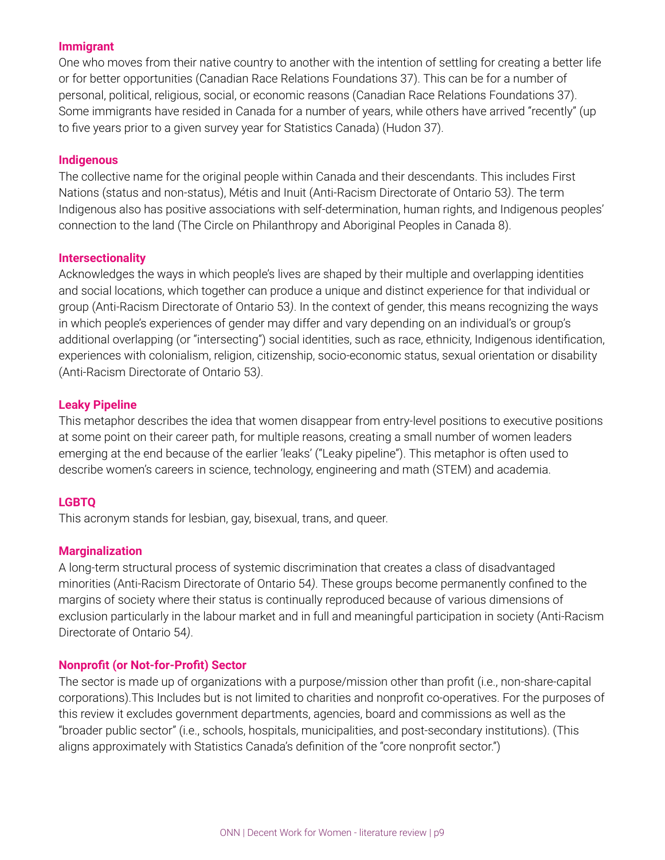#### **Immigrant**

One who moves from their native country to another with the intention of settling for creating a better life or for better opportunities (Canadian Race Relations Foundations 37). This can be for a number of personal, political, religious, social, or economic reasons (Canadian Race Relations Foundations 37). Some immigrants have resided in Canada for a number of years, while others have arrived "recently" (up to five years prior to a given survey year for Statistics Canada) (Hudon 37).

#### **Indigenous**

The collective name for the original people within Canada and their descendants. This includes First Nations (status and non-status), Métis and Inuit (Anti-Racism Directorate of Ontario 53*)*. The term Indigenous also has positive associations with self-determination, human rights, and Indigenous peoples' connection to the land (The Circle on Philanthropy and Aboriginal Peoples in Canada 8).

#### **Intersectionality**

Acknowledges the ways in which people's lives are shaped by their multiple and overlapping identities and social locations, which together can produce a unique and distinct experience for that individual or group (Anti-Racism Directorate of Ontario 53*)*. In the context of gender, this means recognizing the ways in which people's experiences of gender may differ and vary depending on an individual's or group's additional overlapping (or "intersecting") social identities, such as race, ethnicity, Indigenous identification, experiences with colonialism, religion, citizenship, socio-economic status, sexual orientation or disability (Anti-Racism Directorate of Ontario 53*)*.

#### **Leaky Pipeline**

This metaphor describes the idea that women disappear from entry-level positions to executive positions at some point on their career path, for multiple reasons, creating a small number of women leaders emerging at the end because of the earlier 'leaks' ("Leaky pipeline"). This metaphor is often used to describe women's careers in science, technology, engineering and math (STEM) and academia.

#### **LGBTQ**

This acronym stands for lesbian, gay, bisexual, trans, and queer.

#### **Marginalization**

A long-term structural process of systemic discrimination that creates a class of disadvantaged minorities (Anti-Racism Directorate of Ontario 54*)*. These groups become permanently confined to the margins of society where their status is continually reproduced because of various dimensions of exclusion particularly in the labour market and in full and meaningful participation in society (Anti-Racism Directorate of Ontario 54*)*.

#### **Nonprofit (or Not-for-Profit) Sector**

The sector is made up of organizations with a purpose/mission other than profit (i.e., non-share-capital corporations).This Includes but is not limited to charities and nonprofit co-operatives. For the purposes of this review it excludes government departments, agencies, board and commissions as well as the "broader public sector" (i.e., schools, hospitals, municipalities, and post-secondary institutions). (This aligns approximately with Statistics Canada's definition of the "core nonprofit sector.")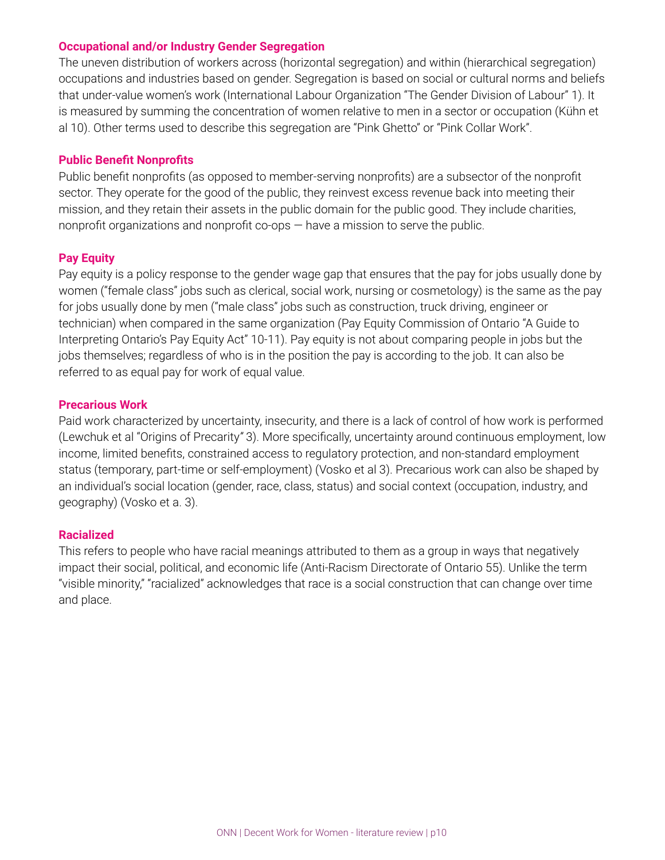#### **Occupational and/or Industry Gender Segregation**

The uneven distribution of workers across (horizontal segregation) and within (hierarchical segregation) occupations and industries based on gender. Segregation is based on social or cultural norms and beliefs that under-value women's work (International Labour Organization "The Gender Division of Labour" 1). It is measured by summing the concentration of women relative to men in a sector or occupation (Kühn et al 10). Other terms used to describe this segregation are "Pink Ghetto" or "Pink Collar Work".

#### **Public Benefit Nonprofits**

Public benefit nonprofits (as opposed to member-serving nonprofits) are a subsector of the nonprofit sector. They operate for the good of the public, they reinvest excess revenue back into meeting their mission, and they retain their assets in the public domain for the public good. They include charities, nonprofit organizations and nonprofit co-ops — have a mission to serve the public.

#### **Pay Equity**

Pay equity is a policy response to the gender wage gap that ensures that the pay for jobs usually done by women ("female class" jobs such as clerical, social work, nursing or cosmetology) is the same as the pay for jobs usually done by men ("male class" jobs such as construction, truck driving, engineer or technician) when compared in the same organization (Pay Equity Commission of Ontario "A Guide to Interpreting Ontario's Pay Equity Act" 10-11). Pay equity is not about comparing people in jobs but the jobs themselves; regardless of who is in the position the pay is according to the job. It can also be referred to as equal pay for work of equal value.

#### **Precarious Work**

Paid work characterized by uncertainty, insecurity, and there is a lack of control of how work is performed (Lewchuk et al "Origins of Precarity*"* 3). More specifically, uncertainty around continuous employment, low income, limited benefits, constrained access to regulatory protection, and non-standard employment status (temporary, part-time or self-employment) (Vosko et al 3). Precarious work can also be shaped by an individual's social location (gender, race, class, status) and social context (occupation, industry, and geography) (Vosko et a. 3).

#### **Racialized**

This refers to people who have racial meanings attributed to them as a group in ways that negatively impact their social, political, and economic life (Anti-Racism Directorate of Ontario 55). Unlike the term "visible minority," "racialized" acknowledges that race is a social construction that can change over time and place.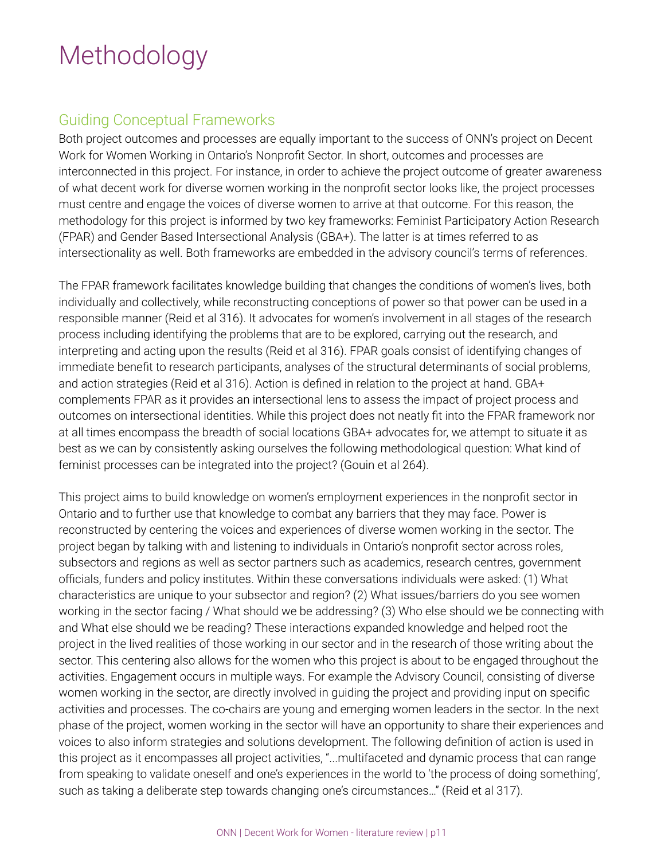## Methodology

## Guiding Conceptual Frameworks

Both project outcomes and processes are equally important to the success of ONN's project on Decent Work for Women Working in Ontario's Nonprofit Sector. In short, outcomes and processes are interconnected in this project. For instance, in order to achieve the project outcome of greater awareness of what decent work for diverse women working in the nonprofit sector looks like, the project processes must centre and engage the voices of diverse women to arrive at that outcome. For this reason, the methodology for this project is informed by two key frameworks: Feminist Participatory Action Research (FPAR) and Gender Based Intersectional Analysis (GBA+). The latter is at times referred to as intersectionality as well. Both frameworks are embedded in the advisory council's terms of references.

The FPAR framework facilitates knowledge building that changes the conditions of women's lives, both individually and collectively, while reconstructing conceptions of power so that power can be used in a responsible manner (Reid et al 316). It advocates for women's involvement in all stages of the research process including identifying the problems that are to be explored, carrying out the research, and interpreting and acting upon the results (Reid et al 316). FPAR goals consist of identifying changes of immediate benefit to research participants, analyses of the structural determinants of social problems, and action strategies (Reid et al 316). Action is defined in relation to the project at hand. GBA+ complements FPAR as it provides an intersectional lens to assess the impact of project process and outcomes on intersectional identities. While this project does not neatly fit into the FPAR framework nor at all times encompass the breadth of social locations GBA+ advocates for, we attempt to situate it as best as we can by consistently asking ourselves the following methodological question: What kind of feminist processes can be integrated into the project? (Gouin et al 264).

This project aims to build knowledge on women's employment experiences in the nonprofit sector in Ontario and to further use that knowledge to combat any barriers that they may face. Power is reconstructed by centering the voices and experiences of diverse women working in the sector. The project began by talking with and listening to individuals in Ontario's nonprofit sector across roles, subsectors and regions as well as sector partners such as academics, research centres, government officials, funders and policy institutes. Within these conversations individuals were asked: (1) What characteristics are unique to your subsector and region? (2) What issues/barriers do you see women working in the sector facing / What should we be addressing? (3) Who else should we be connecting with and What else should we be reading? These interactions expanded knowledge and helped root the project in the lived realities of those working in our sector and in the research of those writing about the sector. This centering also allows for the women who this project is about to be engaged throughout the activities. Engagement occurs in multiple ways. For example the Advisory Council, consisting of diverse women working in the sector, are directly involved in guiding the project and providing input on specific activities and processes. The co-chairs are young and emerging women leaders in the sector. In the next phase of the project, women working in the sector will have an opportunity to share their experiences and voices to also inform strategies and solutions development. The following definition of action is used in this project as it encompasses all project activities, "...multifaceted and dynamic process that can range from speaking to validate oneself and one's experiences in the world to 'the process of doing something', such as taking a deliberate step towards changing one's circumstances…" (Reid et al 317).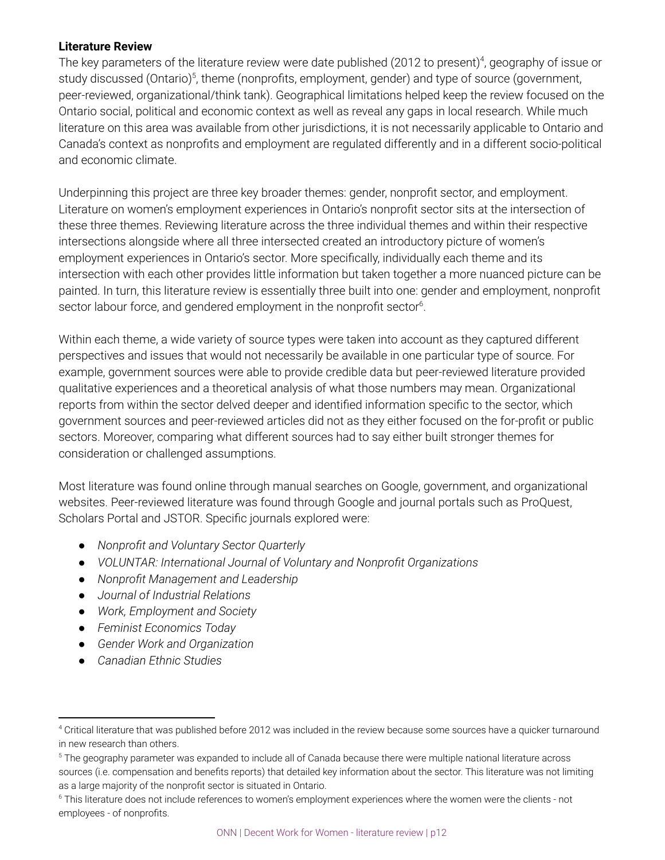#### **Literature Review**

The key parameters of the literature review were date published (2012 to present)<sup>4</sup>, geography of issue or study discussed (Ontario)<sup>5</sup>, theme (nonprofits, employment, gender) and type of source (government, peer-reviewed, organizational/think tank). Geographical limitations helped keep the review focused on the Ontario social, political and economic context as well as reveal any gaps in local research. While much literature on this area was available from other jurisdictions, it is not necessarily applicable to Ontario and Canada's context as nonprofits and employment are regulated differently and in a different socio-political and economic climate.

Underpinning this project are three key broader themes: gender, nonprofit sector, and employment. Literature on women's employment experiences in Ontario's nonprofit sector sits at the intersection of these three themes. Reviewing literature across the three individual themes and within their respective intersections alongside where all three intersected created an introductory picture of women's employment experiences in Ontario's sector. More specifically, individually each theme and its intersection with each other provides little information but taken together a more nuanced picture can be painted. In turn, this literature review is essentially three built into one: gender and employment, nonprofit sector labour force, and gendered employment in the nonprofit sector $6$ .

Within each theme, a wide variety of source types were taken into account as they captured different perspectives and issues that would not necessarily be available in one particular type of source. For example, government sources were able to provide credible data but peer-reviewed literature provided qualitative experiences and a theoretical analysis of what those numbers may mean. Organizational reports from within the sector delved deeper and identified information specific to the sector, which government sources and peer-reviewed articles did not as they either focused on the for-profit or public sectors. Moreover, comparing what different sources had to say either built stronger themes for consideration or challenged assumptions.

Most literature was found online through manual searches on Google, government, and organizational websites. Peer-reviewed literature was found through Google and journal portals such as ProQuest, Scholars Portal and JSTOR. Specific journals explored were:

- *Nonprofit and Voluntary Sector Quarterly*
- *VOLUNTAR: International Journal of Voluntary and Nonprofit Organizations*
- *Nonprofit Management and Leadership*
- *Journal of Industrial Relations*
- *Work, Employment and Society*
- *Feminist Economics Today*
- *Gender Work and Organization*
- *Canadian Ethnic Studies*

<sup>4</sup> Critical literature that was published before 2012 was included in the review because some sources have a quicker turnaround in new research than others.

 $^{\rm 5}$  The geography parameter was expanded to include all of Canada because there were multiple national literature across sources (i.e. compensation and benefits reports) that detailed key information about the sector. This literature was not limiting as a large majority of the nonprofit sector is situated in Ontario.

<sup>6</sup> This literature does not include references to women's employment experiences where the women were the clients - not employees - of nonprofits.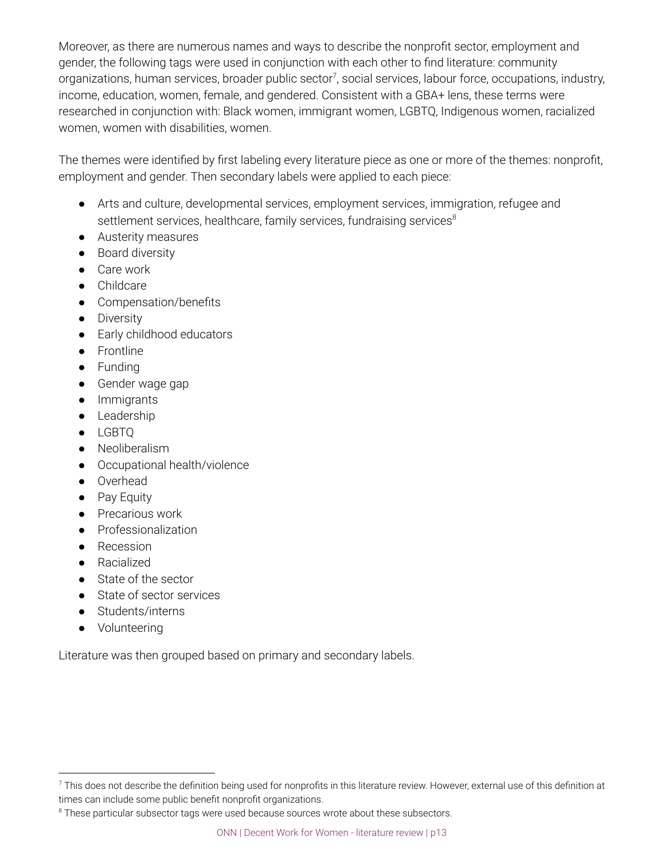Moreover, as there are numerous names and ways to describe the nonprofit sector, employment and gender, the following tags were used in conjunction with each other to find literature: community organizations, human services, broader public sector<sup>7</sup>, social services, labour force, occupations, industry, income, education, women, female, and gendered. Consistent with a GBA+ lens, these terms were researched in conjunction with: Black women, immigrant women, LGBTQ, Indigenous women, racialized women, women with disabilities, women.

The themes were identified by first labeling every literature piece as one or more of the themes: nonprofit, employment and gender. Then secondary labels were applied to each piece:

- Arts and culture, developmental services, employment services, immigration, refugee and settlement services, healthcare, family services, fundraising services<sup>8</sup>
- Austerity measures
- Board diversity
- Care work
- Childcare
- Compensation/benefits
- Diversity
- Early childhood educators
- Frontline
- Funding
- Gender wage gap
- Immigrants
- Leadership
- LGBTQ
- Neoliberalism
- Occupational health/violence
- Overhead
- Pay Equity
- Precarious work
- Professionalization
- Recession
- Racialized
- State of the sector
- State of sector services
- Students/interns
- Volunteering

Literature was then grouped based on primary and secondary labels.

 $^7$  This does not describe the definition being used for nonprofits in this literature review. However, external use of this definition at times can include some public benefit nonprofit organizations.

 $8$  These particular subsector tags were used because sources wrote about these subsectors.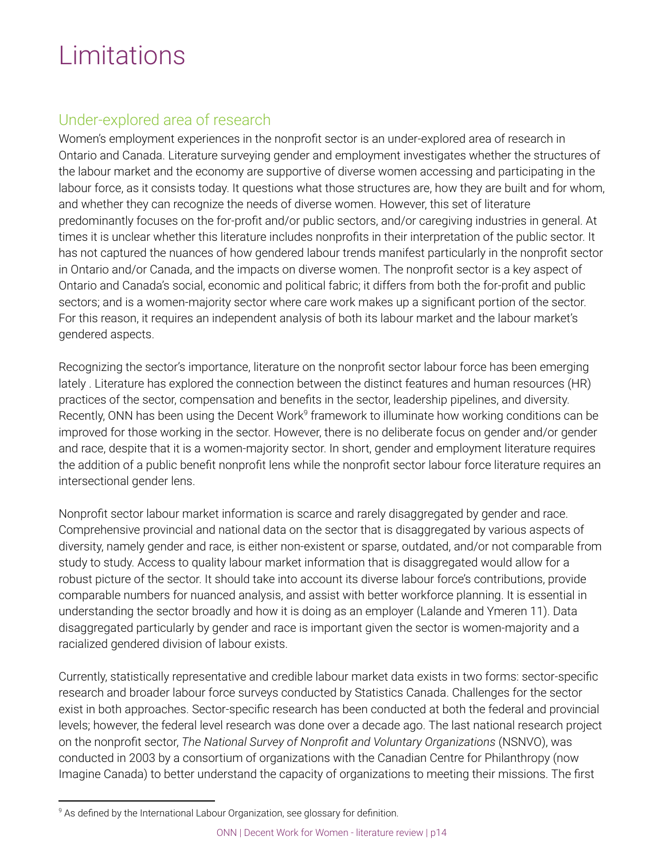## Limitations

## Under-explored area of research

Women's employment experiences in the nonprofit sector is an under-explored area of research in Ontario and Canada. Literature surveying gender and employment investigates whether the structures of the labour market and the economy are supportive of diverse women accessing and participating in the labour force, as it consists today. It questions what those structures are, how they are built and for whom, and whether they can recognize the needs of diverse women. However, this set of literature predominantly focuses on the for-profit and/or public sectors, and/or caregiving industries in general. At times it is unclear whether this literature includes nonprofits in their interpretation of the public sector. It has not captured the nuances of how gendered labour trends manifest particularly in the nonprofit sector in Ontario and/or Canada, and the impacts on diverse women. The nonprofit sector is a key aspect of Ontario and Canada's social, economic and political fabric; it differs from both the for-profit and public sectors; and is a women-majority sector where care work makes up a significant portion of the sector. For this reason, it requires an independent analysis of both its labour market and the labour market's gendered aspects.

Recognizing the sector's importance, literature on the nonprofit sector labour force has been emerging lately . Literature has explored the connection between the distinct features and human resources (HR) practices of the sector, compensation and benefits in the sector, leadership pipelines, and diversity. Recently, ONN has been using the Decent Work<sup>9</sup> framework to illuminate how working conditions can be improved for those working in the sector. However, there is no deliberate focus on gender and/or gender and race, despite that it is a women-majority sector. In short, gender and employment literature requires the addition of a public benefit nonprofit lens while the nonprofit sector labour force literature requires an intersectional gender lens.

Nonprofit sector labour market information is scarce and rarely disaggregated by gender and race. Comprehensive provincial and national data on the sector that is disaggregated by various aspects of diversity, namely gender and race, is either non-existent or sparse, outdated, and/or not comparable from study to study. Access to quality labour market information that is disaggregated would allow for a robust picture of the sector. It should take into account its diverse labour force's contributions, provide comparable numbers for nuanced analysis, and assist with better workforce planning. It is essential in understanding the sector broadly and how it is doing as an employer (Lalande and Ymeren 11). Data disaggregated particularly by gender and race is important given the sector is women-majority and a racialized gendered division of labour exists.

Currently, statistically representative and credible labour market data exists in two forms: sector-specific research and broader labour force surveys conducted by Statistics Canada. Challenges for the sector exist in both approaches. Sector-specific research has been conducted at both the federal and provincial levels; however, the federal level research was done over a decade ago. The last national research project on the nonprofit sector, *The National Survey of Nonprofit and Voluntary Organizations* (NSNVO), was conducted in 2003 by a consortium of organizations with the Canadian Centre for Philanthropy (now Imagine Canada) to better understand the capacity of organizations to meeting their missions. The first

<sup>&</sup>lt;sup>9</sup> As defined by the International Labour Organization, see glossary for definition.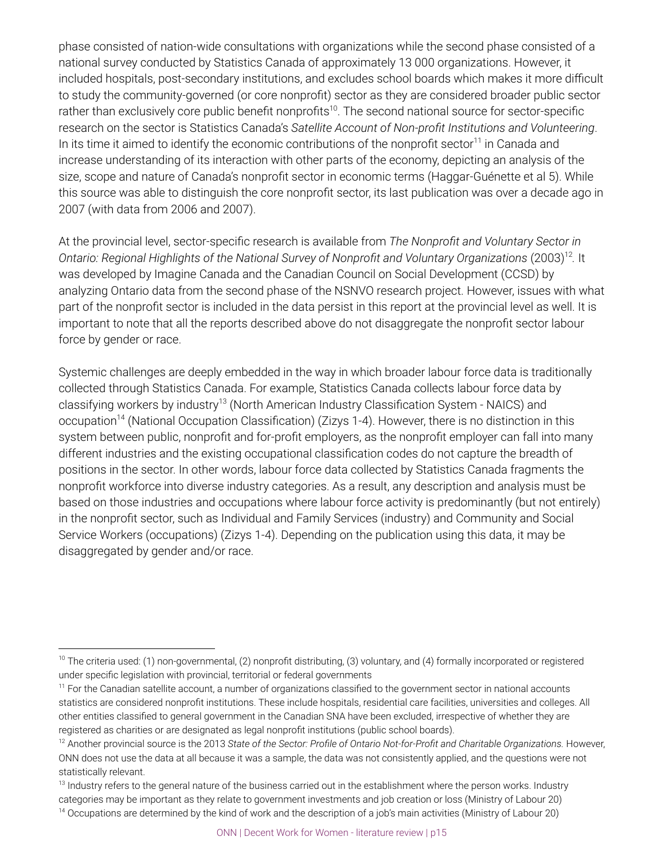phase consisted of nation-wide consultations with organizations while the second phase consisted of a national survey conducted by Statistics Canada of approximately 13 000 organizations. However, it included hospitals, post-secondary institutions, and excludes school boards which makes it more difficult to study the community-governed (or core nonprofit) sector as they are considered broader public sector rather than exclusively core public benefit nonprofits<sup>10</sup>. The second national source for sector-specific research on the sector is Statistics Canada's *Satellite Account of Non-profit Institutions and Volunteering*. In its time it aimed to identify the economic contributions of the nonprofit sector<sup>11</sup> in Canada and increase understanding of its interaction with other parts of the economy, depicting an analysis of the size, scope and nature of Canada's nonprofit sector in economic terms (Haggar-Guénette et al 5). While this source was able to distinguish the core nonprofit sector, its last publication was over a decade ago in 2007 (with data from 2006 and 2007).

At the provincial level, sector-specific research is available from *The Nonprofit and Voluntary Sector in Ontario: Regional Highlights of the National Survey of Nonprofit and Voluntary Organizations* (2003) *.* It 12 was developed by Imagine Canada and the Canadian Council on Social Development (CCSD) by analyzing Ontario data from the second phase of the NSNVO research project. However, issues with what part of the nonprofit sector is included in the data persist in this report at the provincial level as well. It is important to note that all the reports described above do not disaggregate the nonprofit sector labour force by gender or race.

Systemic challenges are deeply embedded in the way in which broader labour force data is traditionally collected through Statistics Canada. For example, Statistics Canada collects labour force data by classifying workers by industry<sup>13</sup> (North American Industry Classification System - NAICS) and occupation<sup>14</sup> (National Occupation Classification) (Zizys 1-4). However, there is no distinction in this system between public, nonprofit and for-profit employers, as the nonprofit employer can fall into many different industries and the existing occupational classification codes do not capture the breadth of positions in the sector. In other words, labour force data collected by Statistics Canada fragments the nonprofit workforce into diverse industry categories. As a result, any description and analysis must be based on those industries and occupations where labour force activity is predominantly (but not entirely) in the nonprofit sector, such as Individual and Family Services (industry) and Community and Social Service Workers (occupations) (Zizys 1-4). Depending on the publication using this data, it may be disaggregated by gender and/or race.

 $10$  The criteria used: (1) non-governmental, (2) nonprofit distributing, (3) voluntary, and (4) formally incorporated or registered under specific legislation with provincial, territorial or federal governments

<sup>&</sup>lt;sup>11</sup> For the Canadian satellite account, a number of organizations classified to the government sector in national accounts statistics are considered nonprofit institutions. These include hospitals, residential care facilities, universities and colleges. All other entities classified to general government in the Canadian SNA have been excluded, irrespective of whether they are registered as charities or are designated as legal nonprofit institutions (public school boards).

<sup>&</sup>lt;sup>12</sup> Another provincial source is the 2013 *State of the Sector: Profile of Ontario Not-for-Profit and Charitable Organizations. However,* ONN does not use the data at all because it was a sample, the data was not consistently applied, and the questions were not statistically relevant.

<sup>&</sup>lt;sup>13</sup> Industry refers to the general nature of the business carried out in the establishment where the person works. Industry categories may be important as they relate to government investments and job creation or loss (Ministry of Labour 20) <sup>14</sup> Occupations are determined by the kind of work and the description of a job's main activities (Ministry of Labour 20)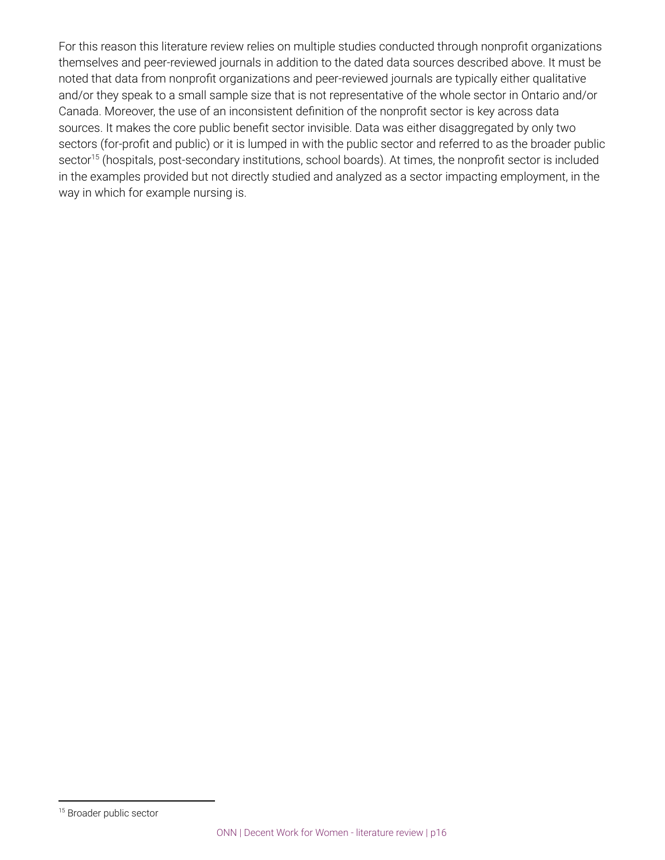For this reason this literature review relies on multiple studies conducted through nonprofit organizations themselves and peer-reviewed journals in addition to the dated data sources described above. It must be noted that data from nonprofit organizations and peer-reviewed journals are typically either qualitative and/or they speak to a small sample size that is not representative of the whole sector in Ontario and/or Canada. Moreover, the use of an inconsistent definition of the nonprofit sector is key across data sources. It makes the core public benefit sector invisible. Data was either disaggregated by only two sectors (for-profit and public) or it is lumped in with the public sector and referred to as the broader public sector<sup>15</sup> (hospitals, post-secondary institutions, school boards). At times, the nonprofit sector is included in the examples provided but not directly studied and analyzed as a sector impacting employment, in the way in which for example nursing is.

<sup>&</sup>lt;sup>15</sup> Broader public sector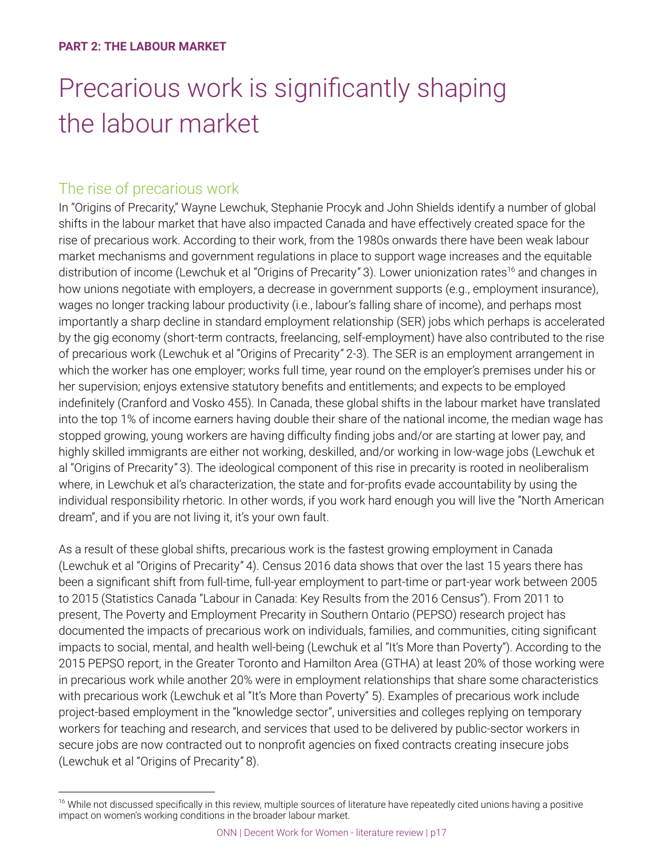## Precarious work is significantly shaping the labour market

## The rise of precarious work

In "Origins of Precarity," Wayne Lewchuk, Stephanie Procyk and John Shields identify a number of global shifts in the labour market that have also impacted Canada and have effectively created space for the rise of precarious work. According to their work, from the 1980s onwards there have been weak labour market mechanisms and government regulations in place to support wage increases and the equitable distribution of income (Lewchuk et al "Origins of Precarity" 3). Lower unionization rates<sup>16</sup> and changes in how unions negotiate with employers, a decrease in government supports (e.g., employment insurance), wages no longer tracking labour productivity (i.e., labour's falling share of income), and perhaps most importantly a sharp decline in standard employment relationship (SER) jobs which perhaps is accelerated by the gig economy (short-term contracts, freelancing, self-employment) have also contributed to the rise of precarious work (Lewchuk et al "Origins of Precarity*"* 2-3). The SER is an employment arrangement in which the worker has one employer; works full time, year round on the employer's premises under his or her supervision; enjoys extensive statutory benefits and entitlements; and expects to be employed indefinitely (Cranford and Vosko 455). In Canada, these global shifts in the labour market have translated into the top 1% of income earners having double their share of the national income, the median wage has stopped growing, young workers are having difficulty finding jobs and/or are starting at lower pay, and highly skilled immigrants are either not working, deskilled, and/or working in low-wage jobs (Lewchuk et al "Origins of Precarity*"* 3). The ideological component of this rise in precarity is rooted in neoliberalism where, in Lewchuk et al's characterization, the state and for-profits evade accountability by using the individual responsibility rhetoric. In other words, if you work hard enough you will live the "North American dream", and if you are not living it, it's your own fault.

As a result of these global shifts, precarious work is the fastest growing employment in Canada (Lewchuk et al "Origins of Precarity*"* 4). Census 2016 data shows that over the last 15 years there has been a significant shift from full-time, full-year employment to part-time or part-year work between 2005 to 2015 (Statistics Canada "Labour in Canada: Key Results from the 2016 Census"). From 2011 to present, The Poverty and Employment Precarity in Southern Ontario (PEPSO) research project has documented the impacts of precarious work on individuals, families, and communities, citing significant impacts to social, mental, and health well-being (Lewchuk et al "It's More than Poverty"). According to the 2015 PEPSO report, in the Greater Toronto and Hamilton Area (GTHA) at least 20% of those working were in precarious work while another 20% were in employment relationships that share some characteristics with precarious work (Lewchuk et al "It's More than Poverty" 5). Examples of precarious work include project-based employment in the "knowledge sector", universities and colleges replying on temporary workers for teaching and research, and services that used to be delivered by public-sector workers in secure jobs are now contracted out to nonprofit agencies on fixed contracts creating insecure jobs (Lewchuk et al "Origins of Precarity*"* 8).

<sup>&</sup>lt;sup>16</sup> While not discussed specifically in this review, multiple sources of literature have repeatedly cited unions having a positive impact on women's working conditions in the broader labour market.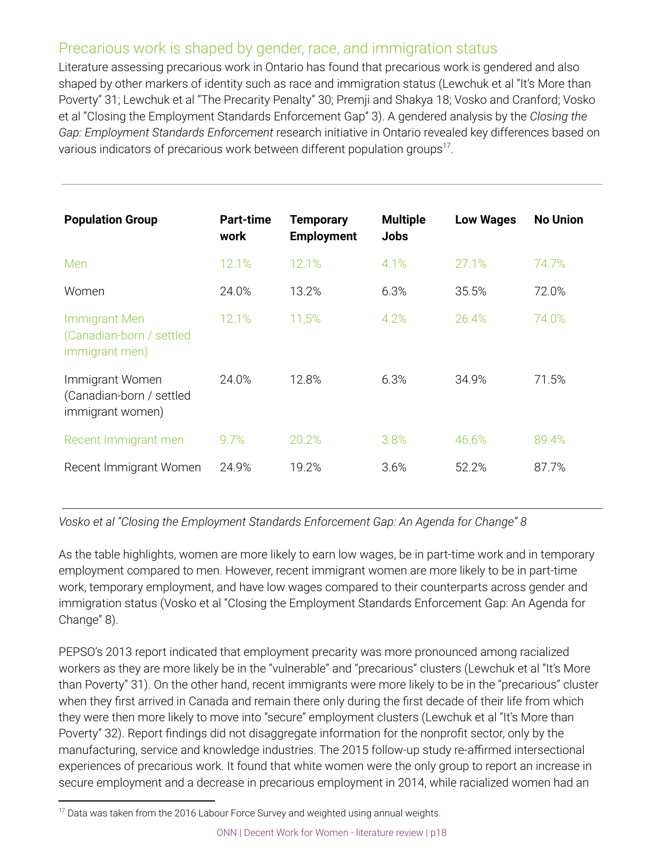## Precarious work is shaped by gender, race, and immigration status

Literature assessing precarious work in Ontario has found that precarious work is gendered and also shaped by other markers of identity such as race and immigration status (Lewchuk et al "It's More than Poverty" 31; Lewchuk et al "The Precarity Penalty" 30; Premji and Shakya 18; Vosko and Cranford; Vosko et al "Closing the Employment Standards Enforcement Gap" 3). A gendered analysis by the *Closing the Gap: Employment Standards Enforcement* research initiative in Ontario revealed key differences based on various indicators of precarious work between different population groups<sup>17</sup>.

| <b>Population Group</b>                                            | <b>Part-time</b><br>work | <b>Temporary</b><br><b>Employment</b> | <b>Multiple</b><br><b>Jobs</b> | <b>Low Wages</b> | <b>No Union</b> |
|--------------------------------------------------------------------|--------------------------|---------------------------------------|--------------------------------|------------------|-----------------|
| Men                                                                | 12.1%                    | 12.1%                                 | 4.1%                           | 27.1%            | 74.7%           |
| Women                                                              | 24.0%                    | 13.2%                                 | 6.3%                           | 35.5%            | 72.0%           |
| <b>Immigrant Men</b><br>(Canadian-born / settled<br>immigrant men) | 12.1%                    | 11,5%                                 | 4.2%                           | 26.4%            | 74.0%           |
| Immigrant Women<br>(Canadian-born / settled<br>immigrant women)    | 24.0%                    | 12.8%                                 | 6.3%                           | 34.9%            | 71.5%           |
| Recent Immigrant men                                               | 9.7%                     | 20.2%                                 | 3.8%                           | 46.6%            | 89.4%           |
| Recent Immigrant Women                                             | 24.9%                    | 19.2%                                 | 3.6%                           | 52.2%            | 87.7%           |

*Vosko et al "Closing the Employment Standards Enforcement Gap: An Agenda for Change" 8*

As the table highlights, women are more likely to earn low wages, be in part-time work and in temporary employment compared to men. However, recent immigrant women are more likely to be in part-time work, temporary employment, and have low wages compared to their counterparts across gender and immigration status (Vosko et al "Closing the Employment Standards Enforcement Gap: An Agenda for Change" 8).

PEPSO's 2013 report indicated that employment precarity was more pronounced among racialized workers as they are more likely be in the "vulnerable" and "precarious" clusters (Lewchuk et al "It's More than Poverty" 31). On the other hand, recent immigrants were more likely to be in the "precarious" cluster when they first arrived in Canada and remain there only during the first decade of their life from which they were then more likely to move into "secure" employment clusters (Lewchuk et al "It's More than Poverty" 32). Report findings did not disaggregate information for the nonprofit sector, only by the manufacturing, service and knowledge industries. The 2015 follow-up study re-affirmed intersectional experiences of precarious work. It found that white women were the only group to report an increase in secure employment and a decrease in precarious employment in 2014, while racialized women had an

 $17$  Data was taken from the 2016 Labour Force Survey and weighted using annual weights.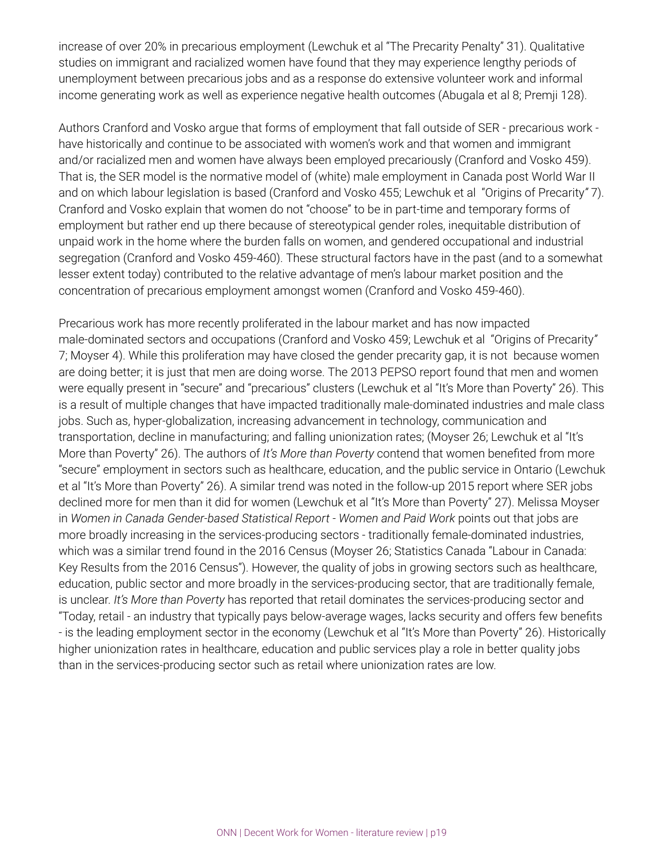increase of over 20% in precarious employment (Lewchuk et al "The Precarity Penalty" 31). Qualitative studies on immigrant and racialized women have found that they may experience lengthy periods of unemployment between precarious jobs and as a response do extensive volunteer work and informal income generating work as well as experience negative health outcomes (Abugala et al 8; Premji 128).

Authors Cranford and Vosko argue that forms of employment that fall outside of SER - precarious work have historically and continue to be associated with women's work and that women and immigrant and/or racialized men and women have always been employed precariously (Cranford and Vosko 459). That is, the SER model is the normative model of (white) male employment in Canada post World War II and on which labour legislation is based (Cranford and Vosko 455; Lewchuk et al "Origins of Precarity*"* 7). Cranford and Vosko explain that women do not "choose" to be in part-time and temporary forms of employment but rather end up there because of stereotypical gender roles, inequitable distribution of unpaid work in the home where the burden falls on women, and gendered occupational and industrial segregation (Cranford and Vosko 459-460). These structural factors have in the past (and to a somewhat lesser extent today) contributed to the relative advantage of men's labour market position and the concentration of precarious employment amongst women (Cranford and Vosko 459-460).

Precarious work has more recently proliferated in the labour market and has now impacted male-dominated sectors and occupations (Cranford and Vosko 459; Lewchuk et al "Origins of Precarity*"* 7; Moyser 4). While this proliferation may have closed the gender precarity gap, it is not because women are doing better; it is just that men are doing worse. The 2013 PEPSO report found that men and women were equally present in "secure" and "precarious" clusters (Lewchuk et al "It's More than Poverty" 26). This is a result of multiple changes that have impacted traditionally male-dominated industries and male class jobs. Such as, hyper-globalization, increasing advancement in technology, communication and transportation, decline in manufacturing; and falling unionization rates; (Moyser 26; Lewchuk et al "It's More than Poverty" 26). The authors of *It's More than Poverty* contend that women benefited from more "secure" employment in sectors such as healthcare, education, and the public service in Ontario (Lewchuk et al "It's More than Poverty" 26). A similar trend was noted in the follow-up 2015 report where SER jobs declined more for men than it did for women (Lewchuk et al "It's More than Poverty" 27). Melissa Moyser in *Women in Canada Gender-based Statistical Report - Women and Paid Work* points out that jobs are more broadly increasing in the services-producing sectors - traditionally female-dominated industries, which was a similar trend found in the 2016 Census (Moyser 26; Statistics Canada "Labour in Canada: Key Results from the 2016 Census"). However, the quality of jobs in growing sectors such as healthcare, education, public sector and more broadly in the services-producing sector, that are traditionally female, is unclear. *It's More than Poverty* has reported that retail dominates the services-producing sector and "Today, retail - an industry that typically pays below-average wages, lacks security and offers few benefits - is the leading employment sector in the economy (Lewchuk et al "It's More than Poverty" 26). Historically higher unionization rates in healthcare, education and public services play a role in better quality jobs than in the services-producing sector such as retail where unionization rates are low.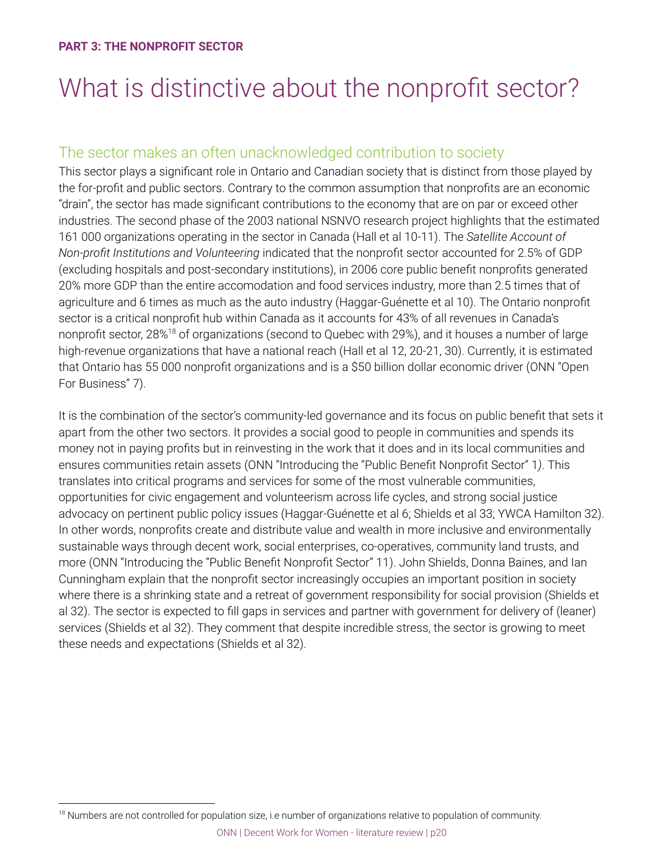## What is distinctive about the nonprofit sector?

## The sector makes an often unacknowledged contribution to society

This sector plays a significant role in Ontario and Canadian society that is distinct from those played by the for-profit and public sectors. Contrary to the common assumption that nonprofits are an economic "drain", the sector has made significant contributions to the economy that are on par or exceed other industries. The second phase of the 2003 national NSNVO research project highlights that the estimated 161 000 organizations operating in the sector in Canada (Hall et al 10-11). The *Satellite Account of Non-profit Institutions and Volunteering* indicated that the nonprofit sector accounted for 2.5% of GDP (excluding hospitals and post-secondary institutions), in 2006 core public benefit nonprofits generated 20% more GDP than the entire accomodation and food services industry, more than 2.5 times that of agriculture and 6 times as much as the auto industry (Haggar-Guénette et al 10). The Ontario nonprofit sector is a critical nonprofit hub within Canada as it accounts for 43% of all revenues in Canada's nonprofit sector, 28%<sup>18</sup> of organizations (second to Quebec with 29%), and it houses a number of large high-revenue organizations that have a national reach (Hall et al 12, 20-21, 30). Currently, it is estimated that Ontario has 55 000 nonprofit organizations and is a \$50 billion dollar economic driver (ONN "Open For Business" 7).

It is the combination of the sector's community-led governance and its focus on public benefit that sets it apart from the other two sectors. It provides a social good to people in communities and spends its money not in paying profits but in reinvesting in the work that it does and in its local communities and ensures communities retain assets (ONN "Introducing the "Public Benefit Nonprofit Sector" 1*)*. This translates into critical programs and services for some of the most vulnerable communities, opportunities for civic engagement and volunteerism across life cycles, and strong social justice advocacy on pertinent public policy issues (Haggar-Guénette et al 6; Shields et al 33; YWCA Hamilton 32). In other words, nonprofits create and distribute value and wealth in more inclusive and environmentally sustainable ways through decent work, social enterprises, co-operatives, community land trusts, and more (ONN "Introducing the "Public Benefit Nonprofit Sector" 11). John Shields, Donna Baines, and Ian Cunningham explain that the nonprofit sector increasingly occupies an important position in society where there is a shrinking state and a retreat of government responsibility for social provision (Shields et al 32). The sector is expected to fill gaps in services and partner with government for delivery of (leaner) services (Shields et al 32). They comment that despite incredible stress, the sector is growing to meet these needs and expectations (Shields et al 32).

<sup>&</sup>lt;sup>18</sup> Numbers are not controlled for population size, i.e number of organizations relative to population of community.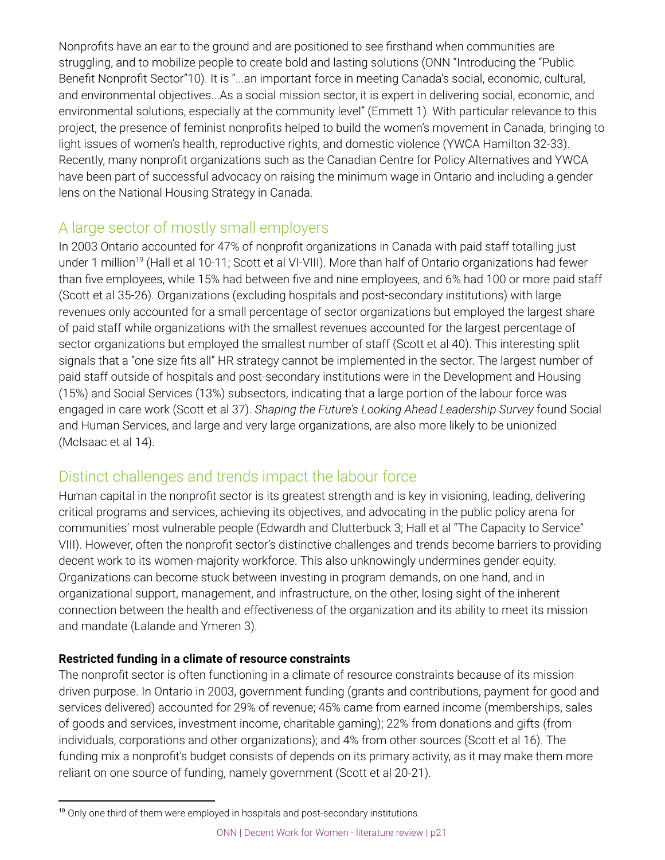Nonprofits have an ear to the ground and are positioned to see firsthand when communities are struggling, and to mobilize people to create bold and lasting solutions (ONN "Introducing the "Public Benefit Nonprofit Sector"10). It is "...an important force in meeting Canada's social, economic, cultural, and environmental objectives...As a social mission sector, it is expert in delivering social, economic, and environmental solutions, especially at the community level" (Emmett 1). With particular relevance to this project, the presence of feminist nonprofits helped to build the women's movement in Canada, bringing to light issues of women's health, reproductive rights, and domestic violence (YWCA Hamilton 32-33). Recently, many nonprofit organizations such as the Canadian Centre for Policy Alternatives and YWCA have been part of successful advocacy on raising the minimum wage in Ontario and including a gender lens on the National Housing Strategy in Canada.

## A large sector of mostly small employers

In 2003 Ontario accounted for 47% of nonprofit organizations in Canada with paid staff totalling just under 1 million<sup>19</sup> (Hall et al 10-11; Scott et al VI-VIII). More than half of Ontario organizations had fewer than five employees, while 15% had between five and nine employees, and 6% had 100 or more paid staff (Scott et al 35-26). Organizations (excluding hospitals and post-secondary institutions) with large revenues only accounted for a small percentage of sector organizations but employed the largest share of paid staff while organizations with the smallest revenues accounted for the largest percentage of sector organizations but employed the smallest number of staff (Scott et al 40). This interesting split signals that a "one size fits all" HR strategy cannot be implemented in the sector. The largest number of paid staff outside of hospitals and post-secondary institutions were in the Development and Housing (15%) and Social Services (13%) subsectors, indicating that a large portion of the labour force was engaged in care work (Scott et al 37). *Shaping the Future's Looking Ahead Leadership Survey* found Social and Human Services, and large and very large organizations, are also more likely to be unionized (McIsaac et al 14).

## Distinct challenges and trends impact the labour force

Human capital in the nonprofit sector is its greatest strength and is key in visioning, leading, delivering critical programs and services, achieving its objectives, and advocating in the public policy arena for communities' most vulnerable people (Edwardh and Clutterbuck 3; Hall et al "The Capacity to Service" VIII). However, often the nonprofit sector's distinctive challenges and trends become barriers to providing decent work to its women-majority workforce. This also unknowingly undermines gender equity. Organizations can become stuck between investing in program demands, on one hand, and in organizational support, management, and infrastructure, on the other, losing sight of the inherent connection between the health and effectiveness of the organization and its ability to meet its mission and mandate (Lalande and Ymeren 3).

### **Restricted funding in a climate of resource constraints**

The nonprofit sector is often functioning in a climate of resource constraints because of its mission driven purpose. In Ontario in 2003, government funding (grants and contributions, payment for good and services delivered) accounted for 29% of revenue; 45% came from earned income (memberships, sales of goods and services, investment income, charitable gaming); 22% from donations and gifts (from individuals, corporations and other organizations); and 4% from other sources (Scott et al 16). The funding mix a nonprofit's budget consists of depends on its primary activity, as it may make them more reliant on one source of funding, namely government (Scott et al 20-21).

<sup>&</sup>lt;sup>19</sup> Only one third of them were employed in hospitals and post-secondary institutions.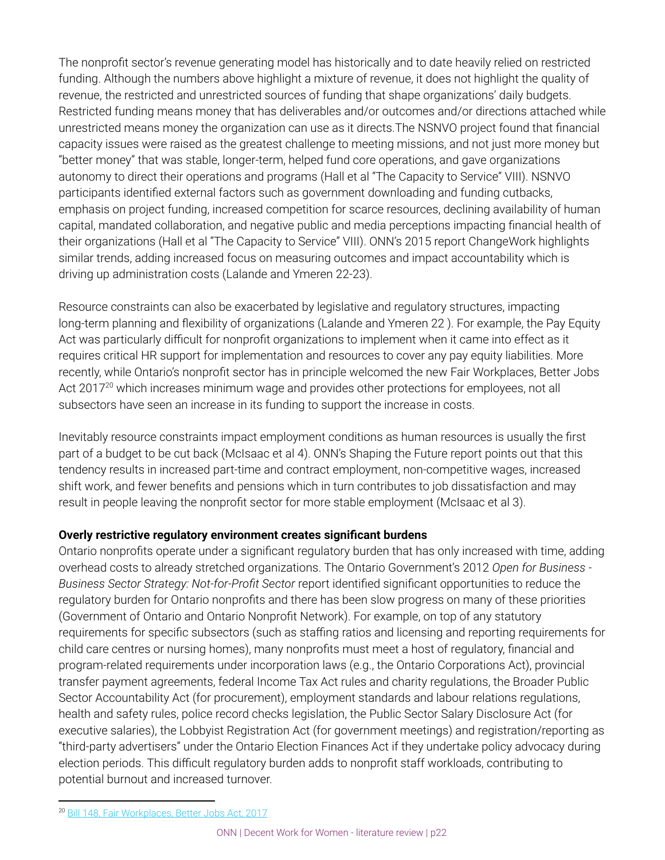The nonprofit sector's revenue generating model has historically and to date heavily relied on restricted funding. Although the numbers above highlight a mixture of revenue, it does not highlight the quality of revenue, the restricted and unrestricted sources of funding that shape organizations' daily budgets. Restricted funding means money that has deliverables and/or outcomes and/or directions attached while unrestricted means money the organization can use as it directs.The NSNVO project found that financial capacity issues were raised as the greatest challenge to meeting missions, and not just more money but "better money" that was stable, longer-term, helped fund core operations, and gave organizations autonomy to direct their operations and programs (Hall et al "The Capacity to Service" VIII). NSNVO participants identified external factors such as government downloading and funding cutbacks, emphasis on project funding, increased competition for scarce resources, declining availability of human capital, mandated collaboration, and negative public and media perceptions impacting financial health of their organizations (Hall et al "The Capacity to Service" VIII). ONN's 2015 report ChangeWork highlights similar trends, adding increased focus on measuring outcomes and impact accountability which is driving up administration costs (Lalande and Ymeren 22-23).

Resource constraints can also be exacerbated by legislative and regulatory structures, impacting long-term planning and flexibility of organizations (Lalande and Ymeren 22 ). For example, the Pay Equity Act was particularly difficult for nonprofit organizations to implement when it came into effect as it requires critical HR support for implementation and resources to cover any pay equity liabilities. More recently, while Ontario's nonprofit sector has in principle welcomed the new Fair Workplaces, Better Jobs Act 2017 $^{20}$  which increases minimum wage and provides other protections for employees, not all subsectors have seen an increase in its funding to support the increase in costs.

Inevitably resource constraints impact employment conditions as human resources is usually the first part of a budget to be cut back (McIsaac et al 4). ONN's Shaping the Future report points out that this tendency results in increased part-time and contract employment, non-competitive wages, increased shift work, and fewer benefits and pensions which in turn contributes to job dissatisfaction and may result in people leaving the nonprofit sector for more stable employment (McIsaac et al 3).

### **Overly restrictive regulatory environment creates significant burdens**

Ontario nonprofits operate under a significant regulatory burden that has only increased with time, adding overhead costs to already stretched organizations. The Ontario Government's 2012 *Open for Business - Business Sector Strategy: Not-for-Profit Sector* report identified significant opportunities to reduce the regulatory burden for Ontario nonprofits and there has been slow progress on many of these priorities (Government of Ontario and Ontario Nonprofit Network). For example, on top of any statutory requirements for specific subsectors (such as staffing ratios and licensing and reporting requirements for child care centres or nursing homes), many nonprofits must meet a host of regulatory, financial and program-related requirements under incorporation laws (e.g., the Ontario Corporations Act), provincial transfer payment agreements, federal Income Tax Act rules and charity regulations, the Broader Public Sector Accountability Act (for procurement), employment standards and labour relations regulations, health and safety rules, police record checks legislation, the Public Sector Salary Disclosure Act (for executive salaries), the Lobbyist Registration Act (for government meetings) and registration/reporting as "third-party advertisers" under the Ontario Election Finances Act if they undertake policy advocacy during election periods. This difficult regulatory burden adds to nonprofit staff workloads, contributing to potential burnout and increased turnover.

<sup>&</sup>lt;sup>20</sup> [Bill 148, Fair Workplaces, Better Jobs Act, 2017](http://www.ontla.on.ca/web/bills/bills_detail.do?locale=en&BillID=4963)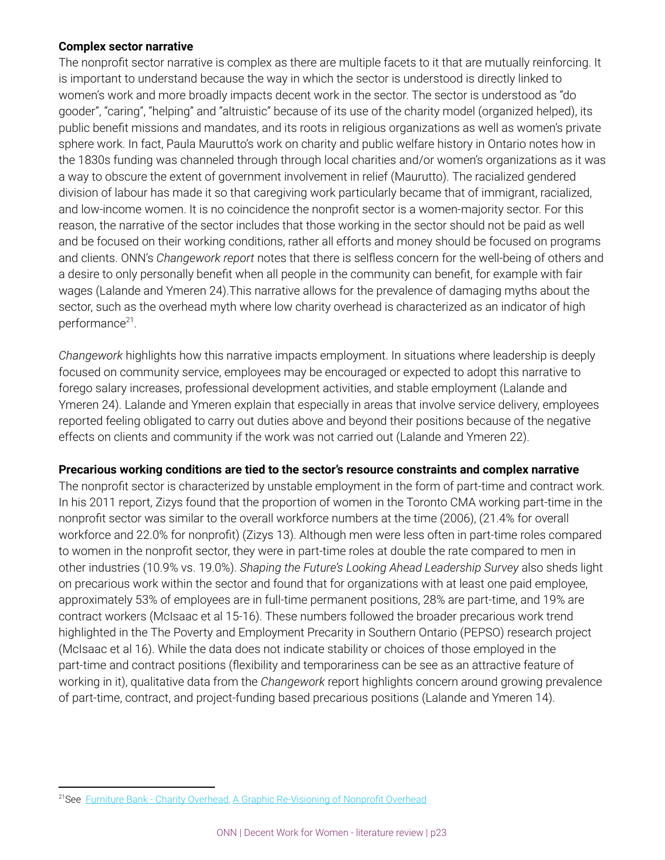#### **Complex sector narrative**

The nonprofit sector narrative is complex as there are multiple facets to it that are mutually reinforcing. It is important to understand because the way in which the sector is understood is directly linked to women's work and more broadly impacts decent work in the sector. The sector is understood as "do gooder", "caring", "helping" and "altruistic" because of its use of the charity model (organized helped), its public benefit missions and mandates, and its roots in religious organizations as well as women's private sphere work. In fact, Paula Maurutto's work on charity and public welfare history in Ontario notes how in the 1830s funding was channeled through through local charities and/or women's organizations as it was a way to obscure the extent of government involvement in relief (Maurutto). The racialized gendered division of labour has made it so that caregiving work particularly became that of immigrant, racialized, and low-income women. It is no coincidence the nonprofit sector is a women-majority sector. For this reason, the narrative of the sector includes that those working in the sector should not be paid as well and be focused on their working conditions, rather all efforts and money should be focused on programs and clients. ONN's *Changework report* notes that there is selfless concern for the well-being of others and a desire to only personally benefit when all people in the community can benefit, for example with fair wages (Lalande and Ymeren 24).This narrative allows for the prevalence of damaging myths about the sector, such as the overhead myth where low charity overhead is characterized as an indicator of high performance<sup>21</sup>.

*Changework* highlights how this narrative impacts employment. In situations where leadership is deeply focused on community service, employees may be encouraged or expected to adopt this narrative to forego salary increases, professional development activities, and stable employment (Lalande and Ymeren 24). Lalande and Ymeren explain that especially in areas that involve service delivery, employees reported feeling obligated to carry out duties above and beyond their positions because of the negative effects on clients and community if the work was not carried out (Lalande and Ymeren 22).

#### **Precarious working conditions are tied to the sector's resource constraints and complex narrative**

The nonprofit sector is characterized by unstable employment in the form of part-time and contract work. In his 2011 report, Zizys found that the proportion of women in the Toronto CMA working part-time in the nonprofit sector was similar to the overall workforce numbers at the time (2006), (21.4% for overall workforce and 22.0% for nonprofit) (Zizys 13). Although men were less often in part-time roles compared to women in the nonprofit sector, they were in part-time roles at double the rate compared to men in other industries (10.9% vs. 19.0%). *Shaping the Future's Looking Ahead Leadership Survey* also sheds light on precarious work within the sector and found that for organizations with at least one paid employee, approximately 53% of employees are in full-time permanent positions, 28% are part-time, and 19% are contract workers (McIsaac et al 15-16). These numbers followed the broader precarious work trend highlighted in the The Poverty and Employment Precarity in Southern Ontario (PEPSO) research project (McIsaac et al 16). While the data does not indicate stability or choices of those employed in the part-time and contract positions (flexibility and temporariness can be see as an attractive feature of working in it), qualitative data from the *Changework* report highlights concern around growing prevalence of part-time, contract, and project-funding based precarious positions (Lalande and Ymeren 14).

<sup>&</sup>lt;sup>21</sup>See Furniture Bank - Charity Overhead, [A Graphic Re-Visioning of Nonprofit Overhead](http://nonprofitquarterly.org/2016/08/16/graphic-re-visioning-nonprofit-overhead/)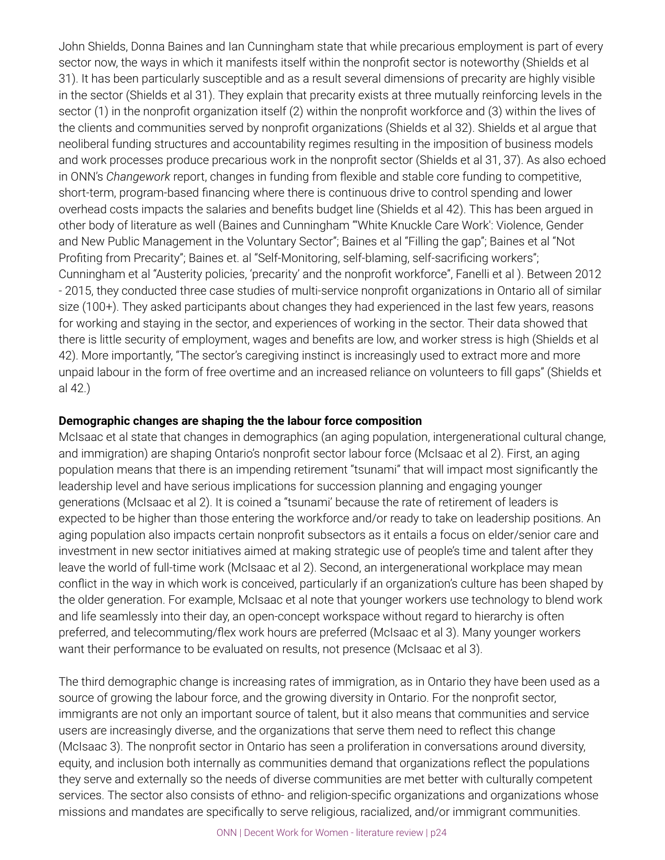John Shields, Donna Baines and Ian Cunningham state that while precarious employment is part of every sector now, the ways in which it manifests itself within the nonprofit sector is noteworthy (Shields et al 31). It has been particularly susceptible and as a result several dimensions of precarity are highly visible in the sector (Shields et al 31). They explain that precarity exists at three mutually reinforcing levels in the sector (1) in the nonprofit organization itself (2) within the nonprofit workforce and (3) within the lives of the clients and communities served by nonprofit organizations (Shields et al 32). Shields et al argue that neoliberal funding structures and accountability regimes resulting in the imposition of business models and work processes produce precarious work in the nonprofit sector (Shields et al 31, 37). As also echoed in ONN's *Changework* report, changes in funding from flexible and stable core funding to competitive, short-term, program-based financing where there is continuous drive to control spending and lower overhead costs impacts the salaries and benefits budget line (Shields et al 42). This has been argued in other body of literature as well (Baines and Cunningham "'White Knuckle Care Work': Violence, Gender and New Public Management in the Voluntary Sector"; Baines et al "Filling the gap"; Baines et al "Not Profiting from Precarity"; Baines et. al "Self-Monitoring, self-blaming, self-sacrificing workers"; Cunningham et al "Austerity policies, 'precarity' and the nonprofit workforce", Fanelli et al ). Between 2012 - 2015, they conducted three case studies of multi-service nonprofit organizations in Ontario all of similar size (100+). They asked participants about changes they had experienced in the last few years, reasons for working and staying in the sector, and experiences of working in the sector. Their data showed that there is little security of employment, wages and benefits are low, and worker stress is high (Shields et al 42). More importantly, "The sector's caregiving instinct is increasingly used to extract more and more unpaid labour in the form of free overtime and an increased reliance on volunteers to fill gaps" (Shields et al 42.)

#### **Demographic changes are shaping the the labour force composition**

McIsaac et al state that changes in demographics (an aging population, intergenerational cultural change, and immigration) are shaping Ontario's nonprofit sector labour force (McIsaac et al 2). First, an aging population means that there is an impending retirement "tsunami" that will impact most significantly the leadership level and have serious implications for succession planning and engaging younger generations (McIsaac et al 2). It is coined a "tsunami' because the rate of retirement of leaders is expected to be higher than those entering the workforce and/or ready to take on leadership positions. An aging population also impacts certain nonprofit subsectors as it entails a focus on elder/senior care and investment in new sector initiatives aimed at making strategic use of people's time and talent after they leave the world of full-time work (McIsaac et al 2). Second, an intergenerational workplace may mean conflict in the way in which work is conceived, particularly if an organization's culture has been shaped by the older generation. For example, McIsaac et al note that younger workers use technology to blend work and life seamlessly into their day, an open-concept workspace without regard to hierarchy is often preferred, and telecommuting/flex work hours are preferred (McIsaac et al 3). Many younger workers want their performance to be evaluated on results, not presence (McIsaac et al 3).

The third demographic change is increasing rates of immigration, as in Ontario they have been used as a source of growing the labour force, and the growing diversity in Ontario. For the nonprofit sector, immigrants are not only an important source of talent, but it also means that communities and service users are increasingly diverse, and the organizations that serve them need to reflect this change (McIsaac 3). The nonprofit sector in Ontario has seen a proliferation in conversations around diversity, equity, and inclusion both internally as communities demand that organizations reflect the populations they serve and externally so the needs of diverse communities are met better with culturally competent services. The sector also consists of ethno- and religion-specific organizations and organizations whose missions and mandates are specifically to serve religious, racialized, and/or immigrant communities.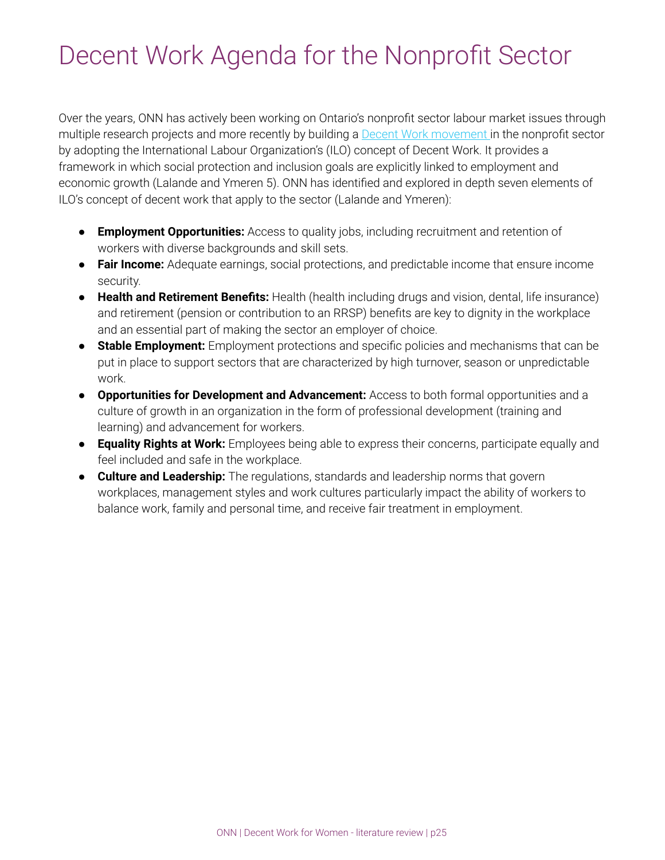## Decent Work Agenda for the Nonprofit Sector

Over the years, ONN has actively been working on Ontario's nonprofit sector labour market issues through multiple research projects and more recently by building a Decent Work [movement](https://theonn.ca/our-work/our-people/decent-work/) in the nonprofit sector by adopting the International Labour Organization's (ILO) concept of Decent Work. It provides a framework in which social protection and inclusion goals are explicitly linked to employment and economic growth (Lalande and Ymeren 5). ONN has identified and explored in depth seven elements of ILO's concept of decent work that apply to the sector (Lalande and Ymeren):

- **Employment Opportunities:** Access to quality jobs, including recruitment and retention of workers with diverse backgrounds and skill sets.
- **Fair Income:** Adequate earnings, social protections, and predictable income that ensure income security.
- **Health and Retirement Benefits:** Health (health including drugs and vision, dental, life insurance) and retirement (pension or contribution to an RRSP) benefits are key to dignity in the workplace and an essential part of making the sector an employer of choice.
- **Stable Employment:** Employment protections and specific policies and mechanisms that can be put in place to support sectors that are characterized by high turnover, season or unpredictable work.
- **Opportunities for Development and Advancement:** Access to both formal opportunities and a culture of growth in an organization in the form of professional development (training and learning) and advancement for workers.
- **Equality Rights at Work:** Employees being able to express their concerns, participate equally and feel included and safe in the workplace.
- **Culture and Leadership:** The regulations, standards and leadership norms that govern workplaces, management styles and work cultures particularly impact the ability of workers to balance work, family and personal time, and receive fair treatment in employment.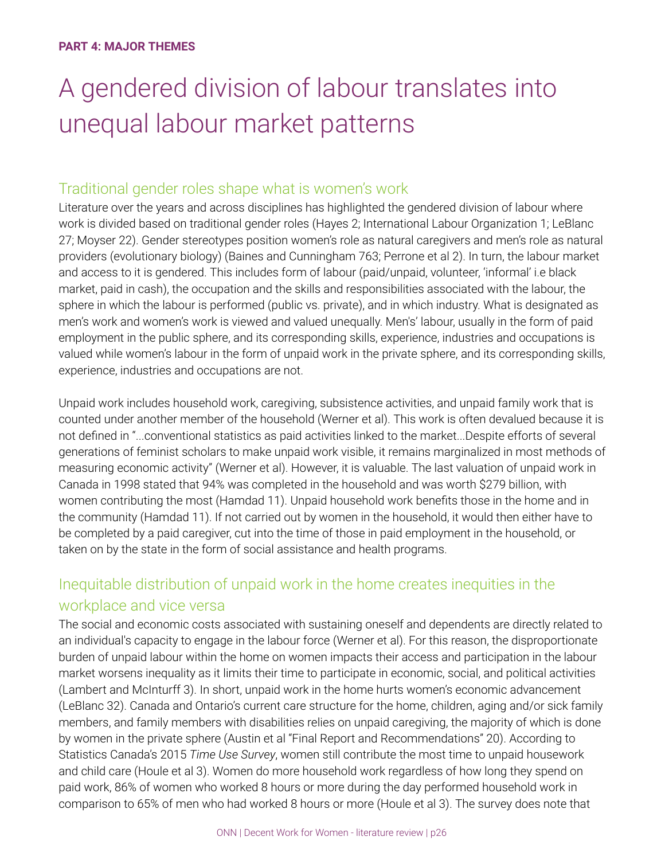## A gendered division of labour translates into unequal labour market patterns

## Traditional gender roles shape what is women's work

Literature over the years and across disciplines has highlighted the gendered division of labour where work is divided based on traditional gender roles (Hayes 2; International Labour Organization 1; LeBlanc 27; Moyser 22). Gender stereotypes position women's role as natural caregivers and men's role as natural providers (evolutionary biology) (Baines and Cunningham 763; Perrone et al 2). In turn, the labour market and access to it is gendered. This includes form of labour (paid/unpaid, volunteer, 'informal' i.e black market, paid in cash), the occupation and the skills and responsibilities associated with the labour, the sphere in which the labour is performed (public vs. private), and in which industry. What is designated as men's work and women's work is viewed and valued unequally. Men's' labour, usually in the form of paid employment in the public sphere, and its corresponding skills, experience, industries and occupations is valued while women's labour in the form of unpaid work in the private sphere, and its corresponding skills, experience, industries and occupations are not.

Unpaid work includes household work, caregiving, subsistence activities, and unpaid family work that is counted under another member of the household (Werner et al). This work is often devalued because it is not defined in "...conventional statistics as paid activities linked to the market...Despite efforts of several generations of feminist scholars to make unpaid work visible, it remains marginalized in most methods of measuring economic activity" (Werner et al). However, it is valuable. The last valuation of unpaid work in Canada in 1998 stated that 94% was completed in the household and was worth \$279 billion, with women contributing the most (Hamdad 11). Unpaid household work benefits those in the home and in the community (Hamdad 11). If not carried out by women in the household, it would then either have to be completed by a paid caregiver, cut into the time of those in paid employment in the household, or taken on by the state in the form of social assistance and health programs.

## Inequitable distribution of unpaid work in the home creates inequities in the workplace and vice versa

The social and economic costs associated with sustaining oneself and dependents are directly related to an individual's capacity to engage in the labour force (Werner et al). For this reason, the disproportionate burden of unpaid labour within the home on women impacts their access and participation in the labour market worsens inequality as it limits their time to participate in economic, social, and political activities (Lambert and McInturff 3). In short, unpaid work in the home hurts women's economic advancement (LeBlanc 32). Canada and Ontario's current care structure for the home, children, aging and/or sick family members, and family members with disabilities relies on unpaid caregiving, the majority of which is done by women in the private sphere (Austin et al "Final Report and Recommendations" 20). According to Statistics Canada's 2015 *Time Use Survey*, women still contribute the most time to unpaid housework and child care (Houle et al 3). Women do more household work regardless of how long they spend on paid work, 86% of women who worked 8 hours or more during the day performed household work in comparison to 65% of men who had worked 8 hours or more (Houle et al 3). The survey does note that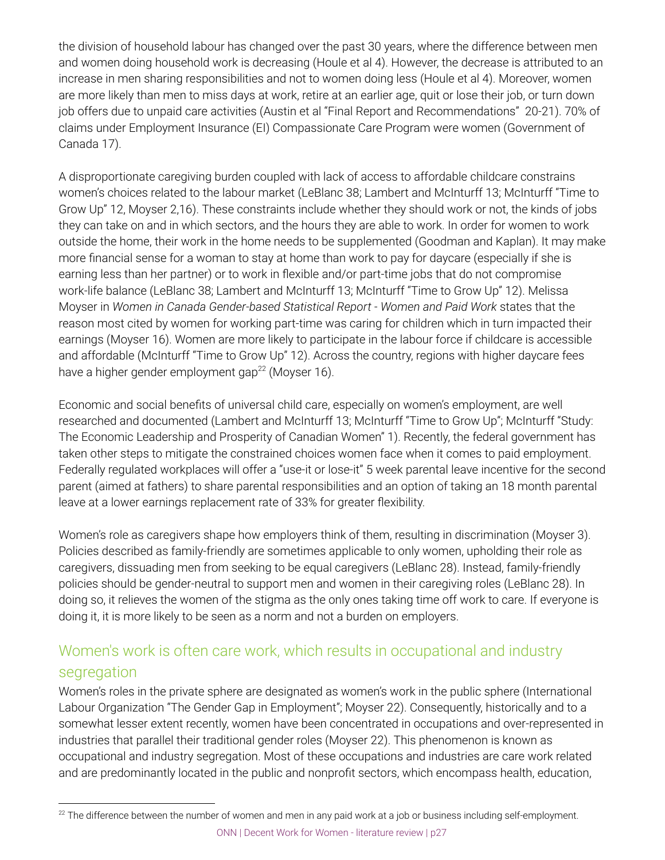the division of household labour has changed over the past 30 years, where the difference between men and women doing household work is decreasing (Houle et al 4). However, the decrease is attributed to an increase in men sharing responsibilities and not to women doing less (Houle et al 4). Moreover, women are more likely than men to miss days at work, retire at an earlier age, quit or lose their job, or turn down job offers due to unpaid care activities (Austin et al "Final Report and Recommendations" 20-21). 70% of claims under Employment Insurance (EI) Compassionate Care Program were women (Government of Canada 17).

A disproportionate caregiving burden coupled with lack of access to affordable childcare constrains women's choices related to the labour market (LeBlanc 38; Lambert and McInturff 13; McInturff "Time to Grow Up" 12, Moyser 2,16). These constraints include whether they should work or not, the kinds of jobs they can take on and in which sectors, and the hours they are able to work. In order for women to work outside the home, their work in the home needs to be supplemented (Goodman and Kaplan). It may make more financial sense for a woman to stay at home than work to pay for daycare (especially if she is earning less than her partner) or to work in flexible and/or part-time jobs that do not compromise work-life balance (LeBlanc 38; Lambert and McInturff 13; McInturff "Time to Grow Up" 12). Melissa Moyser in *Women in Canada Gender-based Statistical Report - Women and Paid Work* states that the reason most cited by women for working part-time was caring for children which in turn impacted their earnings (Moyser 16). Women are more likely to participate in the labour force if childcare is accessible and affordable (McInturff "Time to Grow Up" 12). Across the country, regions with higher daycare fees have a higher gender employment gap<sup>22</sup> (Moyser 16).

Economic and social benefits of universal child care, especially on women's employment, are well researched and documented (Lambert and McInturff 13; McInturff "Time to Grow Up"; McInturff "Study: The Economic Leadership and Prosperity of Canadian Women" 1). Recently, the federal government has taken other steps to mitigate the constrained choices women face when it comes to paid employment. Federally regulated workplaces will offer a "use-it or lose-it" 5 week parental leave incentive for the second parent (aimed at fathers) to share parental responsibilities and an option of taking an 18 month parental leave at a lower earnings replacement rate of 33% for greater flexibility.

Women's role as caregivers shape how employers think of them, resulting in discrimination (Moyser 3). Policies described as family-friendly are sometimes applicable to only women, upholding their role as caregivers, dissuading men from seeking to be equal caregivers (LeBlanc 28). Instead, family-friendly policies should be gender-neutral to support men and women in their caregiving roles (LeBlanc 28). In doing so, it relieves the women of the stigma as the only ones taking time off work to care. If everyone is doing it, it is more likely to be seen as a norm and not a burden on employers.

## Women's work is often care work, which results in occupational and industry segregation

Women's roles in the private sphere are designated as women's work in the public sphere (International Labour Organization "The Gender Gap in Employment"; Moyser 22). Consequently, historically and to a somewhat lesser extent recently, women have been concentrated in occupations and over-represented in industries that parallel their traditional gender roles (Moyser 22). This phenomenon is known as occupational and industry segregation. Most of these occupations and industries are care work related and are predominantly located in the public and nonprofit sectors, which encompass health, education,

 $22$  The difference between the number of women and men in any paid work at a job or business including self-employment. ONN | Decent Work for Women - literature review | p27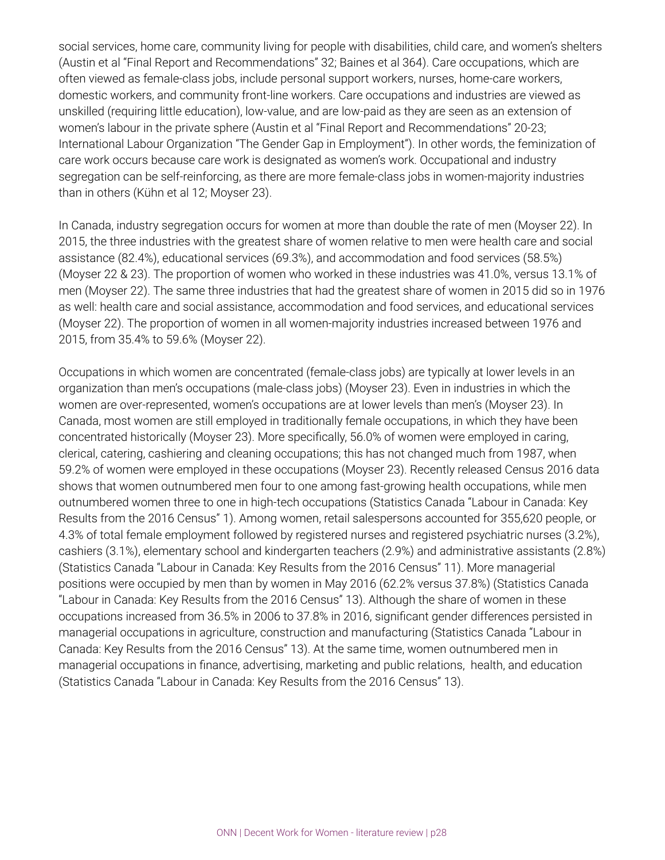social services, home care, community living for people with disabilities, child care, and women's shelters (Austin et al "Final Report and Recommendations" 32; Baines et al 364). Care occupations, which are often viewed as female-class jobs, include personal support workers, nurses, home-care workers, domestic workers, and community front-line workers. Care occupations and industries are viewed as unskilled (requiring little education), low-value, and are low-paid as they are seen as an extension of women's labour in the private sphere (Austin et al "Final Report and Recommendations" 20-23; International Labour Organization "The Gender Gap in Employment"). In other words, the feminization of care work occurs because care work is designated as women's work. Occupational and industry segregation can be self-reinforcing, as there are more female-class jobs in women-majority industries than in others (Kühn et al 12; Moyser 23).

In Canada, industry segregation occurs for women at more than double the rate of men (Moyser 22). In 2015, the three industries with the greatest share of women relative to men were health care and social assistance (82.4%), educational services (69.3%), and accommodation and food services (58.5%) (Moyser 22 & 23). The proportion of women who worked in these industries was 41.0%, versus 13.1% of men (Moyser 22). The same three industries that had the greatest share of women in 2015 did so in 1976 as well: health care and social assistance, accommodation and food services, and educational services (Moyser 22). The proportion of women in all women-majority industries increased between 1976 and 2015, from 35.4% to 59.6% (Moyser 22).

Occupations in which women are concentrated (female-class jobs) are typically at lower levels in an organization than men's occupations (male-class jobs) (Moyser 23). Even in industries in which the women are over-represented, women's occupations are at lower levels than men's (Moyser 23). In Canada, most women are still employed in traditionally female occupations, in which they have been concentrated historically (Moyser 23). More specifically, 56.0% of women were employed in caring, clerical, catering, cashiering and cleaning occupations; this has not changed much from 1987, when 59.2% of women were employed in these occupations (Moyser 23). Recently released Census 2016 data shows that women outnumbered men four to one among fast-growing health occupations, while men outnumbered women three to one in high-tech occupations (Statistics Canada "Labour in Canada: Key Results from the 2016 Census" 1). Among women, retail salespersons accounted for 355,620 people, or 4.3% of total female employment followed by registered nurses and registered psychiatric nurses (3.2%), cashiers (3.1%), elementary school and kindergarten teachers (2.9%) and administrative assistants (2.8%) (Statistics Canada "Labour in Canada: Key Results from the 2016 Census" 11). More managerial positions were occupied by men than by women in May 2016 (62.2% versus 37.8%) (Statistics Canada "Labour in Canada: Key Results from the 2016 Census" 13). Although the share of women in these occupations increased from 36.5% in 2006 to 37.8% in 2016, significant gender differences persisted in managerial occupations in agriculture, construction and manufacturing (Statistics Canada "Labour in Canada: Key Results from the 2016 Census" 13). At the same time, women outnumbered men in managerial occupations in finance, advertising, marketing and public relations, health, and education (Statistics Canada "Labour in Canada: Key Results from the 2016 Census" 13).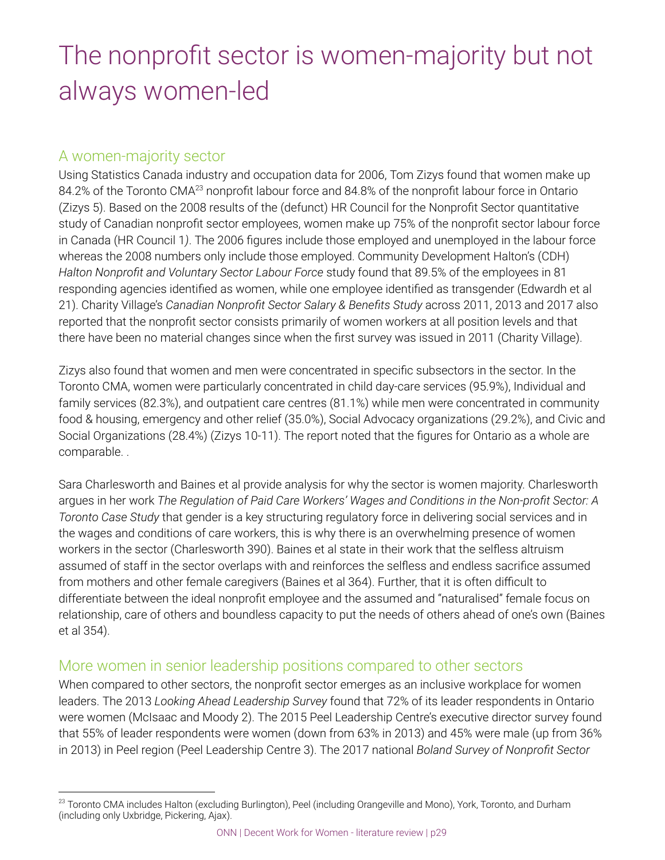## The nonprofit sector is women-majority but not always women-led

## A women-majority sector

Using Statistics Canada industry and occupation data for 2006, Tom Zizys found that women make up 84.2% of the Toronto CMA<sup>23</sup> nonprofit labour force and 84.8% of the nonprofit labour force in Ontario (Zizys 5). Based on the 2008 results of the (defunct) HR Council for the Nonprofit Sector quantitative study of Canadian nonprofit sector employees, women make up 75% of the nonprofit sector labour force in Canada (HR Council 1*)*. The 2006 figures include those employed and unemployed in the labour force whereas the 2008 numbers only include those employed. Community Development Halton's (CDH) *Halton Nonprofit and Voluntary Sector Labour Force* study found that 89.5% of the employees in 81 responding agencies identified as women, while one employee identified as transgender (Edwardh et al 21). Charity Village's *Canadian Nonprofit Sector Salary & Benefits Study* across 2011, 2013 and 2017 also reported that the nonprofit sector consists primarily of women workers at all position levels and that there have been no material changes since when the first survey was issued in 2011 (Charity Village).

Zizys also found that women and men were concentrated in specific subsectors in the sector. In the Toronto CMA, women were particularly concentrated in child day-care services (95.9%), Individual and family services (82.3%), and outpatient care centres (81.1%) while men were concentrated in community food & housing, emergency and other relief (35.0%), Social Advocacy organizations (29.2%), and Civic and Social Organizations (28.4%) (Zizys 10-11). The report noted that the figures for Ontario as a whole are comparable. .

Sara Charlesworth and Baines et al provide analysis for why the sector is women majority. Charlesworth argues in her work *The Regulation of Paid Care Workers' Wages and Conditions in the Non-profit Sector: A Toronto Case Study* that gender is a key structuring regulatory force in delivering social services and in the wages and conditions of care workers, this is why there is an overwhelming presence of women workers in the sector (Charlesworth 390). Baines et al state in their work that the selfless altruism assumed of staff in the sector overlaps with and reinforces the selfless and endless sacrifice assumed from mothers and other female caregivers (Baines et al 364). Further, that it is often difficult to differentiate between the ideal nonprofit employee and the assumed and "naturalised" female focus on relationship, care of others and boundless capacity to put the needs of others ahead of one's own (Baines et al 354).

## More women in senior leadership positions compared to other sectors

When compared to other sectors, the nonprofit sector emerges as an inclusive workplace for women leaders. The 2013 *Looking Ahead Leadership Survey* found that 72% of its leader respondents in Ontario were women (McIsaac and Moody 2). The 2015 Peel Leadership Centre's executive director survey found that 55% of leader respondents were women (down from 63% in 2013) and 45% were male (up from 36% in 2013) in Peel region (Peel Leadership Centre 3). The 2017 national *Boland Survey of Nonprofit Sector*

<sup>&</sup>lt;sup>23</sup> Toronto CMA includes Halton (excluding Burlington), Peel (including Orangeville and Mono), York, Toronto, and Durham (including only Uxbridge, Pickering, Ajax).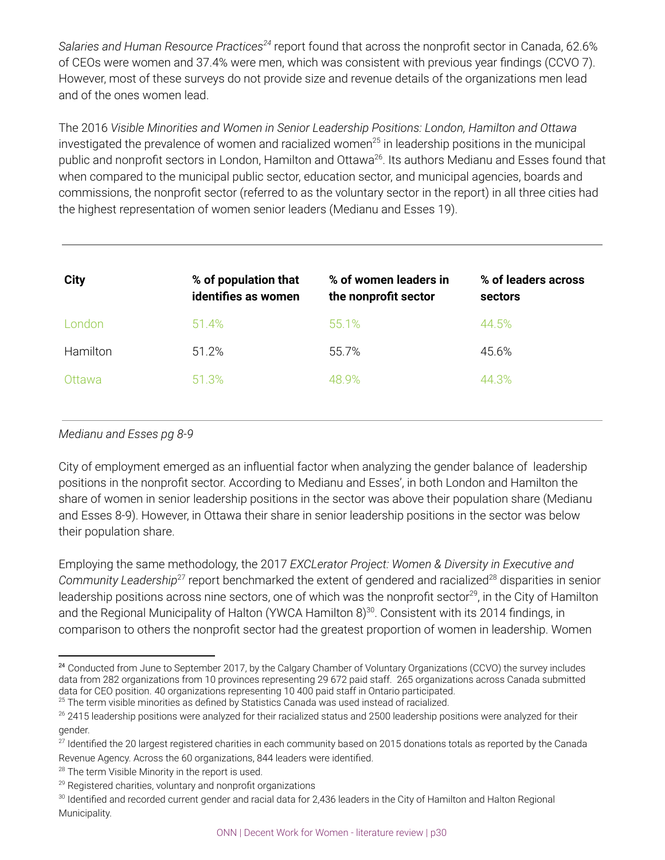*Salaries and Human Resource Practices* report found that across the nonprofit sector in Canada, 62.6% *24* of CEOs were women and 37.4% were men, which was consistent with previous year findings (CCVO 7). However, most of these surveys do not provide size and revenue details of the organizations men lead and of the ones women lead.

The 2016 *Visible Minorities and Women in Senior Leadership Positions: London, Hamilton and Ottawa* investigated the prevalence of women and racialized women<sup>25</sup> in leadership positions in the municipal public and nonprofit sectors in London, Hamilton and Ottawa<sup>26</sup>. Its authors Medianu and Esses found that when compared to the municipal public sector, education sector, and municipal agencies, boards and commissions, the nonprofit sector (referred to as the voluntary sector in the report) in all three cities had the highest representation of women senior leaders (Medianu and Esses 19).

| <b>City</b> | % of population that<br>identifies as women | % of women leaders in<br>the nonprofit sector | % of leaders across<br>sectors |
|-------------|---------------------------------------------|-----------------------------------------------|--------------------------------|
| London      | 51.4%                                       | 55.1%                                         | 44.5%                          |
| Hamilton    | 51.2%                                       | 55.7%                                         | 45.6%                          |
| Ottawa      | 51.3%                                       | 48.9%                                         | 44.3%                          |

### *Medianu and Esses pg 8-9*

City of employment emerged as an influential factor when analyzing the gender balance of leadership positions in the nonprofit sector. According to Medianu and Esses', in both London and Hamilton the share of women in senior leadership positions in the sector was above their population share (Medianu and Esses 8-9). However, in Ottawa their share in senior leadership positions in the sector was below their population share.

Employing the same methodology, the 2017 *EXCLerator Project: Women & Diversity in Executive and* Community Leadership<sup>27</sup> report benchmarked the extent of gendered and racialized<sup>28</sup> disparities in senior leadership positions across nine sectors, one of which was the nonprofit sector $^{29}$ , in the City of Hamilton and the Regional Municipality of Halton (YWCA Hamilton 8) $^{30}$ . Consistent with its 2014 findings, in comparison to others the nonprofit sector had the greatest proportion of women in leadership. Women

<sup>&</sup>lt;sup>24</sup> Conducted from June to September 2017, by the Calgary Chamber of Voluntary Organizations (CCVO) the survey includes data from 282 organizations from 10 provinces representing 29 672 paid staff. 265 organizations across Canada submitted data for CEO position. 40 organizations representing 10 400 paid staff in Ontario participated.

 $25$  The term visible minorities as defined by Statistics Canada was used instead of racialized.

 $26$  2415 leadership positions were analyzed for their racialized status and 2500 leadership positions were analyzed for their gender.

 $27$  Identified the 20 largest registered charities in each community based on 2015 donations totals as reported by the Canada Revenue Agency. Across the 60 organizations, 844 leaders were identified.

 $28$  The term Visible Minority in the report is used.

 $29$  Registered charities, voluntary and nonprofit organizations

<sup>&</sup>lt;sup>30</sup> Identified and recorded current gender and racial data for 2,436 leaders in the City of Hamilton and Halton Regional Municipality.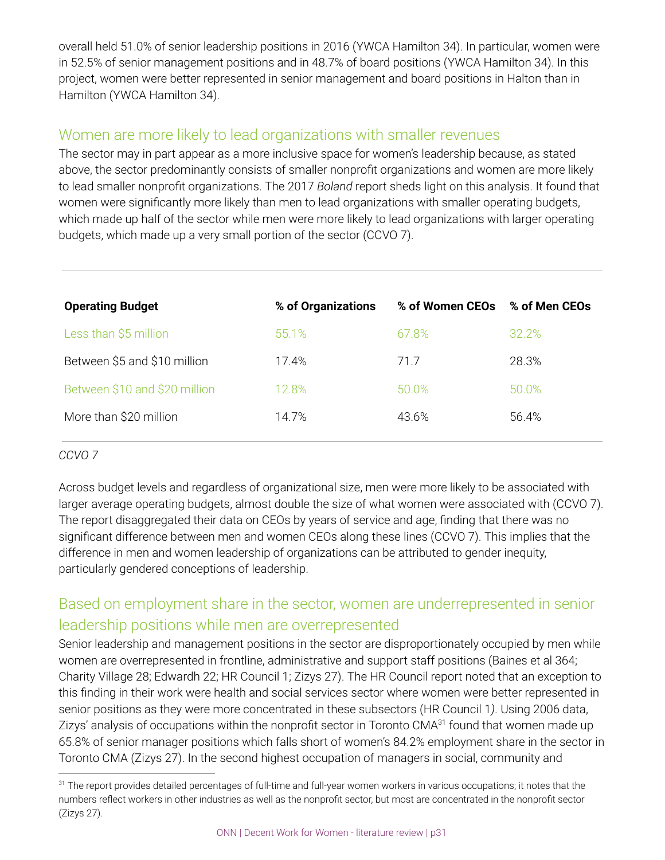overall held 51.0% of senior leadership positions in 2016 (YWCA Hamilton 34). In particular, women were in 52.5% of senior management positions and in 48.7% of board positions (YWCA Hamilton 34). In this project, women were better represented in senior management and board positions in Halton than in Hamilton (YWCA Hamilton 34).

## Women are more likely to lead organizations with smaller revenues

The sector may in part appear as a more inclusive space for women's leadership because, as stated above, the sector predominantly consists of smaller nonprofit organizations and women are more likely to lead smaller nonprofit organizations. The 2017 *Boland* report sheds light on this analysis. It found that women were significantly more likely than men to lead organizations with smaller operating budgets, which made up half of the sector while men were more likely to lead organizations with larger operating budgets, which made up a very small portion of the sector (CCVO 7).

| <b>Operating Budget</b>       | % of Organizations | % of Women CEOs | % of Men CEOs |
|-------------------------------|--------------------|-----------------|---------------|
| Less than \$5 million         | 55.1%              | 67.8%           | 32.2%         |
| Between \$5 and \$10 million  | 17.4%              | 71.7            | 28.3%         |
| Between \$10 and \$20 million | 12.8%              | 50.0%           | 50.0%         |
| More than \$20 million        | 14.7%              | 43.6%           | 56.4%         |

### *CCVO 7*

Across budget levels and regardless of organizational size, men were more likely to be associated with larger average operating budgets, almost double the size of what women were associated with (CCVO 7). The report disaggregated their data on CEOs by years of service and age, finding that there was no significant difference between men and women CEOs along these lines (CCVO 7). This implies that the difference in men and women leadership of organizations can be attributed to gender inequity, particularly gendered conceptions of leadership.

## Based on employment share in the sector, women are underrepresented in senior leadership positions while men are overrepresented

Senior leadership and management positions in the sector are disproportionately occupied by men while women are overrepresented in frontline, administrative and support staff positions (Baines et al 364; Charity Village 28; Edwardh 22; HR Council 1; Zizys 27). The HR Council report noted that an exception to this finding in their work were health and social services sector where women were better represented in senior positions as they were more concentrated in these subsectors (HR Council 1*)*. Using 2006 data, Zizys' analysis of occupations within the nonprofit sector in Toronto CMA<sup>31</sup> found that women made up 65.8% of senior manager positions which falls short of women's 84.2% employment share in the sector in Toronto CMA (Zizys 27). In the second highest occupation of managers in social, community and

<sup>&</sup>lt;sup>31</sup> The report provides detailed percentages of full-time and full-year women workers in various occupations; it notes that the numbers reflect workers in other industries as well as the nonprofit sector, but most are concentrated in the nonprofit sector (Zizys 27).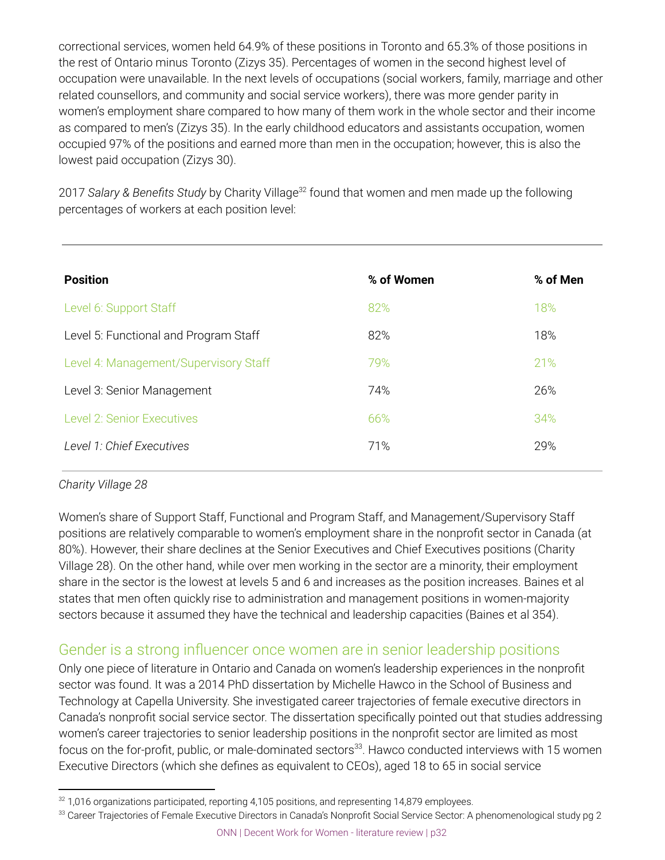correctional services, women held 64.9% of these positions in Toronto and 65.3% of those positions in the rest of Ontario minus Toronto (Zizys 35). Percentages of women in the second highest level of occupation were unavailable. In the next levels of occupations (social workers, family, marriage and other related counsellors, and community and social service workers), there was more gender parity in women's employment share compared to how many of them work in the whole sector and their income as compared to men's (Zizys 35). In the early childhood educators and assistants occupation, women occupied 97% of the positions and earned more than men in the occupation; however, this is also the lowest paid occupation (Zizys 30).

2017 *Salary* & *Benefits Study* by Charity Village<sup>32</sup> found that women and men made up the following percentages of workers at each position level:

| <b>Position</b>                       | % of Women | % of Men |
|---------------------------------------|------------|----------|
| Level 6: Support Staff                | 82%        | 18%      |
| Level 5: Functional and Program Staff | 82%        | 18%      |
| Level 4: Management/Supervisory Staff | 79%        | 21%      |
| Level 3: Senior Management            | 74%        | 26%      |
| <b>Level 2: Senior Executives</b>     | 66%        | 34%      |
| Level 1: Chief Executives             | 71%        | 29%      |
|                                       |            |          |

### *Charity Village 28*

Women's share of Support Staff, Functional and Program Staff, and Management/Supervisory Staff positions are relatively comparable to women's employment share in the nonprofit sector in Canada (at 80%). However, their share declines at the Senior Executives and Chief Executives positions (Charity Village 28). On the other hand, while over men working in the sector are a minority, their employment share in the sector is the lowest at levels 5 and 6 and increases as the position increases. Baines et al states that men often quickly rise to administration and management positions in women-majority sectors because it assumed they have the technical and leadership capacities (Baines et al 354).

## Gender is a strong influencer once women are in senior leadership positions

Only one piece of literature in Ontario and Canada on women's leadership experiences in the nonprofit sector was found. It was a 2014 PhD dissertation by Michelle Hawco in the School of Business and Technology at Capella University. She investigated career trajectories of female executive directors in Canada's nonprofit social service sector. The dissertation specifically pointed out that studies addressing women's career trajectories to senior leadership positions in the nonprofit sector are limited as most focus on the for-profit, public, or male-dominated sectors $^{33}$ . Hawco conducted interviews with 15 women Executive Directors (which she defines as equivalent to CEOs), aged 18 to 65 in social service

 $32$  1,016 organizations participated, reporting 4,105 positions, and representing 14,879 employees.

<sup>33</sup> Career Trajectories of Female Executive Directors in Canada's Nonprofit Social Service Sector: A phenomenological study pg 2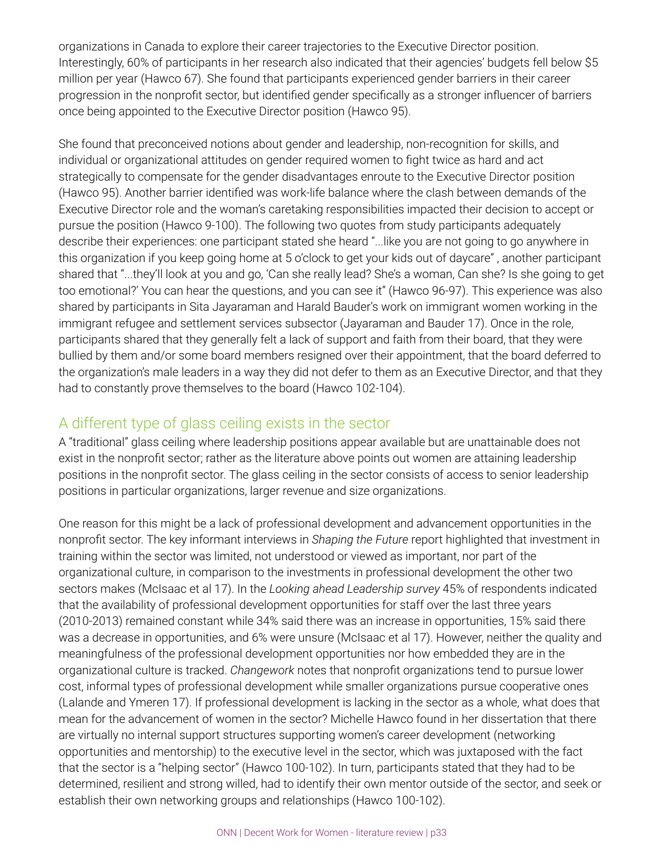organizations in Canada to explore their career trajectories to the Executive Director position. Interestingly, 60% of participants in her research also indicated that their agencies' budgets fell below \$5 million per year (Hawco 67). She found that participants experienced gender barriers in their career progression in the nonprofit sector, but identified gender specifically as a stronger influencer of barriers once being appointed to the Executive Director position (Hawco 95).

She found that preconceived notions about gender and leadership, non-recognition for skills, and individual or organizational attitudes on gender required women to fight twice as hard and act strategically to compensate for the gender disadvantages enroute to the Executive Director position (Hawco 95). Another barrier identified was work-life balance where the clash between demands of the Executive Director role and the woman's caretaking responsibilities impacted their decision to accept or pursue the position (Hawco 9-100). The following two quotes from study participants adequately describe their experiences: one participant stated she heard "...like you are not going to go anywhere in this organization if you keep going home at 5 o'clock to get your kids out of daycare" , another participant shared that "...they'll look at you and go, 'Can she really lead? She's a woman, Can she? Is she going to get too emotional?' You can hear the questions, and you can see it" (Hawco 96-97). This experience was also shared by participants in Sita Jayaraman and Harald Bauder's work on immigrant women working in the immigrant refugee and settlement services subsector (Jayaraman and Bauder 17). Once in the role, participants shared that they generally felt a lack of support and faith from their board, that they were bullied by them and/or some board members resigned over their appointment, that the board deferred to the organization's male leaders in a way they did not defer to them as an Executive Director, and that they had to constantly prove themselves to the board (Hawco 102-104).

## A different type of glass ceiling exists in the sector

A "traditional" glass ceiling where leadership positions appear available but are unattainable does not exist in the nonprofit sector; rather as the literature above points out women are attaining leadership positions in the nonprofit sector. The glass ceiling in the sector consists of access to senior leadership positions in particular organizations, larger revenue and size organizations.

One reason for this might be a lack of professional development and advancement opportunities in the nonprofit sector. The key informant interviews in *Shaping the Future* report highlighted that investment in training within the sector was limited, not understood or viewed as important, nor part of the organizational culture, in comparison to the investments in professional development the other two sectors makes (McIsaac et al 17). In the *Looking ahead Leadership survey* 45% of respondents indicated that the availability of professional development opportunities for staff over the last three years (2010-2013) remained constant while 34% said there was an increase in opportunities, 15% said there was a decrease in opportunities, and 6% were unsure (McIsaac et al 17). However, neither the quality and meaningfulness of the professional development opportunities nor how embedded they are in the organizational culture is tracked. *Changework* notes that nonprofit organizations tend to pursue lower cost, informal types of professional development while smaller organizations pursue cooperative ones (Lalande and Ymeren 17). If professional development is lacking in the sector as a whole, what does that mean for the advancement of women in the sector? Michelle Hawco found in her dissertation that there are virtually no internal support structures supporting women's career development (networking opportunities and mentorship) to the executive level in the sector, which was juxtaposed with the fact that the sector is a "helping sector" (Hawco 100-102). In turn, participants stated that they had to be determined, resilient and strong willed, had to identify their own mentor outside of the sector, and seek or establish their own networking groups and relationships (Hawco 100-102).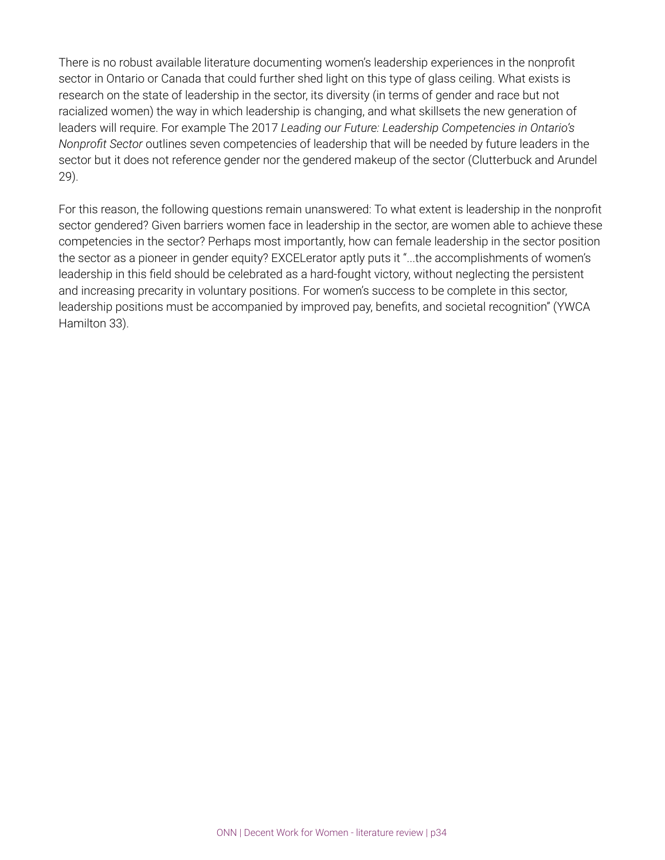There is no robust available literature documenting women's leadership experiences in the nonprofit sector in Ontario or Canada that could further shed light on this type of glass ceiling. What exists is research on the state of leadership in the sector, its diversity (in terms of gender and race but not racialized women) the way in which leadership is changing, and what skillsets the new generation of leaders will require. For example The 2017 *Leading our Future: Leadership Competencies in Ontario's Nonprofit Sector* outlines seven competencies of leadership that will be needed by future leaders in the sector but it does not reference gender nor the gendered makeup of the sector (Clutterbuck and Arundel 29).

For this reason, the following questions remain unanswered: To what extent is leadership in the nonprofit sector gendered? Given barriers women face in leadership in the sector, are women able to achieve these competencies in the sector? Perhaps most importantly, how can female leadership in the sector position the sector as a pioneer in gender equity? EXCELerator aptly puts it "...the accomplishments of women's leadership in this field should be celebrated as a hard-fought victory, without neglecting the persistent and increasing precarity in voluntary positions. For women's success to be complete in this sector, leadership positions must be accompanied by improved pay, benefits, and societal recognition" (YWCA Hamilton 33).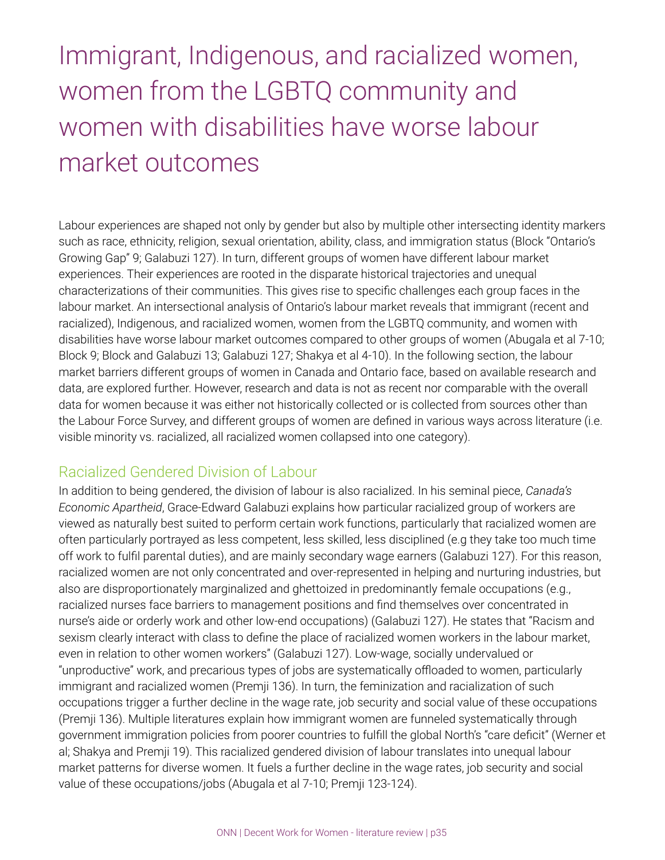## Immigrant, Indigenous, and racialized women, women from the LGBTQ community and women with disabilities have worse labour market outcomes

Labour experiences are shaped not only by gender but also by multiple other intersecting identity markers such as race, ethnicity, religion, sexual orientation, ability, class, and immigration status (Block "Ontario's Growing Gap" 9; Galabuzi 127). In turn, different groups of women have different labour market experiences. Their experiences are rooted in the disparate historical trajectories and unequal characterizations of their communities. This gives rise to specific challenges each group faces in the labour market. An intersectional analysis of Ontario's labour market reveals that immigrant (recent and racialized), Indigenous, and racialized women, women from the LGBTQ community, and women with disabilities have worse labour market outcomes compared to other groups of women (Abugala et al 7-10; Block 9; Block and Galabuzi 13; Galabuzi 127; Shakya et al 4-10). In the following section, the labour market barriers different groups of women in Canada and Ontario face, based on available research and data, are explored further. However, research and data is not as recent nor comparable with the overall data for women because it was either not historically collected or is collected from sources other than the Labour Force Survey, and different groups of women are defined in various ways across literature (i.e. visible minority vs. racialized, all racialized women collapsed into one category).

## Racialized Gendered Division of Labour

In addition to being gendered, the division of labour is also racialized. In his seminal piece, *Canada's Economic Apartheid*, Grace-Edward Galabuzi explains how particular racialized group of workers are viewed as naturally best suited to perform certain work functions, particularly that racialized women are often particularly portrayed as less competent, less skilled, less disciplined (e.g they take too much time off work to fulfil parental duties), and are mainly secondary wage earners (Galabuzi 127). For this reason, racialized women are not only concentrated and over-represented in helping and nurturing industries, but also are disproportionately marginalized and ghettoized in predominantly female occupations (e.g., racialized nurses face barriers to management positions and find themselves over concentrated in nurse's aide or orderly work and other low-end occupations) (Galabuzi 127). He states that "Racism and sexism clearly interact with class to define the place of racialized women workers in the labour market, even in relation to other women workers" (Galabuzi 127). Low-wage, socially undervalued or "unproductive" work, and precarious types of jobs are systematically offloaded to women, particularly immigrant and racialized women (Premji 136). In turn, the feminization and racialization of such occupations trigger a further decline in the wage rate, job security and social value of these occupations (Premji 136). Multiple literatures explain how immigrant women are funneled systematically through government immigration policies from poorer countries to fulfill the global North's "care deficit" (Werner et al; Shakya and Premji 19). This racialized gendered division of labour translates into unequal labour market patterns for diverse women. It fuels a further decline in the wage rates, job security and social value of these occupations/jobs (Abugala et al 7-10; Premji 123-124).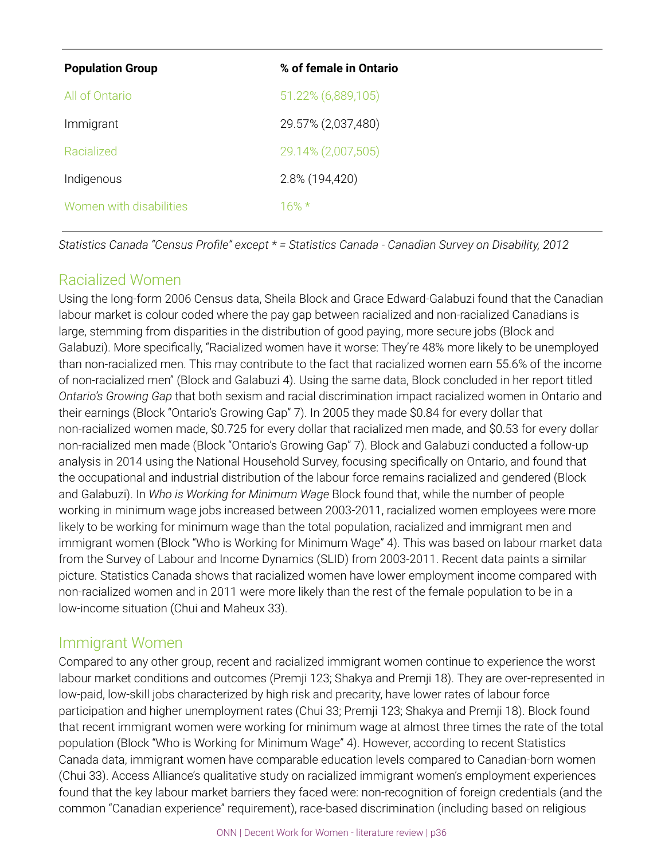| <b>Population Group</b> | % of female in Ontario |
|-------------------------|------------------------|
| All of Ontario          | 51.22% (6,889,105)     |
| Immigrant               | 29.57% (2,037,480)     |
| Racialized              | 29.14% (2,007,505)     |
| Indigenous              | 2.8% (194,420)         |
| Women with disabilities | $16\% *$               |

*Statistics Canada "Census Profile" except \* = Statistics Canada - Canadian Survey on Disability, 2012*

## Racialized Women

Using the long-form 2006 Census data, Sheila Block and Grace Edward-Galabuzi found that the Canadian labour market is colour coded where the pay gap between racialized and non-racialized Canadians is large, stemming from disparities in the distribution of good paying, more secure jobs (Block and Galabuzi). More specifically, "Racialized women have it worse: They're 48% more likely to be unemployed than non-racialized men. This may contribute to the fact that racialized women earn 55.6% of the income of non-racialized men" (Block and Galabuzi 4). Using the same data, Block concluded in her report titled *Ontario's Growing Gap* that both sexism and racial discrimination impact racialized women in Ontario and their earnings (Block "Ontario's Growing Gap" 7). In 2005 they made \$0.84 for every dollar that non-racialized women made, \$0.725 for every dollar that racialized men made, and \$0.53 for every dollar non-racialized men made (Block "Ontario's Growing Gap" 7). Block and Galabuzi conducted a follow-up analysis in 2014 using the National Household Survey, focusing specifically on Ontario, and found that the occupational and industrial distribution of the labour force remains racialized and gendered (Block and Galabuzi). In *Who is Working for Minimum Wage* Block found that, while the number of people working in minimum wage jobs increased between 2003-2011, racialized women employees were more likely to be working for minimum wage than the total population, racialized and immigrant men and immigrant women (Block "Who is Working for Minimum Wage" 4). This was based on labour market data from the Survey of Labour and Income Dynamics (SLID) from 2003-2011. Recent data paints a similar picture. Statistics Canada shows that racialized women have lower employment income compared with non-racialized women and in 2011 were more likely than the rest of the female population to be in a low-income situation (Chui and Maheux 33).

## Immigrant Women

Compared to any other group, recent and racialized immigrant women continue to experience the worst labour market conditions and outcomes (Premji 123; Shakya and Premji 18). They are over-represented in low-paid, low-skill jobs characterized by high risk and precarity, have lower rates of labour force participation and higher unemployment rates (Chui 33; Premji 123; Shakya and Premji 18). Block found that recent immigrant women were working for minimum wage at almost three times the rate of the total population (Block "Who is Working for Minimum Wage" 4). However, according to recent Statistics Canada data, immigrant women have comparable education levels compared to Canadian-born women (Chui 33). Access Alliance's qualitative study on racialized immigrant women's employment experiences found that the key labour market barriers they faced were: non-recognition of foreign credentials (and the common "Canadian experience" requirement), race-based discrimination (including based on religious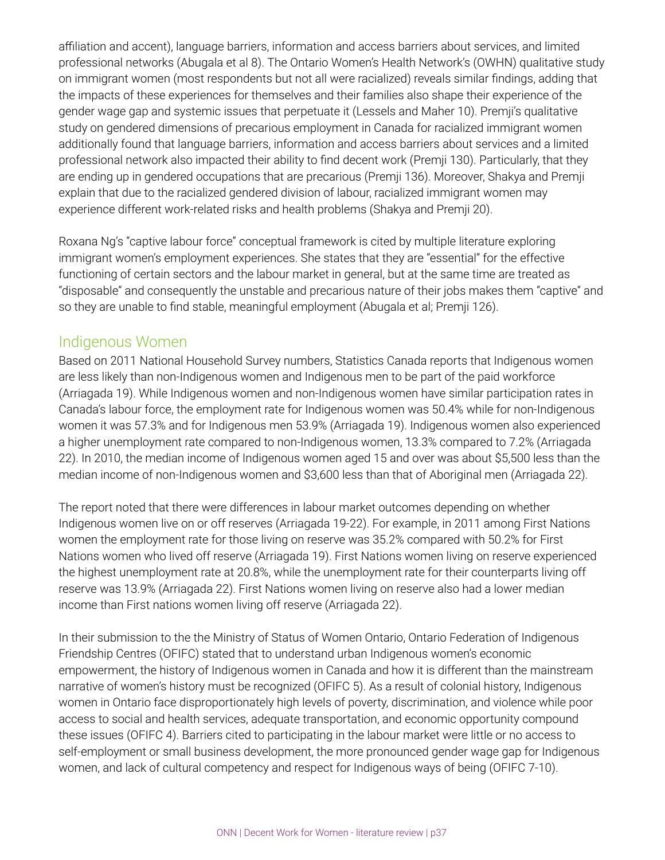affiliation and accent), language barriers, information and access barriers about services, and limited professional networks (Abugala et al 8). The Ontario Women's Health Network's (OWHN) qualitative study on immigrant women (most respondents but not all were racialized) reveals similar findings, adding that the impacts of these experiences for themselves and their families also shape their experience of the gender wage gap and systemic issues that perpetuate it (Lessels and Maher 10). Premji's qualitative study on gendered dimensions of precarious employment in Canada for racialized immigrant women additionally found that language barriers, information and access barriers about services and a limited professional network also impacted their ability to find decent work (Premji 130). Particularly, that they are ending up in gendered occupations that are precarious (Premji 136). Moreover, Shakya and Premji explain that due to the racialized gendered division of labour, racialized immigrant women may experience different work-related risks and health problems (Shakya and Premji 20).

Roxana Ng's "captive labour force" conceptual framework is cited by multiple literature exploring immigrant women's employment experiences. She states that they are "essential" for the effective functioning of certain sectors and the labour market in general, but at the same time are treated as "disposable" and consequently the unstable and precarious nature of their jobs makes them "captive" and so they are unable to find stable, meaningful employment (Abugala et al; Premji 126).

## Indigenous Women

Based on 2011 National Household Survey numbers, Statistics Canada reports that Indigenous women are less likely than non-Indigenous women and Indigenous men to be part of the paid workforce (Arriagada 19). While Indigenous women and non-Indigenous women have similar participation rates in Canada's labour force, the employment rate for Indigenous women was 50.4% while for non-Indigenous women it was 57.3% and for Indigenous men 53.9% (Arriagada 19). Indigenous women also experienced a higher unemployment rate compared to non-Indigenous women, 13.3% compared to 7.2% (Arriagada 22). In 2010, the median income of Indigenous women aged 15 and over was about \$5,500 less than the median income of non-Indigenous women and \$3,600 less than that of Aboriginal men (Arriagada 22).

The report noted that there were differences in labour market outcomes depending on whether Indigenous women live on or off reserves (Arriagada 19-22). For example, in 2011 among First Nations women the employment rate for those living on reserve was 35.2% compared with 50.2% for First Nations women who lived off reserve (Arriagada 19). First Nations women living on reserve experienced the highest unemployment rate at 20.8%, while the unemployment rate for their counterparts living off reserve was 13.9% (Arriagada 22). First Nations women living on reserve also had a lower median income than First nations women living off reserve (Arriagada 22).

In their submission to the the Ministry of Status of Women Ontario, Ontario Federation of Indigenous Friendship Centres (OFIFC) stated that to understand urban Indigenous women's economic empowerment, the history of Indigenous women in Canada and how it is different than the mainstream narrative of women's history must be recognized (OFIFC 5). As a result of colonial history, Indigenous women in Ontario face disproportionately high levels of poverty, discrimination, and violence while poor access to social and health services, adequate transportation, and economic opportunity compound these issues (OFIFC 4). Barriers cited to participating in the labour market were little or no access to self-employment or small business development, the more pronounced gender wage gap for Indigenous women, and lack of cultural competency and respect for Indigenous ways of being (OFIFC 7-10).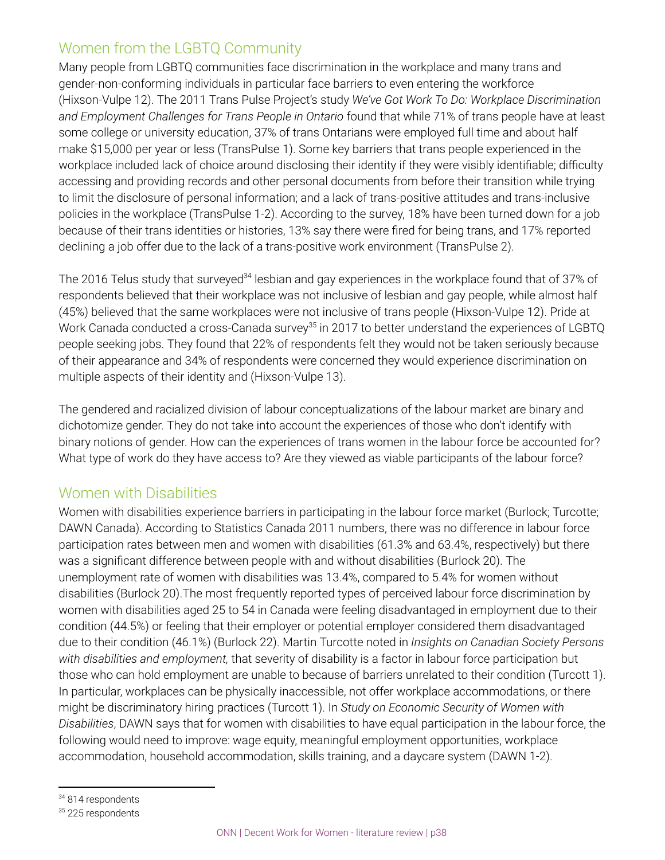## Women from the LGBTQ Community

Many people from LGBTQ communities face discrimination in the workplace and many trans and gender-non-conforming individuals in particular face barriers to even entering the workforce (Hixson-Vulpe 12). The 2011 Trans Pulse Project's study *We've Got Work To Do: Workplace Discrimination and Employment Challenges for Trans People in Ontario* found that while 71% of trans people have at least some college or university education, 37% of trans Ontarians were employed full time and about half make \$15,000 per year or less (TransPulse 1). Some key barriers that trans people experienced in the workplace included lack of choice around disclosing their identity if they were visibly identifiable; difficulty accessing and providing records and other personal documents from before their transition while trying to limit the disclosure of personal information; and a lack of trans-positive attitudes and trans-inclusive policies in the workplace (TransPulse 1-2). According to the survey, 18% have been turned down for a job because of their trans identities or histories, 13% say there were fired for being trans, and 17% reported declining a job offer due to the lack of a trans-positive work environment (TransPulse 2).

The 2016 Telus study that surveyed $^{34}$  lesbian and gay experiences in the workplace found that of 37% of respondents believed that their workplace was not inclusive of lesbian and gay people, while almost half (45%) believed that the same workplaces were not inclusive of trans people (Hixson-Vulpe 12). Pride at Work Canada conducted a cross-Canada survey $^{35}$  in 2017 to better understand the experiences of LGBTQ people seeking jobs. They found that 22% of respondents felt they would not be taken seriously because of their appearance and 34% of respondents were concerned they would experience discrimination on multiple aspects of their identity and (Hixson-Vulpe 13).

The gendered and racialized division of labour conceptualizations of the labour market are binary and dichotomize gender. They do not take into account the experiences of those who don't identify with binary notions of gender. How can the experiences of trans women in the labour force be accounted for? What type of work do they have access to? Are they viewed as viable participants of the labour force?

## Women with Disabilities

Women with disabilities experience barriers in participating in the labour force market (Burlock; Turcotte; DAWN Canada). According to Statistics Canada 2011 numbers, there was no difference in labour force participation rates between men and women with disabilities (61.3% and 63.4%, respectively) but there was a significant difference between people with and without disabilities (Burlock 20). The unemployment rate of women with disabilities was 13.4%, compared to 5.4% for women without disabilities (Burlock 20).The most frequently reported types of perceived labour force discrimination by women with disabilities aged 25 to 54 in Canada were feeling disadvantaged in employment due to their condition (44.5%) or feeling that their employer or potential employer considered them disadvantaged due to their condition (46.1%) (Burlock 22). Martin Turcotte noted in *Insights on Canadian Society Persons with disabilities and employment,* that severity of disability is a factor in labour force participation but those who can hold employment are unable to because of barriers unrelated to their condition (Turcott 1). In particular, workplaces can be physically inaccessible, not offer workplace accommodations, or there might be discriminatory hiring practices (Turcott 1). In *Study on Economic Security of Women with Disabilities*, DAWN says that for women with disabilities to have equal participation in the labour force, the following would need to improve: wage equity, meaningful employment opportunities, workplace accommodation, household accommodation, skills training, and a daycare system (DAWN 1-2).

<sup>&</sup>lt;sup>34</sup> 814 respondents

<sup>&</sup>lt;sup>35</sup> 225 respondents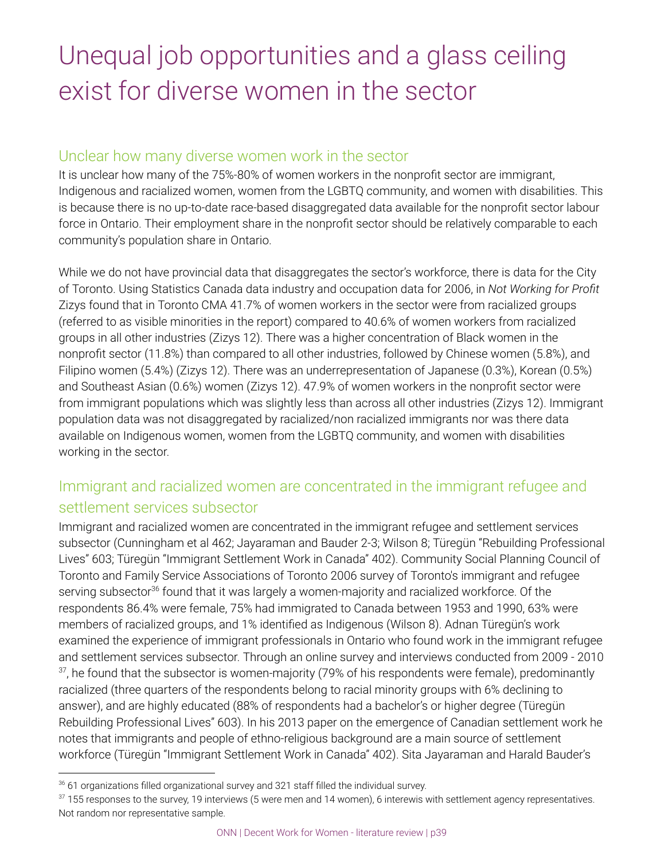## Unequal job opportunities and a glass ceiling exist for diverse women in the sector

## Unclear how many diverse women work in the sector

It is unclear how many of the 75%-80% of women workers in the nonprofit sector are immigrant, Indigenous and racialized women, women from the LGBTQ community, and women with disabilities. This is because there is no up-to-date race-based disaggregated data available for the nonprofit sector labour force in Ontario. Their employment share in the nonprofit sector should be relatively comparable to each community's population share in Ontario.

While we do not have provincial data that disaggregates the sector's workforce, there is data for the City of Toronto. Using Statistics Canada data industry and occupation data for 2006, in *Not Working for Profit* Zizys found that in Toronto CMA 41.7% of women workers in the sector were from racialized groups (referred to as visible minorities in the report) compared to 40.6% of women workers from racialized groups in all other industries (Zizys 12). There was a higher concentration of Black women in the nonprofit sector (11.8%) than compared to all other industries, followed by Chinese women (5.8%), and Filipino women (5.4%) (Zizys 12). There was an underrepresentation of Japanese (0.3%), Korean (0.5%) and Southeast Asian (0.6%) women (Zizys 12). 47.9% of women workers in the nonprofit sector were from immigrant populations which was slightly less than across all other industries (Zizys 12). Immigrant population data was not disaggregated by racialized/non racialized immigrants nor was there data available on Indigenous women, women from the LGBTQ community, and women with disabilities working in the sector.

## Immigrant and racialized women are concentrated in the immigrant refugee and settlement services subsector

Immigrant and racialized women are concentrated in the immigrant refugee and settlement services subsector (Cunningham et al 462; Jayaraman and Bauder 2-3; Wilson 8; Türegün "Rebuilding Professional Lives" 603; Türegün "Immigrant Settlement Work in Canada" 402). Community Social Planning Council of Toronto and Family Service Associations of Toronto 2006 survey of Toronto's immigrant and refugee serving subsector<sup>36</sup> found that it was largely a women-majority and racialized workforce. Of the respondents 86.4% were female, 75% had immigrated to Canada between 1953 and 1990, 63% were members of racialized groups, and 1% identified as Indigenous (Wilson 8). Adnan Türegün's work examined the experience of immigrant professionals in Ontario who found work in the immigrant refugee and settlement services subsector. Through an online survey and interviews conducted from 2009 - 2010  $\mathrm{^{37}}$ , he found that the subsector is women-majority (79% of his respondents were female), predominantly racialized (three quarters of the respondents belong to racial minority groups with 6% declining to answer), and are highly educated (88% of respondents had a bachelor's or higher degree (Türegün Rebuilding Professional Lives" 603). In his 2013 paper on the emergence of Canadian settlement work he notes that immigrants and people of ethno-religious background are a main source of settlement workforce (Türegün "Immigrant Settlement Work in Canada" 402). Sita Jayaraman and Harald Bauder's

 $36$  61 organizations filled organizational survey and 321 staff filled the individual survey.

 $37$  155 responses to the survey, 19 interviews (5 were men and 14 women), 6 interewis with settlement agency representatives. Not random nor representative sample.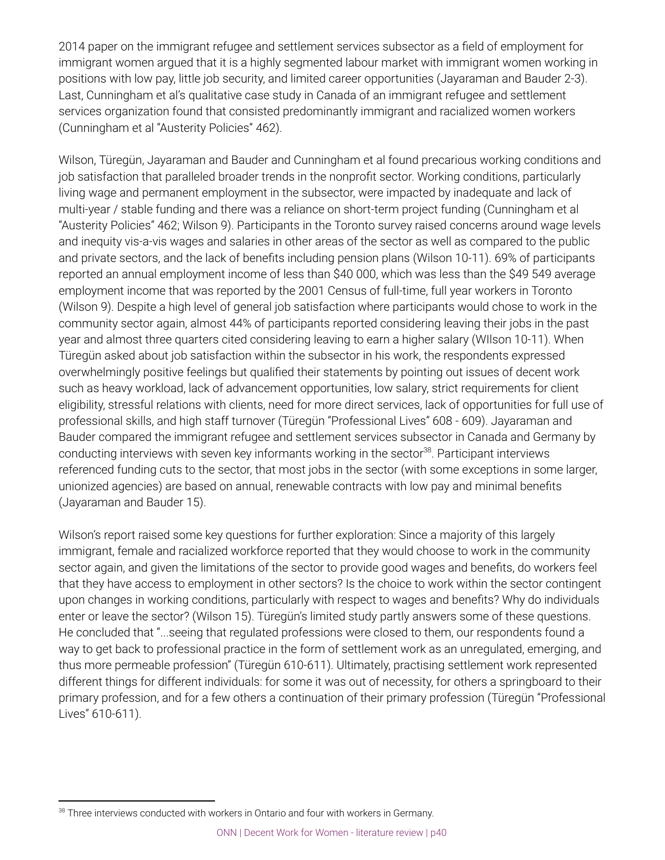2014 paper on the immigrant refugee and settlement services subsector as a field of employment for immigrant women argued that it is a highly segmented labour market with immigrant women working in positions with low pay, little job security, and limited career opportunities (Jayaraman and Bauder 2-3). Last, Cunningham et al's qualitative case study in Canada of an immigrant refugee and settlement services organization found that consisted predominantly immigrant and racialized women workers (Cunningham et al "Austerity Policies" 462).

Wilson, Türegün, Jayaraman and Bauder and Cunningham et al found precarious working conditions and job satisfaction that paralleled broader trends in the nonprofit sector. Working conditions, particularly living wage and permanent employment in the subsector, were impacted by inadequate and lack of multi-year / stable funding and there was a reliance on short-term project funding (Cunningham et al "Austerity Policies" 462; Wilson 9). Participants in the Toronto survey raised concerns around wage levels and inequity vis-a-vis wages and salaries in other areas of the sector as well as compared to the public and private sectors, and the lack of benefits including pension plans (Wilson 10-11). 69% of participants reported an annual employment income of less than \$40 000, which was less than the \$49 549 average employment income that was reported by the 2001 Census of full-time, full year workers in Toronto (Wilson 9). Despite a high level of general job satisfaction where participants would chose to work in the community sector again, almost 44% of participants reported considering leaving their jobs in the past year and almost three quarters cited considering leaving to earn a higher salary (WIlson 10-11). When Türegün asked about job satisfaction within the subsector in his work, the respondents expressed overwhelmingly positive feelings but qualified their statements by pointing out issues of decent work such as heavy workload, lack of advancement opportunities, low salary, strict requirements for client eligibility, stressful relations with clients, need for more direct services, lack of opportunities for full use of professional skills, and high staff turnover (Türegün "Professional Lives" 608 - 609). Jayaraman and Bauder compared the immigrant refugee and settlement services subsector in Canada and Germany by conducting interviews with seven key informants working in the sector<sup>38</sup>. Participant interviews referenced funding cuts to the sector, that most jobs in the sector (with some exceptions in some larger, unionized agencies) are based on annual, renewable contracts with low pay and minimal benefits (Jayaraman and Bauder 15).

Wilson's report raised some key questions for further exploration: Since a majority of this largely immigrant, female and racialized workforce reported that they would choose to work in the community sector again, and given the limitations of the sector to provide good wages and benefits, do workers feel that they have access to employment in other sectors? Is the choice to work within the sector contingent upon changes in working conditions, particularly with respect to wages and benefits? Why do individuals enter or leave the sector? (Wilson 15). Türegün's limited study partly answers some of these questions. He concluded that "...seeing that regulated professions were closed to them, our respondents found a way to get back to professional practice in the form of settlement work as an unregulated, emerging, and thus more permeable profession" (Türegün 610-611). Ultimately, practising settlement work represented different things for different individuals: for some it was out of necessity, for others a springboard to their primary profession, and for a few others a continuation of their primary profession (Türegün "Professional Lives" 610-611).

<sup>&</sup>lt;sup>38</sup> Three interviews conducted with workers in Ontario and four with workers in Germany.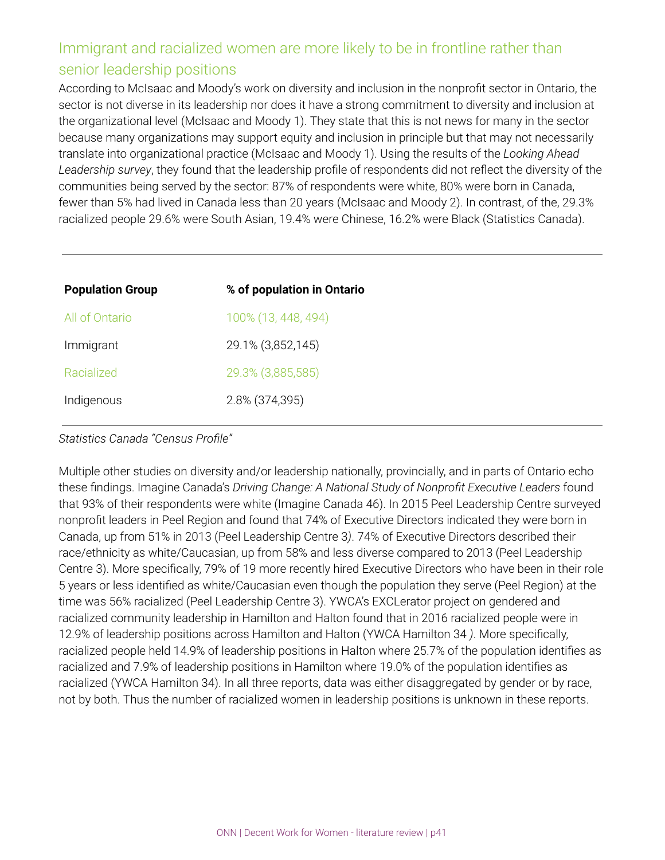## Immigrant and racialized women are more likely to be in frontline rather than senior leadership positions

According to McIsaac and Moody's work on diversity and inclusion in the nonprofit sector in Ontario, the sector is not diverse in its leadership nor does it have a strong commitment to diversity and inclusion at the organizational level (McIsaac and Moody 1). They state that this is not news for many in the sector because many organizations may support equity and inclusion in principle but that may not necessarily translate into organizational practice (McIsaac and Moody 1). Using the results of the *Looking Ahead Leadership survey*, they found that the leadership profile of respondents did not reflect the diversity of the communities being served by the sector: 87% of respondents were white, 80% were born in Canada, fewer than 5% had lived in Canada less than 20 years (McIsaac and Moody 2). In contrast, of the, 29.3% racialized people 29.6% were South Asian, 19.4% were Chinese, 16.2% were Black (Statistics Canada).

| % of population in Ontario |
|----------------------------|
| 100% (13, 448, 494)        |
| 29.1% (3,852,145)          |
| 29.3% (3,885,585)          |
| 2.8% (374,395)             |
|                            |

*Statistics Canada "Census Profile"*

Multiple other studies on diversity and/or leadership nationally, provincially, and in parts of Ontario echo these findings. Imagine Canada's *Driving Change: A National Study of Nonprofit Executive Leaders* found that 93% of their respondents were white (Imagine Canada 46). In 2015 Peel Leadership Centre surveyed nonprofit leaders in Peel Region and found that 74% of Executive Directors indicated they were born in Canada, up from 51% in 2013 (Peel Leadership Centre 3*)*. 74% of Executive Directors described their race/ethnicity as white/Caucasian, up from 58% and less diverse compared to 2013 (Peel Leadership Centre 3). More specifically, 79% of 19 more recently hired Executive Directors who have been in their role 5 years or less identified as white/Caucasian even though the population they serve (Peel Region) at the time was 56% racialized (Peel Leadership Centre 3). YWCA's EXCLerator project on gendered and racialized community leadership in Hamilton and Halton found that in 2016 racialized people were in 12.9% of leadership positions across Hamilton and Halton (YWCA Hamilton 34 *)*. More specifically, racialized people held 14.9% of leadership positions in Halton where 25.7% of the population identifies as racialized and 7.9% of leadership positions in Hamilton where 19.0% of the population identifies as racialized (YWCA Hamilton 34). In all three reports, data was either disaggregated by gender or by race, not by both. Thus the number of racialized women in leadership positions is unknown in these reports.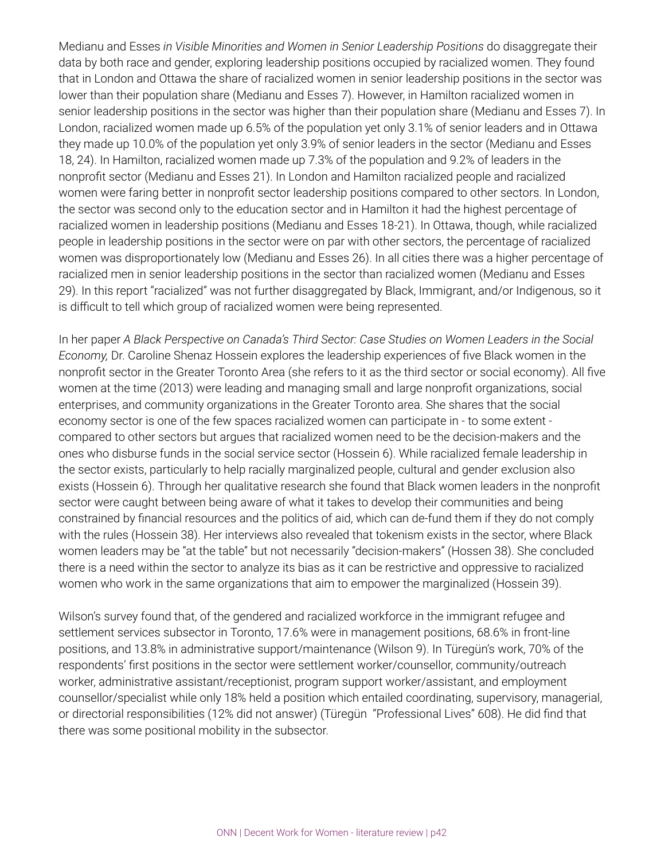Medianu and Esses *in Visible Minorities and Women in Senior Leadership Positions* do disaggregate their data by both race and gender, exploring leadership positions occupied by racialized women. They found that in London and Ottawa the share of racialized women in senior leadership positions in the sector was lower than their population share (Medianu and Esses 7). However, in Hamilton racialized women in senior leadership positions in the sector was higher than their population share (Medianu and Esses 7). In London, racialized women made up 6.5% of the population yet only 3.1% of senior leaders and in Ottawa they made up 10.0% of the population yet only 3.9% of senior leaders in the sector (Medianu and Esses 18, 24). In Hamilton, racialized women made up 7.3% of the population and 9.2% of leaders in the nonprofit sector (Medianu and Esses 21). In London and Hamilton racialized people and racialized women were faring better in nonprofit sector leadership positions compared to other sectors. In London, the sector was second only to the education sector and in Hamilton it had the highest percentage of racialized women in leadership positions (Medianu and Esses 18-21). In Ottawa, though, while racialized people in leadership positions in the sector were on par with other sectors, the percentage of racialized women was disproportionately low (Medianu and Esses 26). In all cities there was a higher percentage of racialized men in senior leadership positions in the sector than racialized women (Medianu and Esses 29). In this report "racialized" was not further disaggregated by Black, Immigrant, and/or Indigenous, so it is difficult to tell which group of racialized women were being represented.

In her paper *A Black Perspective on Canada's Third Sector: Case Studies on Women Leaders in the Social Economy,* Dr. Caroline Shenaz Hossein explores the leadership experiences of five Black women in the nonprofit sector in the Greater Toronto Area (she refers to it as the third sector or social economy). All five women at the time (2013) were leading and managing small and large nonprofit organizations, social enterprises, and community organizations in the Greater Toronto area. She shares that the social economy sector is one of the few spaces racialized women can participate in - to some extent compared to other sectors but argues that racialized women need to be the decision-makers and the ones who disburse funds in the social service sector (Hossein 6). While racialized female leadership in the sector exists, particularly to help racially marginalized people, cultural and gender exclusion also exists (Hossein 6). Through her qualitative research she found that Black women leaders in the nonprofit sector were caught between being aware of what it takes to develop their communities and being constrained by financial resources and the politics of aid, which can de-fund them if they do not comply with the rules (Hossein 38). Her interviews also revealed that tokenism exists in the sector, where Black women leaders may be "at the table" but not necessarily "decision-makers" (Hossen 38). She concluded there is a need within the sector to analyze its bias as it can be restrictive and oppressive to racialized women who work in the same organizations that aim to empower the marginalized (Hossein 39).

Wilson's survey found that, of the gendered and racialized workforce in the immigrant refugee and settlement services subsector in Toronto, 17.6% were in management positions, 68.6% in front-line positions, and 13.8% in administrative support/maintenance (Wilson 9). In Türegün's work, 70% of the respondents' first positions in the sector were settlement worker/counsellor, community/outreach worker, administrative assistant/receptionist, program support worker/assistant, and employment counsellor/specialist while only 18% held a position which entailed coordinating, supervisory, managerial, or directorial responsibilities (12% did not answer) (Türegün "Professional Lives" 608). He did find that there was some positional mobility in the subsector.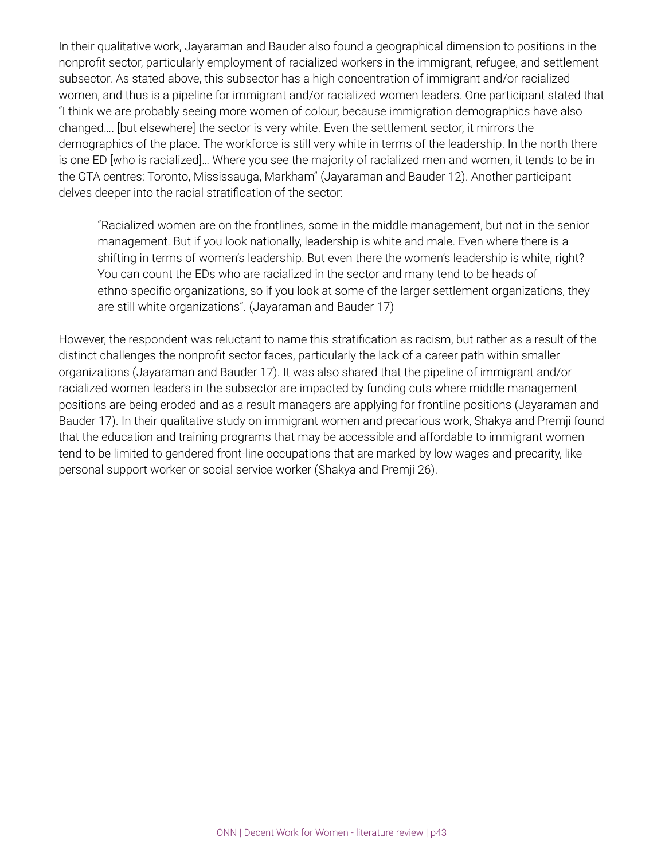In their qualitative work, Jayaraman and Bauder also found a geographical dimension to positions in the nonprofit sector, particularly employment of racialized workers in the immigrant, refugee, and settlement subsector. As stated above, this subsector has a high concentration of immigrant and/or racialized women, and thus is a pipeline for immigrant and/or racialized women leaders. One participant stated that "I think we are probably seeing more women of colour, because immigration demographics have also changed…. [but elsewhere] the sector is very white. Even the settlement sector, it mirrors the demographics of the place. The workforce is still very white in terms of the leadership. In the north there is one ED [who is racialized]… Where you see the majority of racialized men and women, it tends to be in the GTA centres: Toronto, Mississauga, Markham" (Jayaraman and Bauder 12). Another participant delves deeper into the racial stratification of the sector:

"Racialized women are on the frontlines, some in the middle management, but not in the senior management. But if you look nationally, leadership is white and male. Even where there is a shifting in terms of women's leadership. But even there the women's leadership is white, right? You can count the EDs who are racialized in the sector and many tend to be heads of ethno-specific organizations, so if you look at some of the larger settlement organizations, they are still white organizations". (Jayaraman and Bauder 17)

However, the respondent was reluctant to name this stratification as racism, but rather as a result of the distinct challenges the nonprofit sector faces, particularly the lack of a career path within smaller organizations (Jayaraman and Bauder 17). It was also shared that the pipeline of immigrant and/or racialized women leaders in the subsector are impacted by funding cuts where middle management positions are being eroded and as a result managers are applying for frontline positions (Jayaraman and Bauder 17). In their qualitative study on immigrant women and precarious work, Shakya and Premji found that the education and training programs that may be accessible and affordable to immigrant women tend to be limited to gendered front-line occupations that are marked by low wages and precarity, like personal support worker or social service worker (Shakya and Premji 26).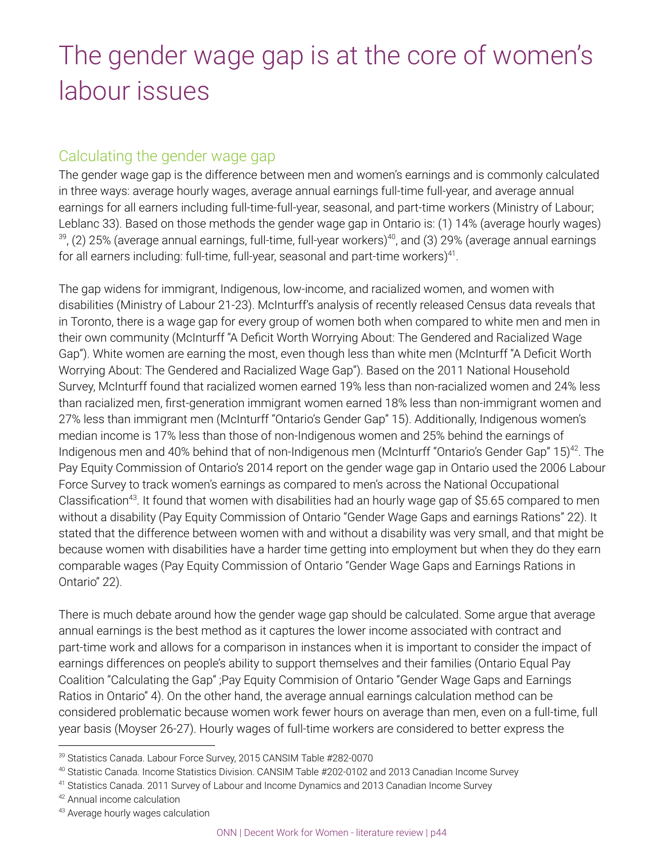## The gender wage gap is at the core of women's labour issues

## Calculating the gender wage gap

The gender wage gap is the difference between men and women's earnings and is commonly calculated in three ways: average hourly wages, average annual earnings full-time full-year, and average annual earnings for all earners including full-time-full-year, seasonal, and part-time workers (Ministry of Labour; Leblanc 33). Based on those methods the gender wage gap in Ontario is: (1) 14% (average hourly wages)  $^{39}$ , (2) 25% (average annual earnings, full-time, full-year workers) $^{40}$ , and (3) 29% (average annual earnings for all earners including: full-time, full-year, seasonal and part-time workers) $^{41}$ .

The gap widens for immigrant, Indigenous, low-income, and racialized women, and women with disabilities (Ministry of Labour 21-23). McInturff's analysis of recently released Census data reveals that in Toronto, there is a wage gap for every group of women both when compared to white men and men in their own community (McInturff "A Deficit Worth Worrying About: The Gendered and Racialized Wage Gap"). White women are earning the most, even though less than white men (McInturff "A Deficit Worth Worrying About: The Gendered and Racialized Wage Gap"). Based on the 2011 National Household Survey, McInturff found that racialized women earned 19% less than non-racialized women and 24% less than racialized men, first-generation immigrant women earned 18% less than non-immigrant women and 27% less than immigrant men (McInturff "Ontario's Gender Gap" 15). Additionally, Indigenous women's median income is 17% less than those of non-Indigenous women and 25% behind the earnings of Indigenous men and 40% behind that of non-Indigenous men (McInturff "Ontario's Gender Gap" 15)<sup>42</sup>. The Pay Equity Commission of Ontario's 2014 report on the gender wage gap in Ontario used the 2006 Labour Force Survey to track women's earnings as compared to men's across the National Occupational Classification<sup>43</sup>. It found that women with disabilities had an hourly wage gap of \$5.65 compared to men without a disability (Pay Equity Commission of Ontario "Gender Wage Gaps and earnings Rations" 22). It stated that the difference between women with and without a disability was very small, and that might be because women with disabilities have a harder time getting into employment but when they do they earn comparable wages (Pay Equity Commission of Ontario "Gender Wage Gaps and Earnings Rations in Ontario" 22).

There is much debate around how the gender wage gap should be calculated. Some argue that average annual earnings is the best method as it captures the lower income associated with contract and part-time work and allows for a comparison in instances when it is important to consider the impact of earnings differences on people's ability to support themselves and their families (Ontario Equal Pay Coalition "Calculating the Gap" ;Pay Equity Commision of Ontario "Gender Wage Gaps and Earnings Ratios in Ontario" 4). On the other hand, the average annual earnings calculation method can be considered problematic because women work fewer hours on average than men, even on a full-time, full year basis (Moyser 26-27). Hourly wages of full-time workers are considered to better express the

<sup>&</sup>lt;sup>39</sup> Statistics Canada. Labour Force Survey, 2015 CANSIM Table #282-0070

<sup>40</sup> Statistic Canada. Income Statistics Division. CANSIM Table #202-0102 and 2013 Canadian Income Survey

<sup>41</sup> Statistics Canada. 2011 Survey of Labour and Income Dynamics and 2013 Canadian Income Survey

<sup>42</sup> Annual income calculation

<sup>43</sup> Average hourly wages calculation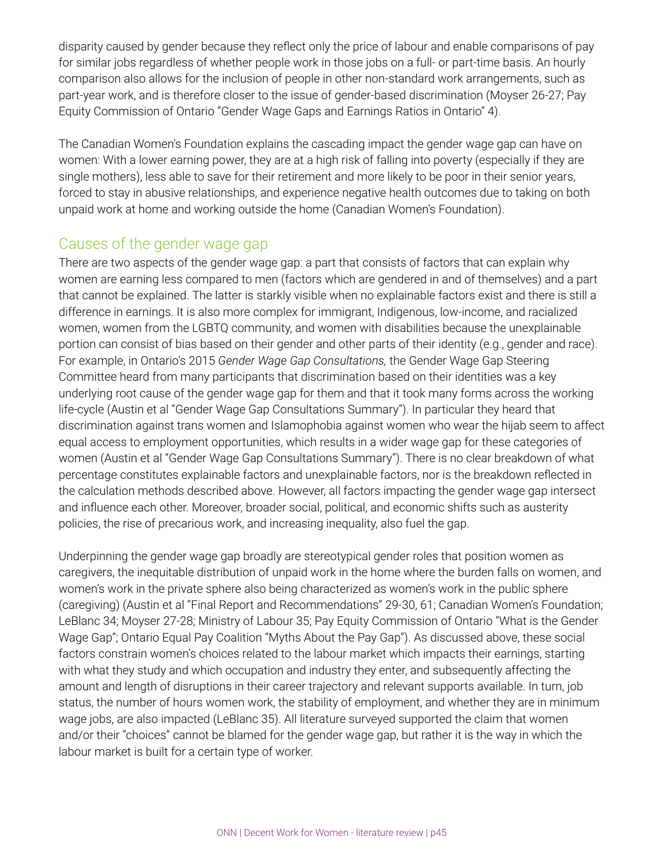disparity caused by gender because they reflect only the price of labour and enable comparisons of pay for similar jobs regardless of whether people work in those jobs on a full- or part-time basis. An hourly comparison also allows for the inclusion of people in other non-standard work arrangements, such as part-year work, and is therefore closer to the issue of gender-based discrimination (Moyser 26-27; Pay Equity Commission of Ontario "Gender Wage Gaps and Earnings Ratios in Ontario" 4).

The Canadian Women's Foundation explains the cascading impact the gender wage gap can have on women: With a lower earning power, they are at a high risk of falling into poverty (especially if they are single mothers), less able to save for their retirement and more likely to be poor in their senior years, forced to stay in abusive relationships, and experience negative health outcomes due to taking on both unpaid work at home and working outside the home (Canadian Women's Foundation).

## Causes of the gender wage gap

There are two aspects of the gender wage gap: a part that consists of factors that can explain why women are earning less compared to men (factors which are gendered in and of themselves) and a part that cannot be explained. The latter is starkly visible when no explainable factors exist and there is still a difference in earnings. It is also more complex for immigrant, Indigenous, low-income, and racialized women, women from the LGBTQ community, and women with disabilities because the unexplainable portion can consist of bias based on their gender and other parts of their identity (e.g., gender and race). For example, in Ontario's 2015 *Gender Wage Gap Consultations,* the Gender Wage Gap Steering Committee heard from many participants that discrimination based on their identities was a key underlying root cause of the gender wage gap for them and that it took many forms across the working life-cycle (Austin et al "Gender Wage Gap Consultations Summary"). In particular they heard that discrimination against trans women and Islamophobia against women who wear the hijab seem to affect equal access to employment opportunities, which results in a wider wage gap for these categories of women (Austin et al "Gender Wage Gap Consultations Summary"). There is no clear breakdown of what percentage constitutes explainable factors and unexplainable factors, nor is the breakdown reflected in the calculation methods described above. However, all factors impacting the gender wage gap intersect and influence each other. Moreover, broader social, political, and economic shifts such as austerity policies, the rise of precarious work, and increasing inequality, also fuel the gap.

Underpinning the gender wage gap broadly are stereotypical gender roles that position women as caregivers, the inequitable distribution of unpaid work in the home where the burden falls on women, and women's work in the private sphere also being characterized as women's work in the public sphere (caregiving) (Austin et al "Final Report and Recommendations" 29-30, 61; Canadian Women's Foundation; LeBlanc 34; Moyser 27-28; Ministry of Labour 35; Pay Equity Commission of Ontario "What is the Gender Wage Gap"; Ontario Equal Pay Coalition "Myths About the Pay Gap"). As discussed above, these social factors constrain women's choices related to the labour market which impacts their earnings, starting with what they study and which occupation and industry they enter, and subsequently affecting the amount and length of disruptions in their career trajectory and relevant supports available. In turn, job status, the number of hours women work, the stability of employment, and whether they are in minimum wage jobs, are also impacted (LeBlanc 35). All literature surveyed supported the claim that women and/or their "choices" cannot be blamed for the gender wage gap, but rather it is the way in which the labour market is built for a certain type of worker.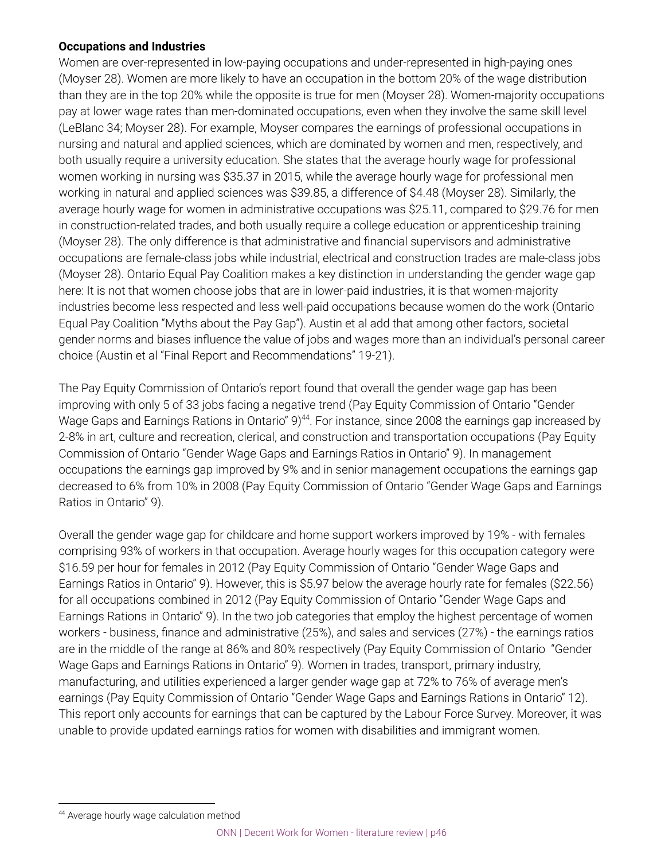### **Occupations and Industries**

Women are over-represented in low-paying occupations and under-represented in high-paying ones (Moyser 28). Women are more likely to have an occupation in the bottom 20% of the wage distribution than they are in the top 20% while the opposite is true for men (Moyser 28). Women-majority occupations pay at lower wage rates than men-dominated occupations, even when they involve the same skill level (LeBlanc 34; Moyser 28). For example, Moyser compares the earnings of professional occupations in nursing and natural and applied sciences, which are dominated by women and men, respectively, and both usually require a university education. She states that the average hourly wage for professional women working in nursing was \$35.37 in 2015, while the average hourly wage for professional men working in natural and applied sciences was \$39.85, a difference of \$4.48 (Moyser 28). Similarly, the average hourly wage for women in administrative occupations was \$25.11, compared to \$29.76 for men in construction-related trades, and both usually require a college education or apprenticeship training (Moyser 28). The only difference is that administrative and financial supervisors and administrative occupations are female-class jobs while industrial, electrical and construction trades are male-class jobs (Moyser 28). Ontario Equal Pay Coalition makes a key distinction in understanding the gender wage gap here: It is not that women choose jobs that are in lower-paid industries, it is that women-majority industries become less respected and less well-paid occupations because women do the work (Ontario Equal Pay Coalition "Myths about the Pay Gap"). Austin et al add that among other factors, societal gender norms and biases influence the value of jobs and wages more than an individual's personal career choice (Austin et al "Final Report and Recommendations" 19-21).

The Pay Equity Commission of Ontario's report found that overall the gender wage gap has been improving with only 5 of 33 jobs facing a negative trend (Pay Equity Commission of Ontario "Gender Wage Gaps and Earnings Rations in Ontario"  $9)^{44}$ . For instance, since 2008 the earnings gap increased by 2-8% in art, culture and recreation, clerical, and construction and transportation occupations (Pay Equity Commission of Ontario "Gender Wage Gaps and Earnings Ratios in Ontario" 9). In management occupations the earnings gap improved by 9% and in senior management occupations the earnings gap decreased to 6% from 10% in 2008 (Pay Equity Commission of Ontario "Gender Wage Gaps and Earnings Ratios in Ontario" 9).

Overall the gender wage gap for childcare and home support workers improved by 19% - with females comprising 93% of workers in that occupation. Average hourly wages for this occupation category were \$16.59 per hour for females in 2012 (Pay Equity Commission of Ontario "Gender Wage Gaps and Earnings Ratios in Ontario" 9). However, this is \$5.97 below the average hourly rate for females (\$22.56) for all occupations combined in 2012 (Pay Equity Commission of Ontario "Gender Wage Gaps and Earnings Rations in Ontario" 9). In the two job categories that employ the highest percentage of women workers - business, finance and administrative (25%), and sales and services (27%) - the earnings ratios are in the middle of the range at 86% and 80% respectively (Pay Equity Commission of Ontario "Gender Wage Gaps and Earnings Rations in Ontario" 9). Women in trades, transport, primary industry, manufacturing, and utilities experienced a larger gender wage gap at 72% to 76% of average men's earnings (Pay Equity Commission of Ontario "Gender Wage Gaps and Earnings Rations in Ontario" 12). This report only accounts for earnings that can be captured by the Labour Force Survey. Moreover, it was unable to provide updated earnings ratios for women with disabilities and immigrant women.

<sup>44</sup> Average hourly wage calculation method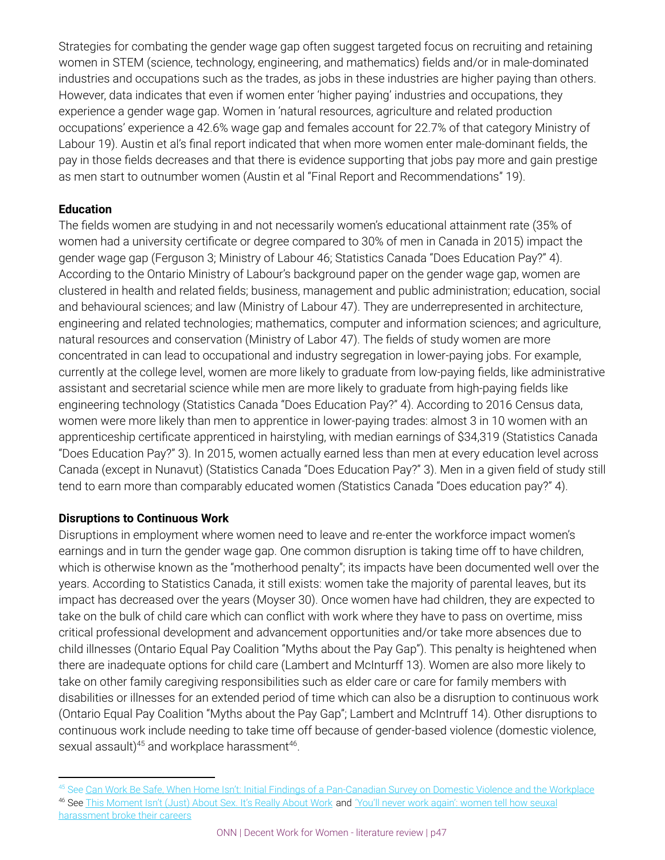Strategies for combating the gender wage gap often suggest targeted focus on recruiting and retaining women in STEM (science, technology, engineering, and mathematics) fields and/or in male-dominated industries and occupations such as the trades, as jobs in these industries are higher paying than others. However, data indicates that even if women enter 'higher paying' industries and occupations, they experience a gender wage gap. Women in 'natural resources, agriculture and related production occupations' experience a 42.6% wage gap and females account for 22.7% of that category Ministry of Labour 19). Austin et al's final report indicated that when more women enter male-dominant fields, the pay in those fields decreases and that there is evidence supporting that jobs pay more and gain prestige as men start to outnumber women (Austin et al "Final Report and Recommendations" 19).

### **Education**

The fields women are studying in and not necessarily women's educational attainment rate (35% of women had a university certificate or degree compared to 30% of men in Canada in 2015) impact the gender wage gap (Ferguson 3; Ministry of Labour 46; Statistics Canada "Does Education Pay?" 4). According to the Ontario Ministry of Labour's background paper on the gender wage gap, women are clustered in health and related fields; business, management and public administration; education, social and behavioural sciences; and law (Ministry of Labour 47). They are underrepresented in architecture, engineering and related technologies; mathematics, computer and information sciences; and agriculture, natural resources and conservation (Ministry of Labor 47). The fields of study women are more concentrated in can lead to occupational and industry segregation in lower-paying jobs. For example, currently at the college level, women are more likely to graduate from low‑paying fields, like administrative assistant and secretarial science while men are more likely to graduate from high-paying fields like engineering technology (Statistics Canada "Does Education Pay?" 4). According to 2016 Census data, women were more likely than men to apprentice in lower-paying trades: almost 3 in 10 women with an apprenticeship certificate apprenticed in hairstyling, with median earnings of \$34,319 (Statistics Canada "Does Education Pay?" 3). In 2015, women actually earned less than men at every education level across Canada (except in Nunavut) (Statistics Canada "Does Education Pay?" 3). Men in a given field of study still tend to earn more than comparably educated women *(*Statistics Canada "Does education pay?" 4).

### **Disruptions to Continuous Work**

Disruptions in employment where women need to leave and re-enter the workforce impact women's earnings and in turn the gender wage gap. One common disruption is taking time off to have children, which is otherwise known as the "motherhood penalty"; its impacts have been documented well over the years. According to Statistics Canada, it still exists: women take the majority of parental leaves, but its impact has decreased over the years (Moyser 30). Once women have had children, they are expected to take on the bulk of child care which can conflict with work where they have to pass on overtime, miss critical professional development and advancement opportunities and/or take more absences due to child illnesses (Ontario Equal Pay Coalition "Myths about the Pay Gap"). This penalty is heightened when there are inadequate options for child care (Lambert and McInturff 13). Women are also more likely to take on other family caregiving responsibilities such as elder care or care for family members with disabilities or illnesses for an extended period of time which can also be a disruption to continuous work (Ontario Equal Pay Coalition "Myths about the Pay Gap"; Lambert and McIntruff 14). Other disruptions to continuous work include needing to take time off because of gender-based violence (domestic violence, sexual assault) $45$  and workplace harassment $46$ .

<sup>&</sup>lt;sup>45</sup> See [Can Work Be Safe, When Home Isn't: Initial Findings of a Pan-Canadian Survey on Domestic Violence and the Workplace](http://canadianlabour.ca/sites/default/files/media/dvwork_survey_report_2014_enr.pdf) <sup>46</sup> See [This Moment Isn't \(Just\) About Sex. It's Really About Work](https://www.thecut.com/2017/12/rebecca-traister-this-moment-isnt-just-about-sex.html) and ['You'll never work again': women tell how seuxal](https://www.theguardian.com/world/2017/nov/21/women-sexual-harassment-work-careers-harvey-weinstein?CMP=share_btn_tw) [harassment broke their careers](https://www.theguardian.com/world/2017/nov/21/women-sexual-harassment-work-careers-harvey-weinstein?CMP=share_btn_tw)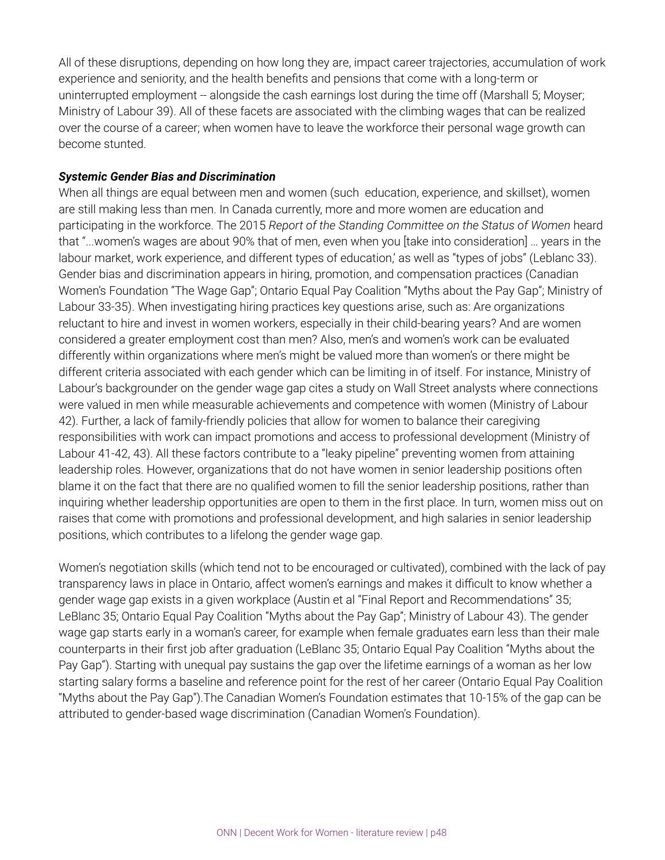All of these disruptions, depending on how long they are, impact career trajectories, accumulation of work experience and seniority, and the health benefits and pensions that come with a long-term or uninterrupted employment -- alongside the cash earnings lost during the time off (Marshall 5; Moyser; Ministry of Labour 39). All of these facets are associated with the climbing wages that can be realized over the course of a career; when women have to leave the workforce their personal wage growth can become stunted.

#### *Systemic Gender Bias and Discrimination*

When all things are equal between men and women (such education, experience, and skillset), women are still making less than men. In Canada currently, more and more women are education and participating in the workforce. The 2015 *Report of the Standing Committee on the Status of Women* heard that "...women's wages are about 90% that of men, even when you [take into consideration] … years in the labour market, work experience, and different types of education,' as well as "types of jobs" (Leblanc 33). Gender bias and discrimination appears in hiring, promotion, and compensation practices (Canadian Women's Foundation "The Wage Gap"; Ontario Equal Pay Coalition "Myths about the Pay Gap"; Ministry of Labour 33-35). When investigating hiring practices key questions arise, such as: Are organizations reluctant to hire and invest in women workers, especially in their child-bearing years? And are women considered a greater employment cost than men? Also, men's and women's work can be evaluated differently within organizations where men's might be valued more than women's or there might be different criteria associated with each gender which can be limiting in of itself. For instance, Ministry of Labour's backgrounder on the gender wage gap cites a study on Wall Street analysts where connections were valued in men while measurable achievements and competence with women (Ministry of Labour 42). Further, a lack of family-friendly policies that allow for women to balance their caregiving responsibilities with work can impact promotions and access to professional development (Ministry of Labour 41-42, 43). All these factors contribute to a "leaky pipeline" preventing women from attaining leadership roles. However, organizations that do not have women in senior leadership positions often blame it on the fact that there are no qualified women to fill the senior leadership positions, rather than inquiring whether leadership opportunities are open to them in the first place. In turn, women miss out on raises that come with promotions and professional development, and high salaries in senior leadership positions, which contributes to a lifelong the gender wage gap.

Women's negotiation skills (which tend not to be encouraged or cultivated), combined with the lack of pay transparency laws in place in Ontario, affect women's earnings and makes it difficult to know whether a gender wage gap exists in a given workplace (Austin et al "Final Report and Recommendations" 35; LeBlanc 35; Ontario Equal Pay Coalition "Myths about the Pay Gap"; Ministry of Labour 43). The gender wage gap starts early in a woman's career, for example when female graduates earn less than their male counterparts in their first job after graduation (LeBlanc 35; Ontario Equal Pay Coalition "Myths about the Pay Gap"). Starting with unequal pay sustains the gap over the lifetime earnings of a woman as her low starting salary forms a baseline and reference point for the rest of her career (Ontario Equal Pay Coalition "Myths about the Pay Gap").The Canadian Women's Foundation estimates that 10-15% of the gap can be attributed to gender-based wage discrimination (Canadian Women's Foundation).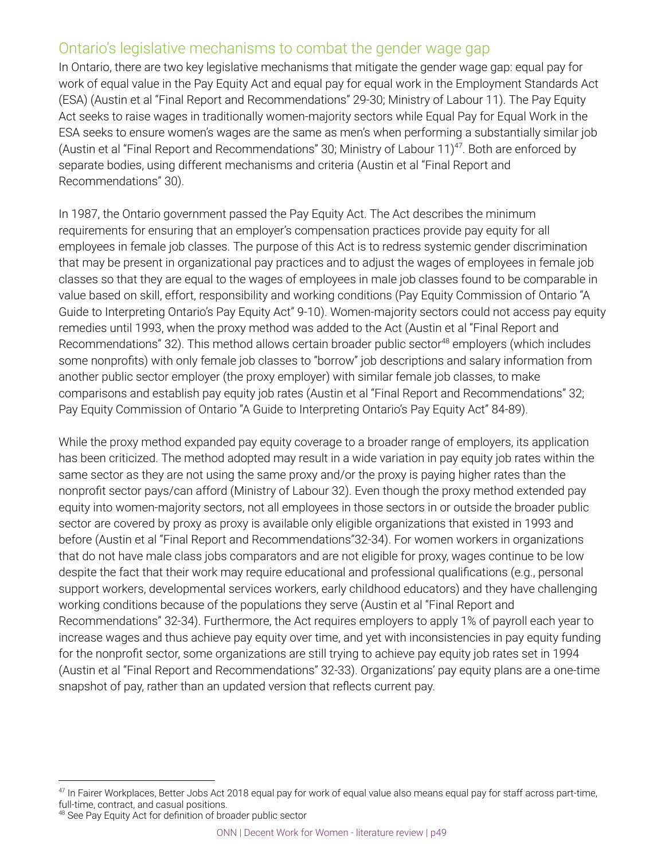## Ontario's legislative mechanisms to combat the gender wage gap

In Ontario, there are two key legislative mechanisms that mitigate the gender wage gap: equal pay for work of equal value in the Pay Equity Act and equal pay for equal work in the Employment Standards Act (ESA) (Austin et al "Final Report and Recommendations" 29-30; Ministry of Labour 11). The Pay Equity Act seeks to raise wages in traditionally women-majority sectors while Equal Pay for Equal Work in the ESA seeks to ensure women's wages are the same as men's when performing a substantially similar job (Austin et al "Final Report and Recommendations" 30; Ministry of Labour 11)<sup>47</sup>. Both are enforced by separate bodies, using different mechanisms and criteria (Austin et al "Final Report and Recommendations" 30).

In 1987, the Ontario government passed the Pay Equity Act. The Act describes the minimum requirements for ensuring that an employer's compensation practices provide pay equity for all employees in female job classes. The purpose of this Act is to redress systemic gender discrimination that may be present in organizational pay practices and to adjust the wages of employees in female job classes so that they are equal to the wages of employees in male job classes found to be comparable in value based on skill, effort, responsibility and working conditions (Pay Equity Commission of Ontario "A Guide to Interpreting Ontario's Pay Equity Act" 9-10). Women-majority sectors could not access pay equity remedies until 1993, when the proxy method was added to the Act (Austin et al "Final Report and Recommendations" 32). This method allows certain broader public sector<sup>48</sup> employers (which includes some nonprofits) with only female job classes to "borrow" job descriptions and salary information from another public sector employer (the proxy employer) with similar female job classes, to make comparisons and establish pay equity job rates (Austin et al "Final Report and Recommendations" 32; Pay Equity Commission of Ontario "A Guide to Interpreting Ontario's Pay Equity Act" 84-89).

While the proxy method expanded pay equity coverage to a broader range of employers, its application has been criticized. The method adopted may result in a wide variation in pay equity job rates within the same sector as they are not using the same proxy and/or the proxy is paying higher rates than the nonprofit sector pays/can afford (Ministry of Labour 32). Even though the proxy method extended pay equity into women-majority sectors, not all employees in those sectors in or outside the broader public sector are covered by proxy as proxy is available only eligible organizations that existed in 1993 and before (Austin et al "Final Report and Recommendations"32-34). For women workers in organizations that do not have male class jobs comparators and are not eligible for proxy, wages continue to be low despite the fact that their work may require educational and professional qualifications (e.g., personal support workers, developmental services workers, early childhood educators) and they have challenging working conditions because of the populations they serve (Austin et al "Final Report and Recommendations" 32-34). Furthermore, the Act requires employers to apply 1% of payroll each year to increase wages and thus achieve pay equity over time, and yet with inconsistencies in pay equity funding for the nonprofit sector, some organizations are still trying to achieve pay equity job rates set in 1994 (Austin et al "Final Report and Recommendations" 32-33). Organizations' pay equity plans are a one-time snapshot of pay, rather than an updated version that reflects current pay.

<sup>&</sup>lt;sup>47</sup> In Fairer Workplaces, Better Jobs Act 2018 equal pay for work of equal value also means equal pay for staff across part-time, full-time, contract, and casual positions.

<sup>&</sup>lt;sup>48</sup> See Pay Equity Act for definition of broader public sector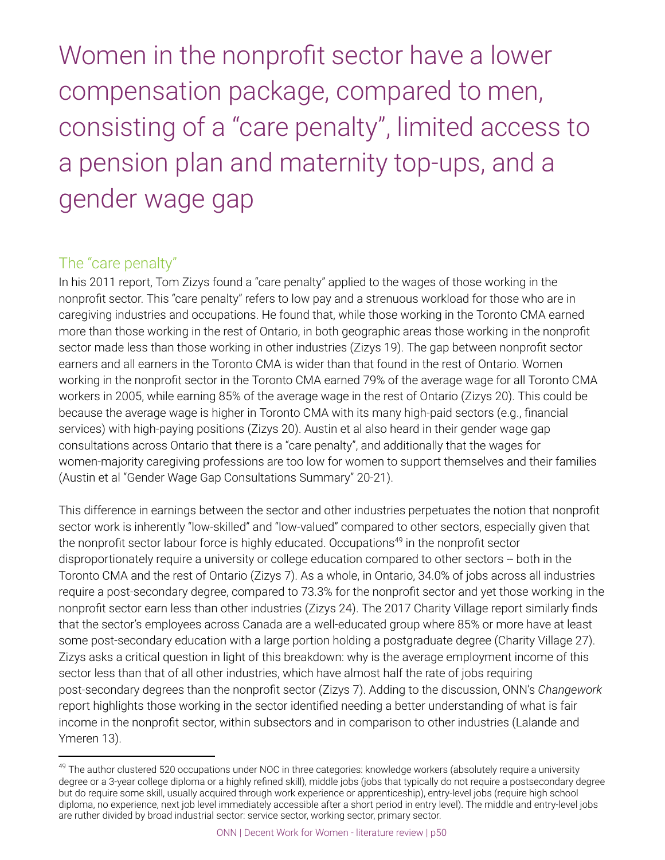Women in the nonprofit sector have a lower compensation package, compared to men, consisting of a "care penalty", limited access to a pension plan and maternity top-ups, and a gender wage gap

## The "care penalty"

In his 2011 report, Tom Zizys found a "care penalty" applied to the wages of those working in the nonprofit sector. This "care penalty" refers to low pay and a strenuous workload for those who are in caregiving industries and occupations. He found that, while those working in the Toronto CMA earned more than those working in the rest of Ontario, in both geographic areas those working in the nonprofit sector made less than those working in other industries (Zizys 19). The gap between nonprofit sector earners and all earners in the Toronto CMA is wider than that found in the rest of Ontario. Women working in the nonprofit sector in the Toronto CMA earned 79% of the average wage for all Toronto CMA workers in 2005, while earning 85% of the average wage in the rest of Ontario (Zizys 20). This could be because the average wage is higher in Toronto CMA with its many high-paid sectors (e.g., financial services) with high-paying positions (Zizys 20). Austin et al also heard in their gender wage gap consultations across Ontario that there is a "care penalty", and additionally that the wages for women-majority caregiving professions are too low for women to support themselves and their families (Austin et al "Gender Wage Gap Consultations Summary" 20-21).

This difference in earnings between the sector and other industries perpetuates the notion that nonprofit sector work is inherently "low-skilled" and "low-valued" compared to other sectors, especially given that the nonprofit sector labour force is highly educated. Occupations<sup>49</sup> in the nonprofit sector disproportionately require a university or college education compared to other sectors -- both in the Toronto CMA and the rest of Ontario (Zizys 7). As a whole, in Ontario, 34.0% of jobs across all industries require a post-secondary degree, compared to 73.3% for the nonprofit sector and yet those working in the nonprofit sector earn less than other industries (Zizys 24). The 2017 Charity Village report similarly finds that the sector's employees across Canada are a well-educated group where 85% or more have at least some post-secondary education with a large portion holding a postgraduate degree (Charity Village 27). Zizys asks a critical question in light of this breakdown: why is the average employment income of this sector less than that of all other industries, which have almost half the rate of jobs requiring post-secondary degrees than the nonprofit sector (Zizys 7). Adding to the discussion, ONN's *Changework* report highlights those working in the sector identified needing a better understanding of what is fair income in the nonprofit sector, within subsectors and in comparison to other industries (Lalande and Ymeren 13).

<sup>&</sup>lt;sup>49</sup> The author clustered 520 occupations under NOC in three categories: knowledge workers (absolutely require a university degree or a 3-year college diploma or a highly refined skill), middle jobs (jobs that typically do not require a postsecondary degree but do require some skill, usually acquired through work experience or apprenticeship), entry-level jobs (require high school diploma, no experience, next job level immediately accessible after a short period in entry level). The middle and entry-level jobs are ruther divided by broad industrial sector: service sector, working sector, primary sector.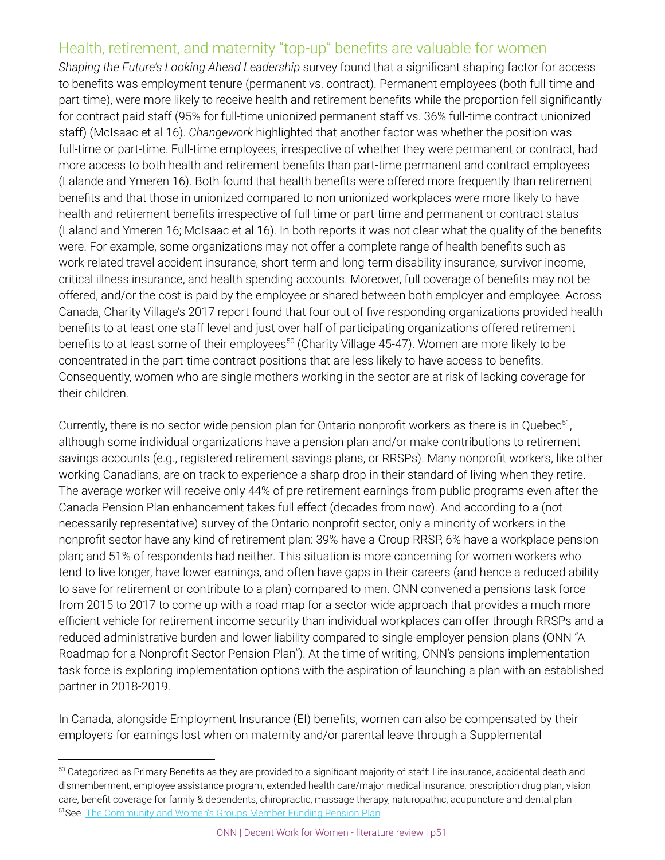## Health, retirement, and maternity "top-up" benefits are valuable for women

*Shaping the Future's Looking Ahead Leadership* survey found that a significant shaping factor for access to benefits was employment tenure (permanent vs. contract). Permanent employees (both full-time and part-time), were more likely to receive health and retirement benefits while the proportion fell significantly for contract paid staff (95% for full-time unionized permanent staff vs. 36% full-time contract unionized staff) (McIsaac et al 16). *Changework* highlighted that another factor was whether the position was full-time or part-time. Full-time employees, irrespective of whether they were permanent or contract, had more access to both health and retirement benefits than part-time permanent and contract employees (Lalande and Ymeren 16). Both found that health benefits were offered more frequently than retirement benefits and that those in unionized compared to non unionized workplaces were more likely to have health and retirement benefits irrespective of full-time or part-time and permanent or contract status (Laland and Ymeren 16; McIsaac et al 16). In both reports it was not clear what the quality of the benefits were. For example, some organizations may not offer a complete range of health benefits such as work-related travel accident insurance, short-term and long-term disability insurance, survivor income, critical illness insurance, and health spending accounts. Moreover, full coverage of benefits may not be offered, and/or the cost is paid by the employee or shared between both employer and employee. Across Canada, Charity Village's 2017 report found that four out of five responding organizations provided health benefits to at least one staff level and just over half of participating organizations offered retirement benefits to at least some of their employees<sup>50</sup> (Charity Village 45-47). Women are more likely to be concentrated in the part-time contract positions that are less likely to have access to benefits. Consequently, women who are single mothers working in the sector are at risk of lacking coverage for their children.

Currently, there is no sector wide pension plan for Ontario nonprofit workers as there is in Quebec<sup>51</sup>, although some individual organizations have a pension plan and/or make contributions to retirement savings accounts (e.g., registered retirement savings plans, or RRSPs). Many nonprofit workers, like other working Canadians, are on track to experience a sharp drop in their standard of living when they retire. The average worker will receive only 44% of pre-retirement earnings from public programs even after the Canada Pension Plan enhancement takes full effect (decades from now). And according to a (not necessarily representative) survey of the Ontario nonprofit sector, only a minority of workers in the nonprofit sector have any kind of retirement plan: 39% have a Group RRSP, 6% have a workplace pension plan; and 51% of respondents had neither. This situation is more concerning for women workers who tend to live longer, have lower earnings, and often have gaps in their careers (and hence a reduced ability to save for retirement or contribute to a plan) compared to men. ONN convened a pensions task force from 2015 to 2017 to come up with a road map for a sector-wide approach that provides a much more efficient vehicle for retirement income security than individual workplaces can offer through RRSPs and a reduced administrative burden and lower liability compared to single-employer pension plans (ONN "A Roadmap for a Nonprofit Sector Pension Plan"). At the time of writing, ONN's pensions implementation task force is exploring implementation options with the aspiration of launching a plan with an established partner in 2018-2019.

In Canada, alongside Employment Insurance (EI) benefits, women can also be compensated by their employers for earnings lost when on maternity and/or parental leave through a Supplemental

<sup>&</sup>lt;sup>50</sup> Categorized as Primary Benefits as they are provided to a significant majority of staff: Life insurance, accidental death and dismemberment, employee assistance program, extended health care/major medical insurance, prescription drug plan, vision care, benefit coverage for family & dependents, chiropractic, massage therapy, naturopathic, acupuncture and dental plan <sup>51</sup>See [The Community and Women's Groups Member Funding Pension Plan](http://regimeretraite.ca/site/english/)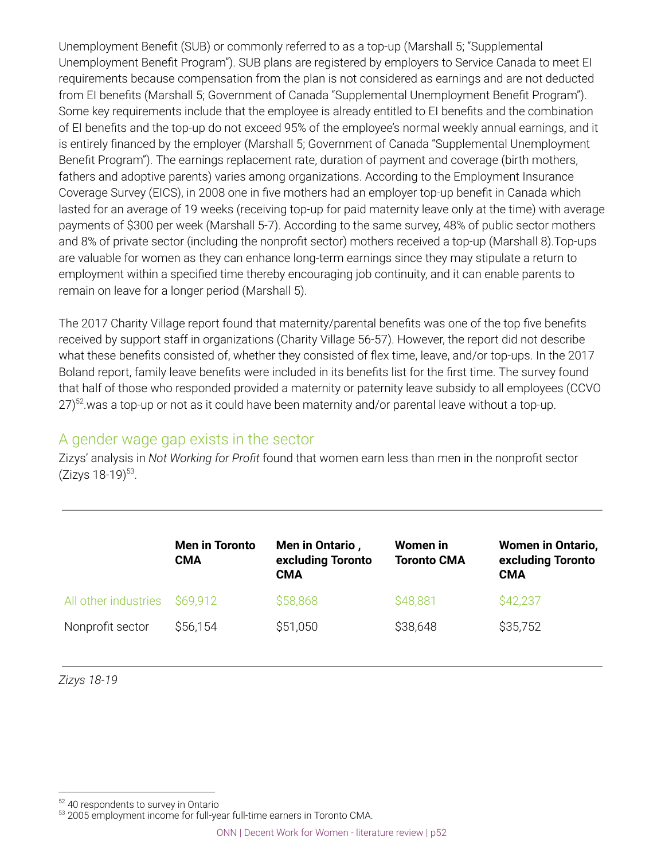Unemployment Benefit (SUB) or commonly referred to as a top-up (Marshall 5; "Supplemental Unemployment Benefit Program"). SUB plans are registered by employers to Service Canada to meet EI requirements because compensation from the plan is not considered as earnings and are not deducted from EI benefits (Marshall 5; Government of Canada "Supplemental Unemployment Benefit Program"). Some key requirements include that the employee is already entitled to EI benefits and the combination of EI benefits and the top-up do not exceed 95% of the employee's normal weekly annual earnings, and it is entirely financed by the employer (Marshall 5; Government of Canada "Supplemental Unemployment Benefit Program"). The earnings replacement rate, duration of payment and coverage (birth mothers, fathers and adoptive parents) varies among organizations. According to the Employment Insurance Coverage Survey (EICS), in 2008 one in five mothers had an employer top-up benefit in Canada which lasted for an average of 19 weeks (receiving top-up for paid maternity leave only at the time) with average payments of \$300 per week (Marshall 5-7). According to the same survey, 48% of public sector mothers and 8% of private sector (including the nonprofit sector) mothers received a top-up (Marshall 8).Top-ups are valuable for women as they can enhance long-term earnings since they may stipulate a return to employment within a specified time thereby encouraging job continuity, and it can enable parents to remain on leave for a longer period (Marshall 5).

The 2017 Charity Village report found that maternity/parental benefits was one of the top five benefits received by support staff in organizations (Charity Village 56-57). However, the report did not describe what these benefits consisted of, whether they consisted of flex time, leave, and/or top-ups. In the 2017 Boland report, family leave benefits were included in its benefits list for the first time. The survey found that half of those who responded provided a maternity or paternity leave subsidy to all employees (CCVO 27) $^{52}$  was a top-up or not as it could have been maternity and/or parental leave without a top-up.

## A gender wage gap exists in the sector

Zizys' analysis in *Not Working for Profit* found that women earn less than men in the nonprofit sector (Zizys 18-19)<sup>53</sup>.

|                               | <b>Men in Toronto</b><br>CMA | Men in Ontario,<br>excluding Toronto<br><b>CMA</b> | Women in<br><b>Toronto CMA</b> | <b>Women in Ontario,</b><br>excluding Toronto<br><b>CMA</b> |
|-------------------------------|------------------------------|----------------------------------------------------|--------------------------------|-------------------------------------------------------------|
| All other industries \$69,912 |                              | \$58,868                                           | \$48,881                       | \$42,237                                                    |
| Nonprofit sector              | \$56,154                     | \$51,050                                           | \$38,648                       | \$35,752                                                    |

*Zizys 18-19*

<sup>52 40</sup> respondents to survey in Ontario

<sup>53 2005</sup> employment income for full-year full-time earners in Toronto CMA.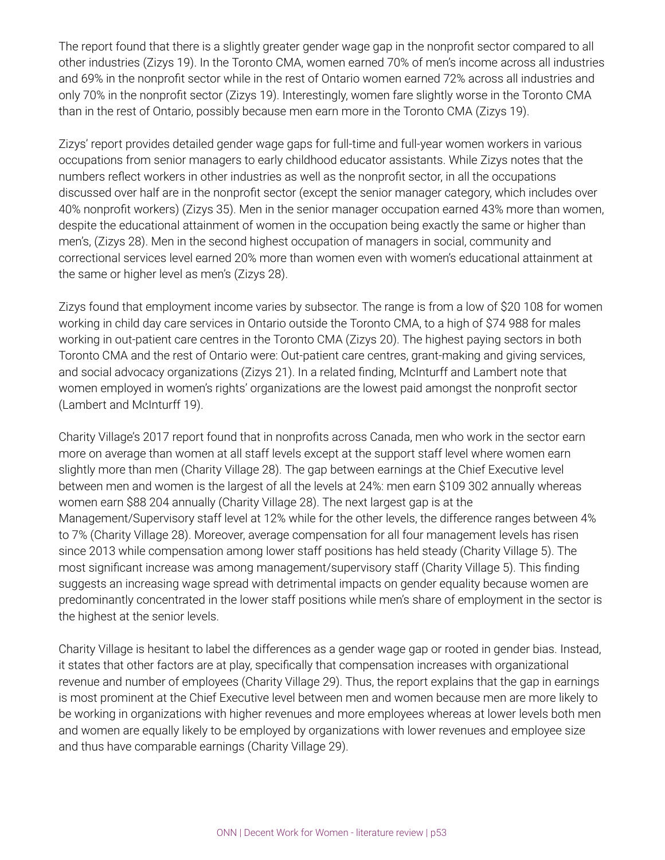The report found that there is a slightly greater gender wage gap in the nonprofit sector compared to all other industries (Zizys 19). In the Toronto CMA, women earned 70% of men's income across all industries and 69% in the nonprofit sector while in the rest of Ontario women earned 72% across all industries and only 70% in the nonprofit sector (Zizys 19). Interestingly, women fare slightly worse in the Toronto CMA than in the rest of Ontario, possibly because men earn more in the Toronto CMA (Zizys 19).

Zizys' report provides detailed gender wage gaps for full-time and full-year women workers in various occupations from senior managers to early childhood educator assistants. While Zizys notes that the numbers reflect workers in other industries as well as the nonprofit sector, in all the occupations discussed over half are in the nonprofit sector (except the senior manager category, which includes over 40% nonprofit workers) (Zizys 35). Men in the senior manager occupation earned 43% more than women, despite the educational attainment of women in the occupation being exactly the same or higher than men's, (Zizys 28). Men in the second highest occupation of managers in social, community and correctional services level earned 20% more than women even with women's educational attainment at the same or higher level as men's (Zizys 28).

Zizys found that employment income varies by subsector. The range is from a low of \$20 108 for women working in child day care services in Ontario outside the Toronto CMA, to a high of \$74 988 for males working in out-patient care centres in the Toronto CMA (Zizys 20). The highest paying sectors in both Toronto CMA and the rest of Ontario were: Out-patient care centres, grant-making and giving services, and social advocacy organizations (Zizys 21). In a related finding, McInturff and Lambert note that women employed in women's rights' organizations are the lowest paid amongst the nonprofit sector (Lambert and McInturff 19).

Charity Village's 2017 report found that in nonprofits across Canada, men who work in the sector earn more on average than women at all staff levels except at the support staff level where women earn slightly more than men (Charity Village 28). The gap between earnings at the Chief Executive level between men and women is the largest of all the levels at 24%: men earn \$109 302 annually whereas women earn \$88 204 annually (Charity Village 28). The next largest gap is at the Management/Supervisory staff level at 12% while for the other levels, the difference ranges between 4% to 7% (Charity Village 28). Moreover, average compensation for all four management levels has risen since 2013 while compensation among lower staff positions has held steady (Charity Village 5). The most significant increase was among management/supervisory staff (Charity Village 5). This finding suggests an increasing wage spread with detrimental impacts on gender equality because women are predominantly concentrated in the lower staff positions while men's share of employment in the sector is the highest at the senior levels.

Charity Village is hesitant to label the differences as a gender wage gap or rooted in gender bias. Instead, it states that other factors are at play, specifically that compensation increases with organizational revenue and number of employees (Charity Village 29). Thus, the report explains that the gap in earnings is most prominent at the Chief Executive level between men and women because men are more likely to be working in organizations with higher revenues and more employees whereas at lower levels both men and women are equally likely to be employed by organizations with lower revenues and employee size and thus have comparable earnings (Charity Village 29).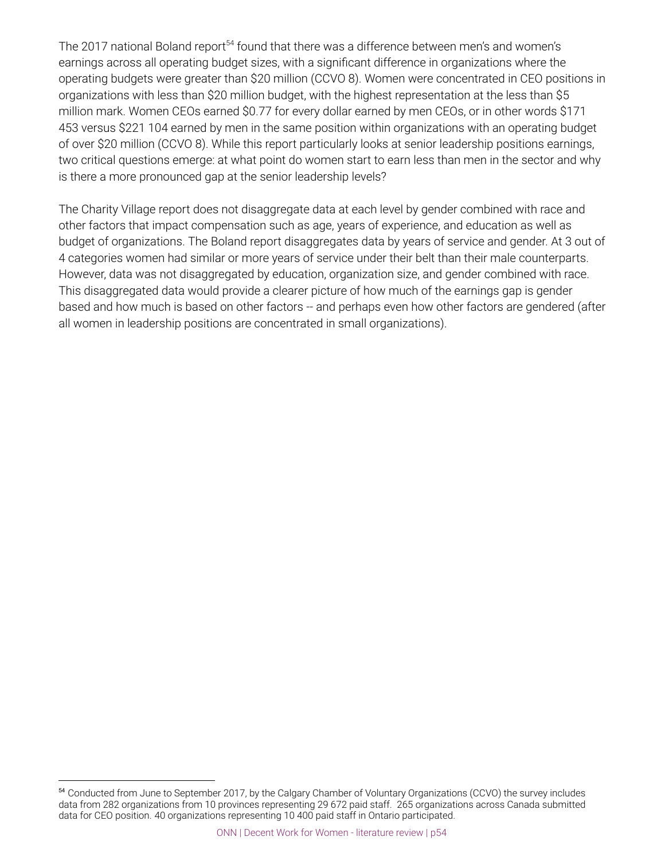The 2017 national Boland report<sup>54</sup> found that there was a difference between men's and women's earnings across all operating budget sizes, with a significant difference in organizations where the operating budgets were greater than \$20 million (CCVO 8). Women were concentrated in CEO positions in organizations with less than \$20 million budget, with the highest representation at the less than \$5 million mark. Women CEOs earned \$0.77 for every dollar earned by men CEOs, or in other words \$171 453 versus \$221 104 earned by men in the same position within organizations with an operating budget of over \$20 million (CCVO 8). While this report particularly looks at senior leadership positions earnings, two critical questions emerge: at what point do women start to earn less than men in the sector and why is there a more pronounced gap at the senior leadership levels?

The Charity Village report does not disaggregate data at each level by gender combined with race and other factors that impact compensation such as age, years of experience, and education as well as budget of organizations. The Boland report disaggregates data by years of service and gender. At 3 out of 4 categories women had similar or more years of service under their belt than their male counterparts. However, data was not disaggregated by education, organization size, and gender combined with race. This disaggregated data would provide a clearer picture of how much of the earnings gap is gender based and how much is based on other factors -- and perhaps even how other factors are gendered (after all women in leadership positions are concentrated in small organizations).

<sup>54</sup> Conducted from June to September 2017, by the Calgary Chamber of Voluntary Organizations (CCVO) the survey includes data from 282 organizations from 10 provinces representing 29 672 paid staff. 265 organizations across Canada submitted data for CEO position. 40 organizations representing 10 400 paid staff in Ontario participated.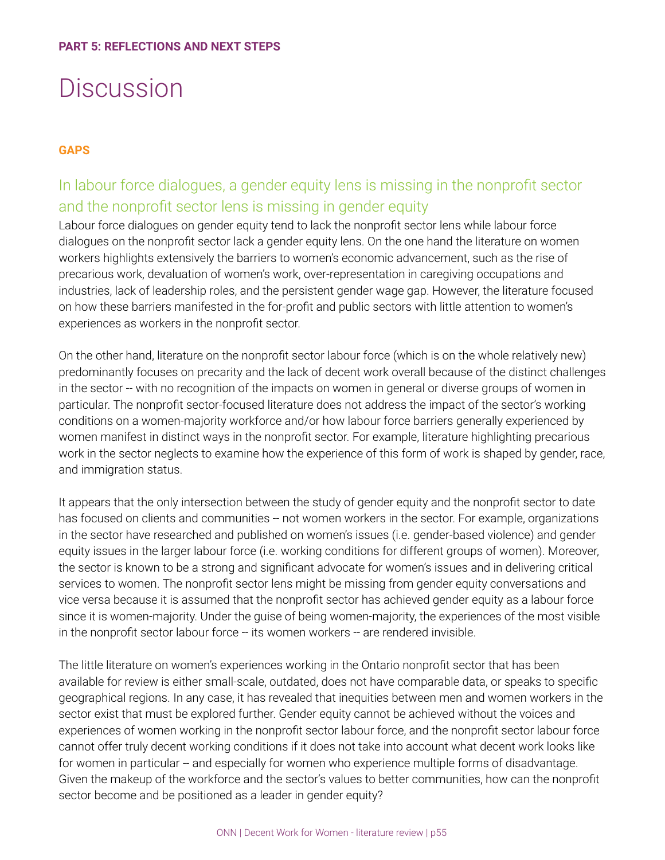## **Discussion**

### **GAPS**

## In labour force dialogues, a gender equity lens is missing in the nonprofit sector and the nonprofit sector lens is missing in gender equity

Labour force dialogues on gender equity tend to lack the nonprofit sector lens while labour force dialogues on the nonprofit sector lack a gender equity lens. On the one hand the literature on women workers highlights extensively the barriers to women's economic advancement, such as the rise of precarious work, devaluation of women's work, over-representation in caregiving occupations and industries, lack of leadership roles, and the persistent gender wage gap. However, the literature focused on how these barriers manifested in the for-profit and public sectors with little attention to women's experiences as workers in the nonprofit sector.

On the other hand, literature on the nonprofit sector labour force (which is on the whole relatively new) predominantly focuses on precarity and the lack of decent work overall because of the distinct challenges in the sector -- with no recognition of the impacts on women in general or diverse groups of women in particular. The nonprofit sector-focused literature does not address the impact of the sector's working conditions on a women-majority workforce and/or how labour force barriers generally experienced by women manifest in distinct ways in the nonprofit sector. For example, literature highlighting precarious work in the sector neglects to examine how the experience of this form of work is shaped by gender, race, and immigration status.

It appears that the only intersection between the study of gender equity and the nonprofit sector to date has focused on clients and communities -- not women workers in the sector. For example, organizations in the sector have researched and published on women's issues (i.e. gender-based violence) and gender equity issues in the larger labour force (i.e. working conditions for different groups of women). Moreover, the sector is known to be a strong and significant advocate for women's issues and in delivering critical services to women. The nonprofit sector lens might be missing from gender equity conversations and vice versa because it is assumed that the nonprofit sector has achieved gender equity as a labour force since it is women-majority. Under the guise of being women-majority, the experiences of the most visible in the nonprofit sector labour force -- its women workers -- are rendered invisible.

The little literature on women's experiences working in the Ontario nonprofit sector that has been available for review is either small-scale, outdated, does not have comparable data, or speaks to specific geographical regions. In any case, it has revealed that inequities between men and women workers in the sector exist that must be explored further. Gender equity cannot be achieved without the voices and experiences of women working in the nonprofit sector labour force, and the nonprofit sector labour force cannot offer truly decent working conditions if it does not take into account what decent work looks like for women in particular -- and especially for women who experience multiple forms of disadvantage. Given the makeup of the workforce and the sector's values to better communities, how can the nonprofit sector become and be positioned as a leader in gender equity?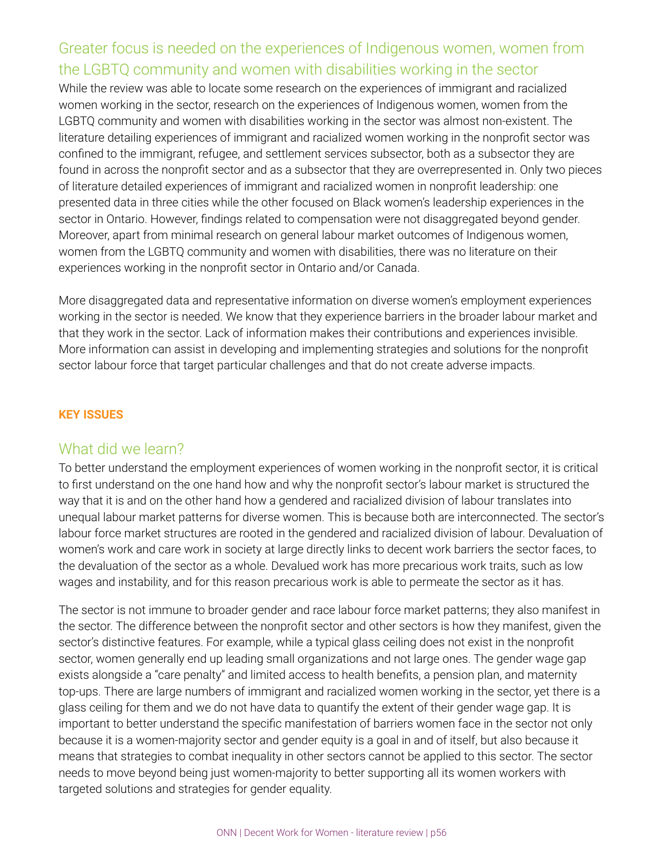## Greater focus is needed on the experiences of Indigenous women, women from the LGBTQ community and women with disabilities working in the sector

While the review was able to locate some research on the experiences of immigrant and racialized women working in the sector, research on the experiences of Indigenous women, women from the LGBTQ community and women with disabilities working in the sector was almost non-existent. The literature detailing experiences of immigrant and racialized women working in the nonprofit sector was confined to the immigrant, refugee, and settlement services subsector, both as a subsector they are found in across the nonprofit sector and as a subsector that they are overrepresented in. Only two pieces of literature detailed experiences of immigrant and racialized women in nonprofit leadership: one presented data in three cities while the other focused on Black women's leadership experiences in the sector in Ontario. However, findings related to compensation were not disaggregated beyond gender. Moreover, apart from minimal research on general labour market outcomes of Indigenous women, women from the LGBTQ community and women with disabilities, there was no literature on their experiences working in the nonprofit sector in Ontario and/or Canada.

More disaggregated data and representative information on diverse women's employment experiences working in the sector is needed. We know that they experience barriers in the broader labour market and that they work in the sector. Lack of information makes their contributions and experiences invisible. More information can assist in developing and implementing strategies and solutions for the nonprofit sector labour force that target particular challenges and that do not create adverse impacts.

#### **KEY ISSUES**

### What did we learn?

To better understand the employment experiences of women working in the nonprofit sector, it is critical to first understand on the one hand how and why the nonprofit sector's labour market is structured the way that it is and on the other hand how a gendered and racialized division of labour translates into unequal labour market patterns for diverse women. This is because both are interconnected. The sector's labour force market structures are rooted in the gendered and racialized division of labour. Devaluation of women's work and care work in society at large directly links to decent work barriers the sector faces, to the devaluation of the sector as a whole. Devalued work has more precarious work traits, such as low wages and instability, and for this reason precarious work is able to permeate the sector as it has.

The sector is not immune to broader gender and race labour force market patterns; they also manifest in the sector. The difference between the nonprofit sector and other sectors is how they manifest, given the sector's distinctive features. For example, while a typical glass ceiling does not exist in the nonprofit sector, women generally end up leading small organizations and not large ones. The gender wage gap exists alongside a "care penalty" and limited access to health benefits, a pension plan, and maternity top-ups. There are large numbers of immigrant and racialized women working in the sector, yet there is a glass ceiling for them and we do not have data to quantify the extent of their gender wage gap. It is important to better understand the specific manifestation of barriers women face in the sector not only because it is a women-majority sector and gender equity is a goal in and of itself, but also because it means that strategies to combat inequality in other sectors cannot be applied to this sector. The sector needs to move beyond being just women-majority to better supporting all its women workers with targeted solutions and strategies for gender equality.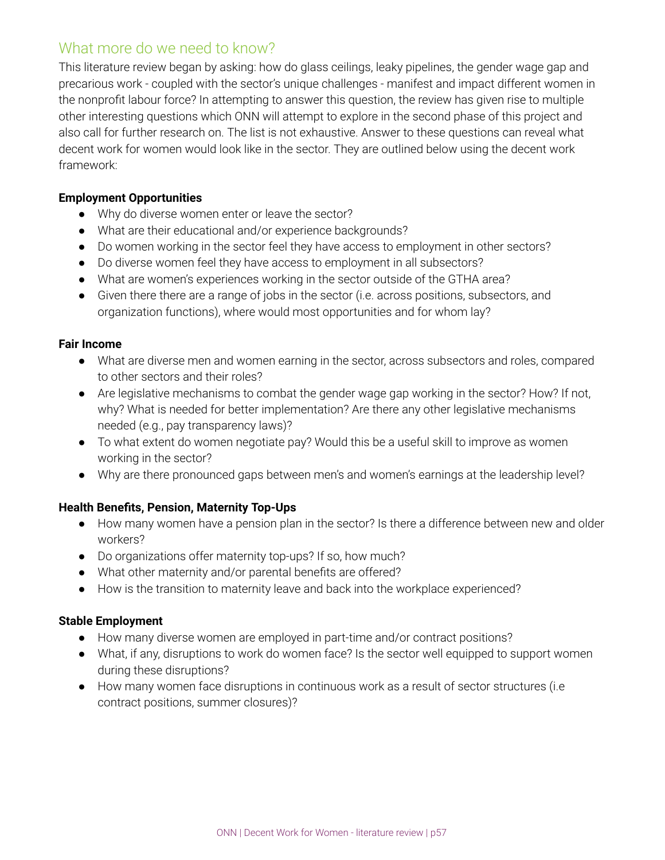## What more do we need to know?

This literature review began by asking: how do glass ceilings, leaky pipelines, the gender wage gap and precarious work - coupled with the sector's unique challenges - manifest and impact different women in the nonprofit labour force? In attempting to answer this question, the review has given rise to multiple other interesting questions which ONN will attempt to explore in the second phase of this project and also call for further research on. The list is not exhaustive. Answer to these questions can reveal what decent work for women would look like in the sector. They are outlined below using the decent work framework:

### **Employment Opportunities**

- Why do diverse women enter or leave the sector?
- What are their educational and/or experience backgrounds?
- Do women working in the sector feel they have access to employment in other sectors?
- Do diverse women feel they have access to employment in all subsectors?
- What are women's experiences working in the sector outside of the GTHA area?
- Given there there are a range of jobs in the sector (i.e. across positions, subsectors, and organization functions), where would most opportunities and for whom lay?

#### **Fair Income**

- What are diverse men and women earning in the sector, across subsectors and roles, compared to other sectors and their roles?
- Are legislative mechanisms to combat the gender wage gap working in the sector? How? If not, why? What is needed for better implementation? Are there any other legislative mechanisms needed (e.g., pay transparency laws)?
- To what extent do women negotiate pay? Would this be a useful skill to improve as women working in the sector?
- Why are there pronounced gaps between men's and women's earnings at the leadership level?

### **Health Benefits, Pension, Maternity Top-Ups**

- How many women have a pension plan in the sector? Is there a difference between new and older workers?
- Do organizations offer maternity top-ups? If so, how much?
- What other maternity and/or parental benefits are offered?
- How is the transition to maternity leave and back into the workplace experienced?

#### **Stable Employment**

- How many diverse women are employed in part-time and/or contract positions?
- What, if any, disruptions to work do women face? Is the sector well equipped to support women during these disruptions?
- How many women face disruptions in continuous work as a result of sector structures (i.e contract positions, summer closures)?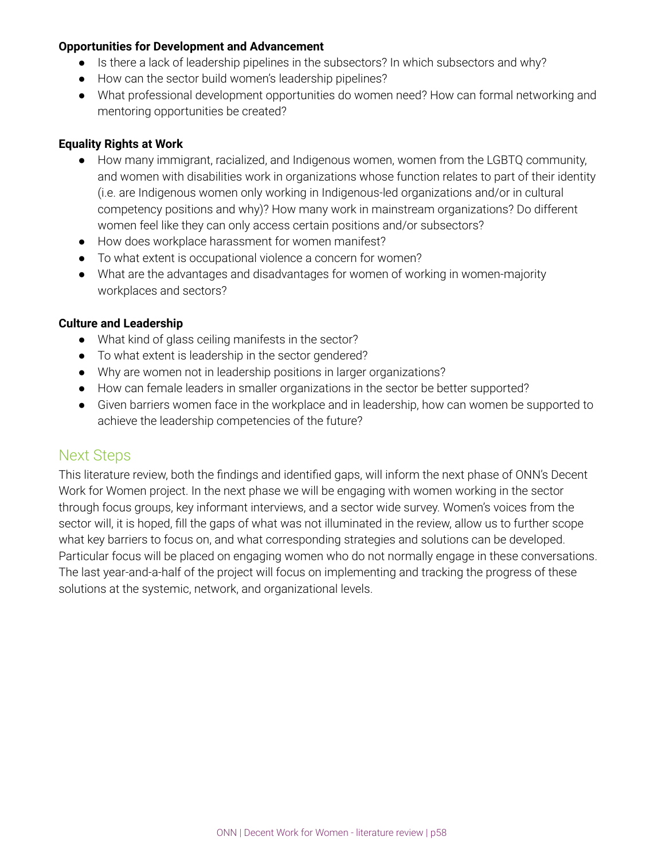#### **Opportunities for Development and Advancement**

- Is there a lack of leadership pipelines in the subsectors? In which subsectors and why?
- How can the sector build women's leadership pipelines?
- What professional development opportunities do women need? How can formal networking and mentoring opportunities be created?

### **Equality Rights at Work**

- How many immigrant, racialized, and Indigenous women, women from the LGBTQ community, and women with disabilities work in organizations whose function relates to part of their identity (i.e. are Indigenous women only working in Indigenous-led organizations and/or in cultural competency positions and why)? How many work in mainstream organizations? Do different women feel like they can only access certain positions and/or subsectors?
- How does workplace harassment for women manifest?
- To what extent is occupational violence a concern for women?
- What are the advantages and disadvantages for women of working in women-majority workplaces and sectors?

#### **Culture and Leadership**

- What kind of glass ceiling manifests in the sector?
- To what extent is leadership in the sector gendered?
- Why are women not in leadership positions in larger organizations?
- How can female leaders in smaller organizations in the sector be better supported?
- Given barriers women face in the workplace and in leadership, how can women be supported to achieve the leadership competencies of the future?

### Next Steps

This literature review, both the findings and identified gaps, will inform the next phase of ONN's Decent Work for Women project. In the next phase we will be engaging with women working in the sector through focus groups, key informant interviews, and a sector wide survey. Women's voices from the sector will, it is hoped, fill the gaps of what was not illuminated in the review, allow us to further scope what key barriers to focus on, and what corresponding strategies and solutions can be developed. Particular focus will be placed on engaging women who do not normally engage in these conversations. The last year-and-a-half of the project will focus on implementing and tracking the progress of these solutions at the systemic, network, and organizational levels.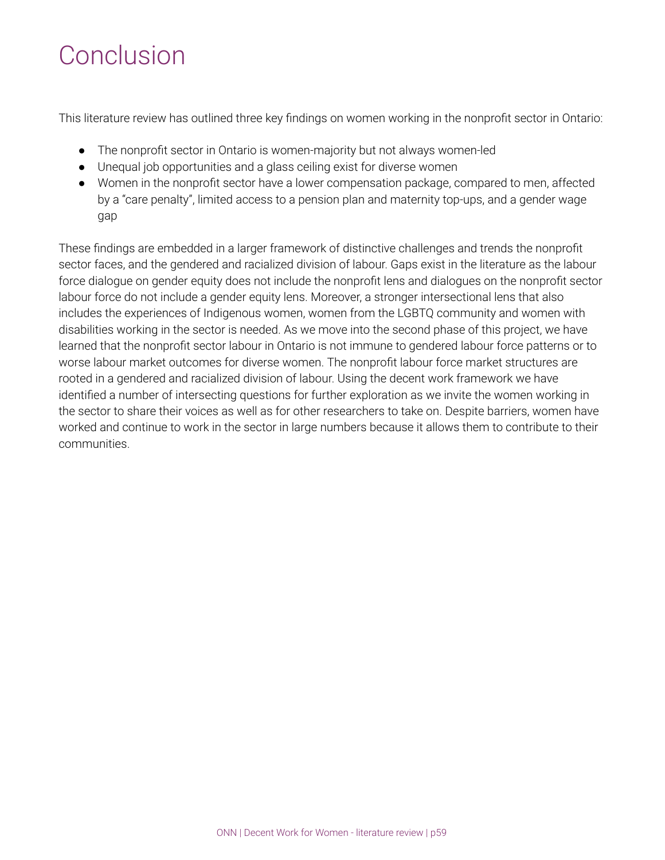## Conclusion

This literature review has outlined three key findings on women working in the nonprofit sector in Ontario:

- The nonprofit sector in Ontario is women-majority but not always women-led
- Unequal job opportunities and a glass ceiling exist for diverse women
- Women in the nonprofit sector have a lower compensation package, compared to men, affected by a "care penalty", limited access to a pension plan and maternity top-ups, and a gender wage gap

These findings are embedded in a larger framework of distinctive challenges and trends the nonprofit sector faces, and the gendered and racialized division of labour. Gaps exist in the literature as the labour force dialogue on gender equity does not include the nonprofit lens and dialogues on the nonprofit sector labour force do not include a gender equity lens. Moreover, a stronger intersectional lens that also includes the experiences of Indigenous women, women from the LGBTQ community and women with disabilities working in the sector is needed. As we move into the second phase of this project, we have learned that the nonprofit sector labour in Ontario is not immune to gendered labour force patterns or to worse labour market outcomes for diverse women. The nonprofit labour force market structures are rooted in a gendered and racialized division of labour. Using the decent work framework we have identified a number of intersecting questions for further exploration as we invite the women working in the sector to share their voices as well as for other researchers to take on. Despite barriers, women have worked and continue to work in the sector in large numbers because it allows them to contribute to their communities.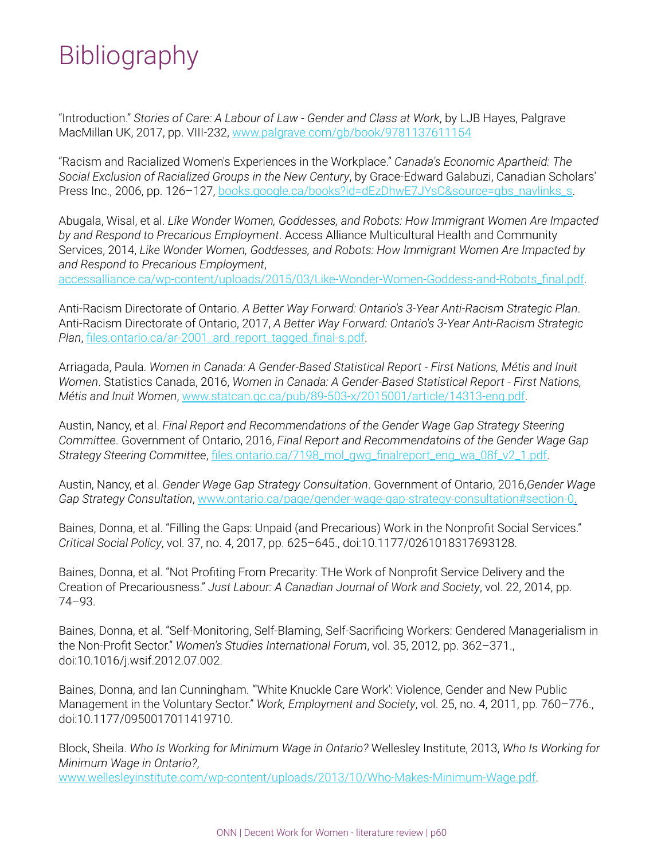## **Bibliography**

"Introduction." *Stories of Care: A Labour of Law - Gender and Class at Work*, by LJB Hayes, Palgrave MacMillan UK, 2017, pp. VIII-232, [www.palgrave.com/gb/book/9781137611154](http://www.palgrave.com/gb/book/9781137611154)

"Racism and Racialized Women's Experiences in the Workplace." *Canada's Economic Apartheid: The Social Exclusion of Racialized Groups in the New Century*, by Grace-Edward Galabuzi, Canadian Scholars' Press Inc., 2006, pp. 126-127, [books.google.ca/books?id=dEzDhwE7JYsC&source=gbs\\_navlinks\\_s](http://books.google.ca/books?id=dEzDhwE7JYsC&source=gbs_navlinks_s).

Abugala, Wisal, et al. *Like Wonder Women, Goddesses, and Robots: How Immigrant Women Are Impacted by and Respond to Precarious Employment*. Access Alliance Multicultural Health and Community Services, 2014, *Like Wonder Women, Goddesses, and Robots: How Immigrant Women Are Impacted by and Respond to Precarious Employment*,

[accessalliance.ca/wp-content/uploads/2015/03/Like-Wonder-Women-Goddess-and-Robots\\_final.pdf](http://accessalliance.ca/wp-content/uploads/2015/03/Like-Wonder-Women-Goddess-and-Robots_final.pdf).

Anti-Racism Directorate of Ontario. *A Better Way Forward: Ontario's 3-Year Anti-Racism Strategic Plan*. Anti-Racism Directorate of Ontario, 2017, *A Better Way Forward: Ontario's 3-Year Anti-Racism Strategic Plan*, [files.ontario.ca/ar-2001\\_ard\\_report\\_tagged\\_final-s.pdf.](http://files.ontario.ca/ar-2001_ard_report_tagged_final-s.pdf)

Arriagada, Paula. *Women in Canada: A Gender-Based Statistical Report - First Nations, Métis and Inuit Women*. Statistics Canada, 2016, *Women in Canada: A Gender-Based Statistical Report - First Nations, Métis and Inuit Women*, [www.statcan.gc.ca/pub/89-503-x/2015001/article/14313-eng.pdf.](http://www.statcan.gc.ca/pub/89-503-x/2015001/article/14313-eng.pdf)

Austin, Nancy, et al. *Final Report and Recommendations of the Gender Wage Gap Strategy Steering Committee*. Government of Ontario, 2016, *Final Report and Recommendatoins of the Gender Wage Gap Strategy Steering Committee*, [files.ontario.ca/7198\\_mol\\_gwg\\_finalreport\\_eng\\_wa\\_08f\\_v2\\_1.pdf.](http://files.ontario.ca/7198_mol_gwg_finalreport_eng_wa_08f_v2_1.pdf)

Austin, Nancy, et al. *Gender Wage Gap Strategy Consultation*. Government of Ontario, 2016,*Gender Wage Gap Strategy Consultation*, [www.ontario.ca/page/gender-wage-gap-strategy-consultation#section-0.](http://www.ontario.ca/page/gender-wage-gap-strategy-consultation#section-0.)

Baines, Donna, et al. "Filling the Gaps: Unpaid (and Precarious) Work in the Nonprofit Social Services." *Critical Social Policy*, vol. 37, no. 4, 2017, pp. 625–645., doi:10.1177/0261018317693128.

Baines, Donna, et al. "Not Profiting From Precarity: THe Work of Nonprofit Service Delivery and the Creation of Precariousness." *Just Labour: A Canadian Journal of Work and Society*, vol. 22, 2014, pp. 74–93.

Baines, Donna, et al. "Self-Monitoring, Self-Blaming, Self-Sacrificing Workers: Gendered Managerialism in the Non-Profit Sector." *Women's Studies International Forum*, vol. 35, 2012, pp. 362–371., doi:10.1016/j.wsif.2012.07.002.

Baines, Donna, and Ian Cunningham. "'White Knuckle Care Work': Violence, Gender and New Public Management in the Voluntary Sector." *Work, Employment and Society*, vol. 25, no. 4, 2011, pp. 760–776., doi:10.1177/0950017011419710.

Block, Sheila. *Who Is Working for Minimum Wage in Ontario?* Wellesley Institute, 2013, *Who Is Working for Minimum Wage in Ontario?*,

[www.wellesleyinstitute.com/wp-content/uploads/2013/10/Who-Makes-Minimum-Wage.pdf.](http://www.wellesleyinstitute.com/wp-content/uploads/2013/10/Who-Makes-Minimum-Wage.pdf)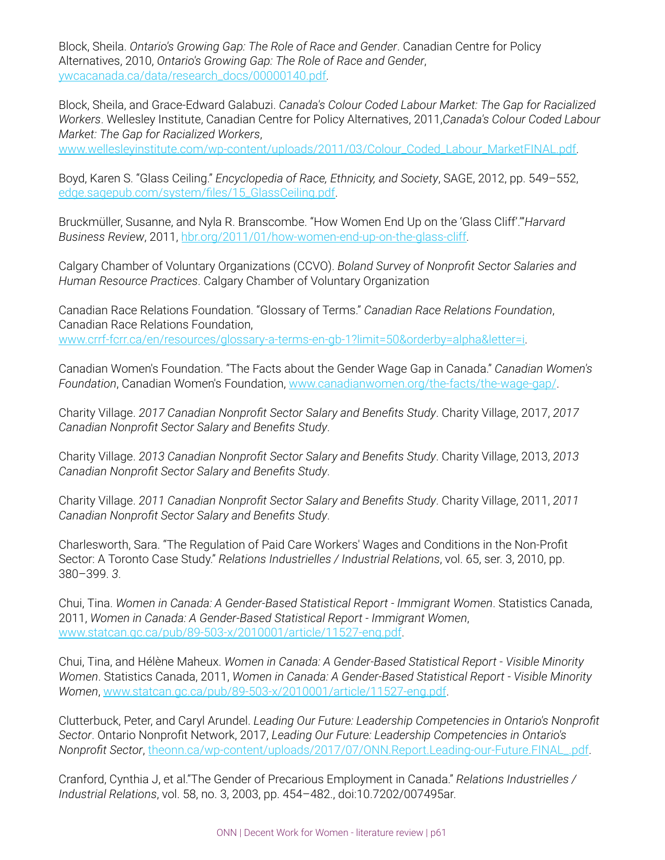Block, Sheila. *Ontario's Growing Gap: The Role of Race and Gender*. Canadian Centre for Policy Alternatives, 2010, *Ontario's Growing Gap: The Role of Race and Gender*, [ywcacanada.ca/data/research\\_docs/00000140.pdf.](http://ywcacanada.ca/data/research_docs/00000140.pdf)

Block, Sheila, and Grace-Edward Galabuzi. *Canada's Colour Coded Labour Market: The Gap for Racialized Workers*. Wellesley Institute, Canadian Centre for Policy Alternatives, 2011,*Canada's Colour Coded Labour Market: The Gap for Racialized Workers*,

[www.wellesleyinstitute.com/wp-content/uploads/2011/03/Colour\\_Coded\\_Labour\\_MarketFINAL.pdf.](http://www.wellesleyinstitute.com/wp-content/uploads/2011/03/Colour_Coded_Labour_MarketFINAL.pdf)

Boyd, Karen S. "Glass Ceiling." *Encyclopedia of Race, Ethnicity, and Society*, SAGE, 2012, pp. 549–552, [edge.sagepub.com/system/files/15\\_GlassCeiling.pdf.](http://edge.sagepub.com/system/files/15_GlassCeiling.pdf)

Bruckmüller, Susanne, and Nyla R. Branscombe. "How Women End Up on the 'Glass Cliff'.'"*Harvard Business Review*, 2011, [hbr.org/2011/01/how-women-end-up-on-the-glass-cliff.](http://hbr.org/2011/01/how-women-end-up-on-the-glass-cliff)

Calgary Chamber of Voluntary Organizations (CCVO). *Boland Survey of Nonprofit Sector Salaries and Human Resource Practices*. Calgary Chamber of Voluntary Organization

Canadian Race Relations Foundation. "Glossary of Terms." *Canadian Race Relations Foundation*, Canadian Race Relations Foundation, [www.crrf-fcrr.ca/en/resources/glossary-a-terms-en-gb-1?limit=50&orderby=alpha&letter=i](http://www.crrf-fcrr.ca/en/resources/glossary-a-terms-en-gb-1?limit=50&orderby=alpha&letter=i).

Canadian Women's Foundation. "The Facts about the Gender Wage Gap in Canada." *Canadian Women's Foundation*, Canadian Women's Foundation, [www.canadianwomen.org/the-facts/the-wage-gap/](http://www.canadianwomen.org/the-facts/the-wage-gap/).

Charity Village. *2017 Canadian Nonprofit Sector Salary and Benefits Study*. Charity Village, 2017, *2017 Canadian Nonprofit Sector Salary and Benefits Study*.

Charity Village. *2013 Canadian Nonprofit Sector Salary and Benefits Study*. Charity Village, 2013, *2013 Canadian Nonprofit Sector Salary and Benefits Study*.

Charity Village. *2011 Canadian Nonprofit Sector Salary and Benefits Study*. Charity Village, 2011, *2011 Canadian Nonprofit Sector Salary and Benefits Study*.

Charlesworth, Sara. "The Regulation of Paid Care Workers' Wages and Conditions in the Non-Profit Sector: A Toronto Case Study." *Relations Industrielles / Industrial Relations*, vol. 65, ser. 3, 2010, pp. 380–399. *3*.

Chui, Tina. *Women in Canada: A Gender-Based Statistical Report - Immigrant Women*. Statistics Canada, 2011, *Women in Canada: A Gender-Based Statistical Report - Immigrant Women*, [www.statcan.gc.ca/pub/89-503-x/2010001/article/11527-eng.pdf.](http://www.statcan.gc.ca/pub/89-503-x/2010001/article/11527-eng.pdf)

Chui, Tina, and Hélène Maheux. *Women in Canada: A Gender-Based Statistical Report - Visible Minority Women*. Statistics Canada, 2011, *Women in Canada: A Gender-Based Statistical Report - Visible Minority Women*, [www.statcan.gc.ca/pub/89-503-x/2010001/article/11527-eng.pdf](http://www.statcan.gc.ca/pub/89-503-x/2010001/article/11527-eng.pdf).

Clutterbuck, Peter, and Caryl Arundel. *Leading Our Future: Leadership Competencies in Ontario's Nonprofit Sector*. Ontario Nonprofit Network, 2017, *Leading Our Future: Leadership Competencies in Ontario's Nonprofit Sector*, [theonn.ca/wp-content/uploads/2017/07/ONN.Report.Leading-our-Future.FINAL\\_.pdf](http://theonn.ca/wp-content/uploads/2017/07/ONN.Report.Leading-our-Future.FINAL_.pdf).

Cranford, Cynthia J, et al."The Gender of Precarious Employment in Canada." *Relations Industrielles / Industrial Relations*, vol. 58, no. 3, 2003, pp. 454–482., doi:10.7202/007495ar.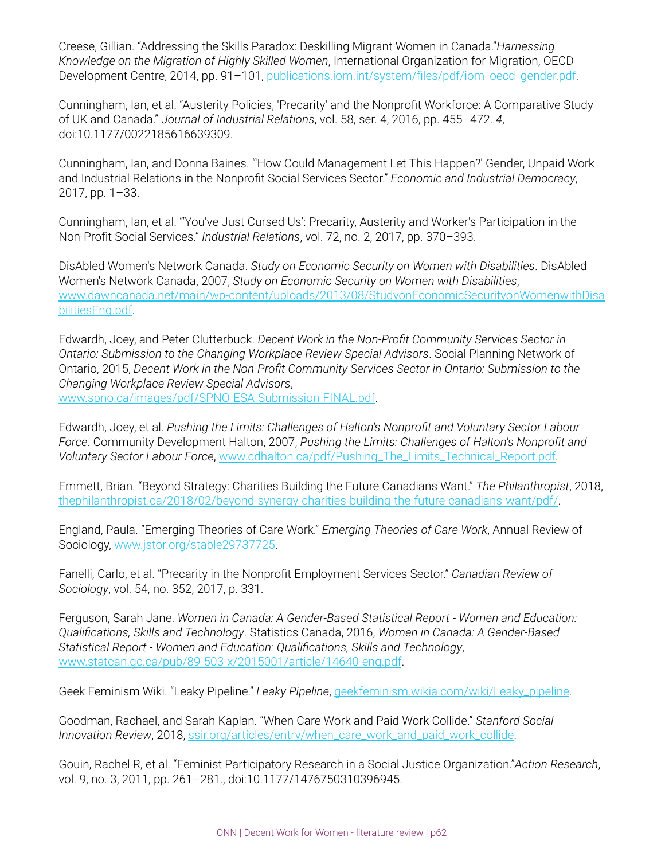Creese, Gillian. "Addressing the Skills Paradox: Deskilling Migrant Women in Canada."*Harnessing Knowledge on the Migration of Highly Skilled Women*, International Organization for Migration, OECD Development Centre, 2014, pp. 91–101, [publications.iom.int/system/files/pdf/iom\\_oecd\\_gender.pdf](http://publications.iom.int/system/files/pdf/iom_oecd_gender.pdf).

Cunningham, Ian, et al. "Austerity Policies, 'Precarity' and the Nonprofit Workforce: A Comparative Study of UK and Canada." *Journal of Industrial Relations*, vol. 58, ser. 4, 2016, pp. 455–472. *4*, doi:10.1177/0022185616639309.

Cunningham, Ian, and Donna Baines. "'How Could Management Let This Happen?' Gender, Unpaid Work and Industrial Relations in the Nonprofit Social Services Sector." *Economic and Industrial Democracy*, 2017, pp. 1–33.

Cunningham, Ian, et al. "'You've Just Cursed Us': Precarity, Austerity and Worker's Participation in the Non-Profit Social Services." *Industrial Relations*, vol. 72, no. 2, 2017, pp. 370–393.

DisAbled Women's Network Canada. *Study on Economic Security on Women with Disabilities*. DisAbled Women's Network Canada, 2007, *Study on Economic Security on Women with Disabilities*, [www.dawncanada.net/main/wp-content/uploads/2013/08/StudyonEconomicSecurityonWomenwithDisa](http://www.dawncanada.net/main/wp-content/uploads/2013/08/StudyonEconomicSecurityonWomenwithDisabilitiesEng.pdf) [bilitiesEng.pdf.](http://www.dawncanada.net/main/wp-content/uploads/2013/08/StudyonEconomicSecurityonWomenwithDisabilitiesEng.pdf)

Edwardh, Joey, and Peter Clutterbuck. *Decent Work in the Non-Profit Community Services Sector in Ontario: Submission to the Changing Workplace Review Special Advisors*. Social Planning Network of Ontario, 2015, *Decent Work in the Non-Profit Community Services Sector in Ontario: Submission to the Changing Workplace Review Special Advisors*, [www.spno.ca/images/pdf/SPNO-ESA-Submission-FINAL.pdf.](http://www.spno.ca/images/pdf/SPNO-ESA-Submission-FINAL.pdf)

Edwardh, Joey, et al. *Pushing the Limits: Challenges of Halton's Nonprofit and Voluntary Sector Labour Force*. Community Development Halton, 2007, *Pushing the Limits: Challenges of Halton's Nonprofit and Voluntary Sector Labour Force*, [www.cdhalton.ca/pdf/Pushing\\_The\\_Limits\\_Technical\\_Report.pdf.](http://www.cdhalton.ca/pdf/Pushing_The_Limits_Technical_Report.pdf)

Emmett, Brian. "Beyond Strategy: Charities Building the Future Canadians Want." *The Philanthropist*, 2018, [thephilanthropist.ca/2018/02/beyond-synergy-charities-building-the-future-canadians-want/pdf/](http://thephilanthropist.ca/2018/02/beyond-synergy-charities-building-the-future-canadians-want/pdf/).

England, Paula. "Emerging Theories of Care Work." *Emerging Theories of Care Work*, Annual Review of Sociology, [www.jstor.org/stable29737725.](http://www.jstor.org/stable29737725)

Fanelli, Carlo, et al. "Precarity in the Nonprofit Employment Services Sector." *Canadian Review of Sociology*, vol. 54, no. 352, 2017, p. 331.

Ferguson, Sarah Jane. *Women in Canada: A Gender-Based Statistical Report - Women and Education: Qualifications, Skills and Technology*. Statistics Canada, 2016, *Women in Canada: A Gender-Based Statistical Report - Women and Education: Qualifications, Skills and Technology*, [www.statcan.gc.ca/pub/89-503-x/2015001/article/14640-eng.pdf.](http://www.statcan.gc.ca/pub/89-503-x/2015001/article/14640-eng.pdf)

Geek Feminism Wiki. "Leaky Pipeline." *Leaky Pipeline*, [geekfeminism.wikia.com/wiki/Leaky\\_pipeline](http://geekfeminism.wikia.com/wiki/Leaky_pipeline).

Goodman, Rachael, and Sarah Kaplan. "When Care Work and Paid Work Collide." *Stanford Social Innovation Review*, 2018, [ssir.org/articles/entry/when\\_care\\_work\\_and\\_paid\\_work\\_collide](http://ssir.org/articles/entry/when_care_work_and_paid_work_collide).

Gouin, Rachel R, et al. "Feminist Participatory Research in a Social Justice Organization."*Action Research* , vol. 9, no. 3, 2011, pp. 261–281., doi:10.1177/1476750310396945.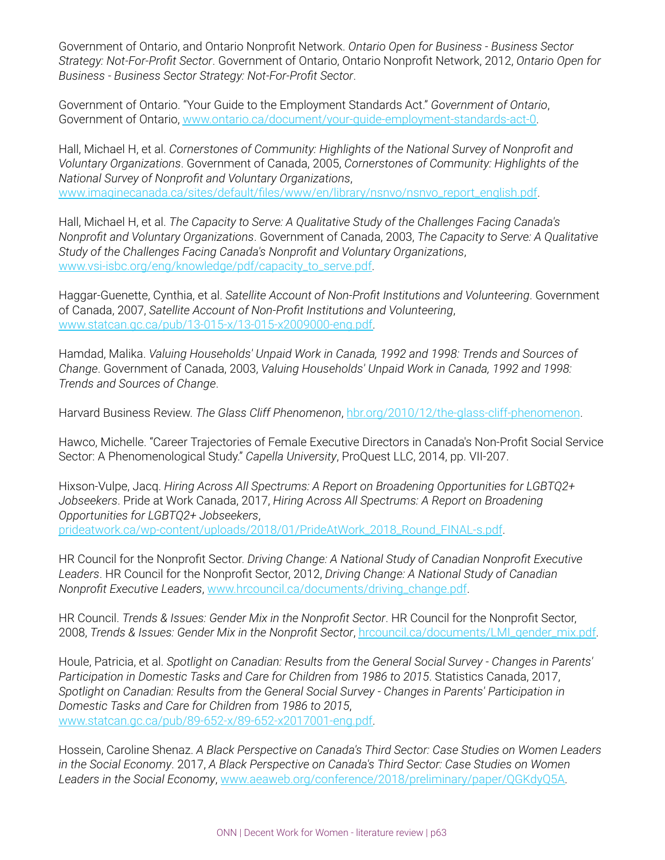Government of Ontario, and Ontario Nonprofit Network. *Ontario Open for Business - Business Sector Strategy: Not-For-Profit Sector*. Government of Ontario, Ontario Nonprofit Network, 2012, *Ontario Open for Business - Business Sector Strategy: Not-For-Profit Sector*.

Government of Ontario. "Your Guide to the Employment Standards Act." *Government of Ontario*, Government of Ontario, [www.ontario.ca/document/your-guide-employment-standards-act-0.](http://www.ontario.ca/document/your-guide-employment-standards-act-0)

Hall, Michael H, et al. *Cornerstones of Community: Highlights of the National Survey of Nonprofit and Voluntary Organizations*. Government of Canada, 2005, *Cornerstones of Community: Highlights of the National Survey of Nonprofit and Voluntary Organizations*, [www.imaginecanada.ca/sites/default/files/www/en/library/nsnvo/nsnvo\\_report\\_english.pdf.](http://www.imaginecanada.ca/sites/default/files/www/en/library/nsnvo/nsnvo_report_english.pdf)

Hall, Michael H, et al. *The Capacity to Serve: A Qualitative Study of the Challenges Facing Canada's Nonprofit and Voluntary Organizations*. Government of Canada, 2003, *The Capacity to Serve: A Qualitative Study of the Challenges Facing Canada's Nonprofit and Voluntary Organizations*, [www.vsi-isbc.org/eng/knowledge/pdf/capacity\\_to\\_serve.pdf.](http://www.vsi-isbc.org/eng/knowledge/pdf/capacity_to_serve.pdf)

Haggar-Guenette, Cynthia, et al. *Satellite Account of Non-Profit Institutions and Volunteering*. Government of Canada, 2007, *Satellite Account of Non-Profit Institutions and Volunteering*, [www.statcan.gc.ca/pub/13-015-x/13-015-x2009000-eng.pdf.](http://www.statcan.gc.ca/pub/13-015-x/13-015-x2009000-eng.pdf)

Hamdad, Malika. *Valuing Households' Unpaid Work in Canada, 1992 and 1998: Trends and Sources of Change*. Government of Canada, 2003, *Valuing Households' Unpaid Work in Canada, 1992 and 1998: Trends and Sources of Change*.

Harvard Business Review. *The Glass Cliff Phenomenon*, [hbr.org/2010/12/the-glass-cliff-phenomenon](http://hbr.org/2010/12/the-glass-cliff-phenomenon) .

Hawco, Michelle. "Career Trajectories of Female Executive Directors in Canada's Non-Profit Social Service Sector: A Phenomenological Study." *Capella University*, ProQuest LLC, 2014, pp. VII-207.

Hixson-Vulpe, Jacq. *Hiring Across All Spectrums: A Report on Broadening Opportunities for LGBTQ2+ Jobseekers*. Pride at Work Canada, 2017, *Hiring Across All Spectrums: A Report on Broadening Opportunities for LGBTQ2+ Jobseekers*, [prideatwork.ca/wp-content/uploads/2018/01/PrideAtWork\\_2018\\_Round\\_FINAL-s.pdf.](http://prideatwork.ca/wp-content/uploads/2018/01/PrideAtWork_2018_Round_FINAL-s.pdf)

HR Council for the Nonprofit Sector. *Driving Change: A National Study of Canadian Nonprofit Executive Leaders*. HR Council for the Nonprofit Sector, 2012, *Driving Change: A National Study of Canadian Nonprofit Executive Leaders*, [www.hrcouncil.ca/documents/driving\\_change.pdf](http://www.hrcouncil.ca/documents/driving_change.pdf).

HR Council. *Trends & Issues: Gender Mix in the Nonprofit Sector*. HR Council for the Nonprofit Sector, 2008, *Trends & Issues: Gender Mix in the Nonprofit Sector*, [hrcouncil.ca/documents/LMI\\_gender\\_mix.pdf.](http://hrcouncil.ca/documents/LMI_gender_mix.pdf)

Houle, Patricia, et al. *Spotlight on Canadian: Results from the General Social Survey - Changes in Parents' Participation in Domestic Tasks and Care for Children from 1986 to 2015*. Statistics Canada, 2017, *Spotlight on Canadian: Results from the General Social Survey - Changes in Parents' Participation in Domestic Tasks and Care for Children from 1986 to 2015*, [www.statcan.gc.ca/pub/89-652-x/89-652-x2017001-eng.pdf.](http://www.statcan.gc.ca/pub/89-652-x/89-652-x2017001-eng.pdf)

Hossein, Caroline Shenaz. *A Black Perspective on Canada's Third Sector: Case Studies on Women Leaders in the Social Economy*. 2017, *A Black Perspective on Canada's Third Sector: Case Studies on Women Leaders in the Social Economy*, [www.aeaweb.org/conference/2018/preliminary/paper/QGKdyQ5A](http://www.aeaweb.org/conference/2018/preliminary/paper/QGKdyQ5A).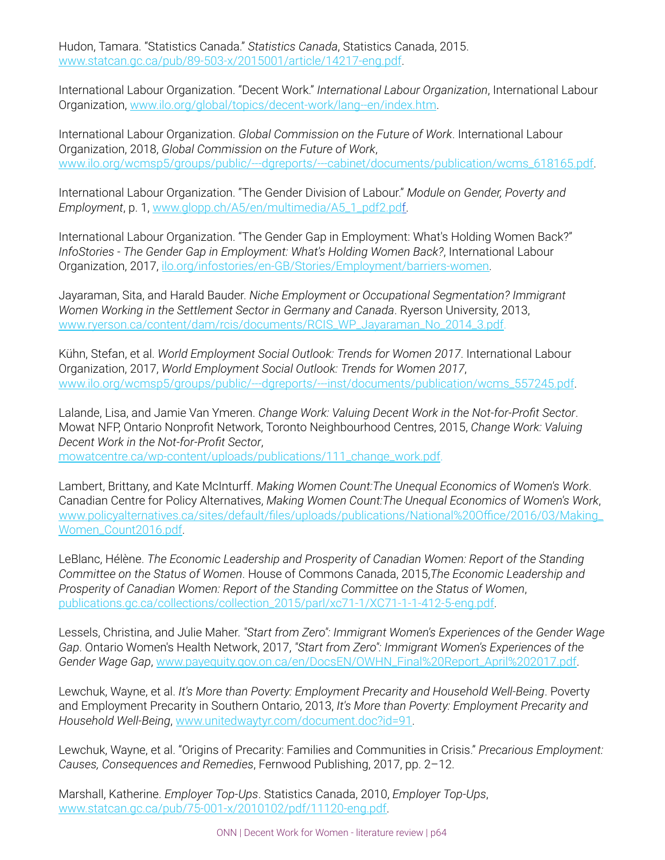Hudon, Tamara. "Statistics Canada." *Statistics Canada*, Statistics Canada, 2015. [www.statcan.gc.ca/pub/89-503-x/2015001/article/14217-eng.pdf.](http://www.statcan.gc.ca/pub/89-503-x/2015001/article/14217-eng.pdf)

International Labour Organization. "Decent Work." *International Labour Organization*, International Labour Organization, [www.ilo.org/global/topics/decent-work/lang--en/index.htm.](http://www.ilo.org/global/topics/decent-work/lang--en/index.htm)

International Labour Organization. *Global Commission on the Future of Work*. International Labour Organization, 2018, *Global Commission on the Future of Work*, [www.ilo.org/wcmsp5/groups/public/---dgreports/---cabinet/documents/publication/wcms\\_618165.pdf.](http://www.ilo.org/wcmsp5/groups/public/---dgreports/---cabinet/documents/publication/wcms_618165.pdf)

International Labour Organization. "The Gender Division of Labour." *Module on Gender, Poverty and Employment*, p. 1, [www.glopp.ch/A5/en/multimedia/A5\\_1\\_pdf2.pdf.](http://www.glopp.ch/A5/en/multimedia/A5_1_pdf2.pdf)

International Labour Organization. "The Gender Gap in Employment: What's Holding Women Back?" *InfoStories - The Gender Gap in Employment: What's Holding Women Back?*, International Labour Organization, 2017, [ilo.org/infostories/en-GB/Stories/Employment/barriers-women .](http://lo.org/infostories/en-GB/Stories/Employment/barriers-women)

Jayaraman, Sita, and Harald Bauder. *Niche Employment or Occupational Segmentation? Immigrant Women Working in the Settlement Sector in Germany and Canada*. Ryerson University, 2013, [www.ryerson.ca/content/dam/rcis/documents/RCIS\\_WP\\_Jayaraman\\_No\\_2014\\_3.pdf.](http://www.ryerson.ca/content/dam/rcis/documents/RCIS_WP_Jayaraman_No_2014_3.pdf)

Kühn, Stefan, et al. *World Employment Social Outlook: Trends for Women 2017*. International Labour Organization, 2017, *World Employment Social Outlook: Trends for Women 2017*, [www.ilo.org/wcmsp5/groups/public/---dgreports/---inst/documents/publication/wcms\\_557245.pdf.](http://www.ilo.org/wcmsp5/groups/public/---dgreports/---inst/documents/publication/wcms_557245.pdf)

Lalande, Lisa, and Jamie Van Ymeren. *Change Work: Valuing Decent Work in the Not-for-Profit Sector*. Mowat NFP, Ontario Nonprofit Network, Toronto Neighbourhood Centres, 2015, *Change Work: Valuing Decent Work in the Not-for-Profit Sector*,

[mowatcentre.ca/wp-content/uploads/publications/111\\_change\\_work.pdf.](http://mowatcentre.ca/wp-content/uploads/publications/111_change_work.pdf)

Lambert, Brittany, and Kate McInturff. *Making Women Count:The Unequal Economics of Women's Work*. Canadian Centre for Policy Alternatives, *Making Women Count:The Unequal Economics of Women's Work*, [www.policyalternatives.ca/sites/default/files/uploads/publications/National%20Office/2016/03/Making\\_](http://www.policyalternatives.ca/sites/default/files/uploads/publications/National%20Office/2016/03/Making_Women_Count2016.pdf) [Women\\_Count2016.pdf.](http://www.policyalternatives.ca/sites/default/files/uploads/publications/National%20Office/2016/03/Making_Women_Count2016.pdf)

LeBlanc, Hélène. *The Economic Leadership and Prosperity of Canadian Women: Report of the Standing Committee on the Status of Women*. House of Commons Canada, 2015,*The Economic Leadership and Prosperity of Canadian Women: Report of the Standing Committee on the Status of Women*, [publications.gc.ca/collections/collection\\_2015/parl/xc71-1/XC71-1-1-412-5-eng.pdf](http://publications.gc.ca/collections/collection_2015/parl/xc71-1/XC71-1-1-412-5-eng.pdf).

Lessels, Christina, and Julie Maher. *"Start from Zero": Immigrant Women's Experiences of the Gender Wage Gap*. Ontario Women's Health Network, 2017, *"Start from Zero": Immigrant Women's Experiences of the Gender Wage Gap*, [www.payequity.gov.on.ca/en/DocsEN/OWHN\\_Final%20Report\\_April%202017.pdf](http://www.payequity.gov.on.ca/en/DocsEN/OWHN_Final%20Report_April%202017.pdf).

Lewchuk, Wayne, et al. *It's More than Poverty: Employment Precarity and Household Well-Being*. Poverty and Employment Precarity in Southern Ontario, 2013, *It's More than Poverty: Employment Precarity and Household Well-Being*, [www.unitedwaytyr.com/document.doc?id=91.](http://www.unitedwaytyr.com/document.doc?id=91)

Lewchuk, Wayne, et al. "Origins of Precarity: Families and Communities in Crisis." *Precarious Employment: Causes, Consequences and Remedies*, Fernwood Publishing, 2017, pp. 2–12.

Marshall, Katherine. *Employer Top-Ups*. Statistics Canada, 2010, *Employer Top-Ups*, [www.statcan.gc.ca/pub/75-001-x/2010102/pdf/11120-eng.pdf](http://www.statcan.gc.ca/pub/75-001-x/2010102/pdf/11120-eng.pdf).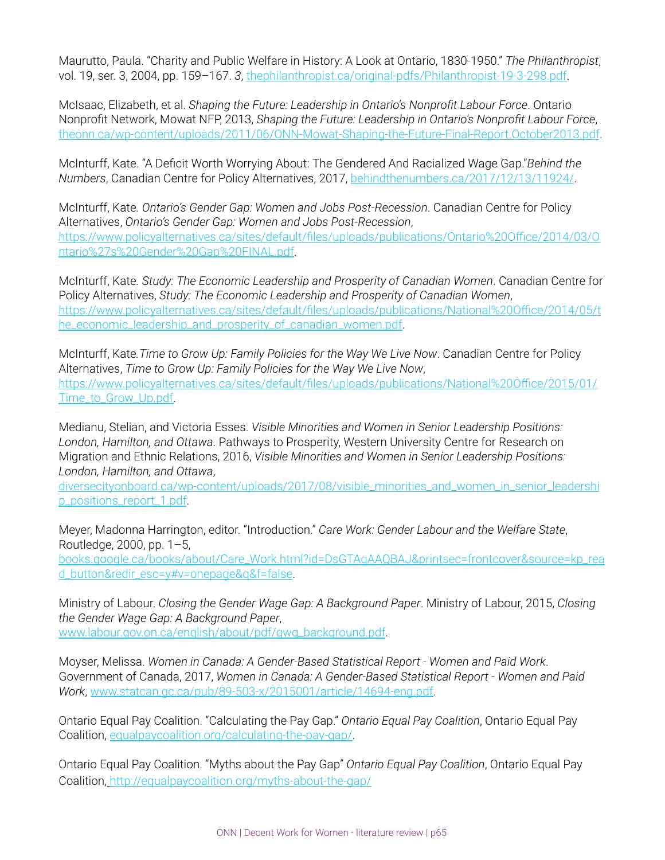Maurutto, Paula. "Charity and Public Welfare in History: A Look at Ontario, 1830-1950." *The Philanthropist*, vol. 19, ser. 3, 2004, pp. 159–167. *3*, [thephilanthropist.ca/original-pdfs/Philanthropist-19-3-298.pdf.](http://thephilanthropist.ca/original-pdfs/Philanthropist-19-3-298.pdf)

McIsaac, Elizabeth, et al. *Shaping the Future: Leadership in Ontario's Nonprofit Labour Force*. Ontario Nonprofit Network, Mowat NFP, 2013, *Shaping the Future: Leadership in Ontario's Nonprofit Labour Force*, [theonn.ca/wp-content/uploads/2011/06/ONN-Mowat-Shaping-the-Future-Final-Report.October2013.pdf](http://theonn.ca/wp-content/uploads/2011/06/ONN-Mowat-Shaping-the-Future-Final-Report.October2013.pdf).

McInturff, Kate. "A Deficit Worth Worrying About: The Gendered And Racialized Wage Gap."*Behind the Numbers*, Canadian Centre for Policy Alternatives, 2017, [behindthenumbers.ca/2017/12/13/11924/.](http://ehindthenumbers.ca/2017/12/13/11924/)

McInturff, Kate*. Ontario's Gender Gap: Women and Jobs Post-Recession*. Canadian Centre for Policy Alternatives, *Ontario's Gender Gap: Women and Jobs Post-Recession*, [https://www.policyalternatives.ca/sites/default/files/uploads/publications/Ontario%20Office/2014/03/O](https://www.policyalternatives.ca/sites/default/files/uploads/publications/Ontario%20Office/2014/03/Ontario%27s%20Gender%20Gap%20FINAL.pdf) [ntario%27s%20Gender%20Gap%20FINAL.pdf.](https://www.policyalternatives.ca/sites/default/files/uploads/publications/Ontario%20Office/2014/03/Ontario%27s%20Gender%20Gap%20FINAL.pdf)

McInturff, Kate*. Study: The Economic Leadership and Prosperity of Canadian Women*. Canadian Centre for Policy Alternatives, *Study: The Economic Leadership and Prosperity of Canadian Women*, [https://www.policyalternatives.ca/sites/default/files/uploads/publications/National%20Office/2014/05/t](https://www.policyalternatives.ca/sites/default/files/uploads/publications/National%20Office/2014/05/the_economic_leadership_and_prosperity_of_canadian_women.pdf) [he\\_economic\\_leadership\\_and\\_prosperity\\_of\\_canadian\\_women.pdf](https://www.policyalternatives.ca/sites/default/files/uploads/publications/National%20Office/2014/05/the_economic_leadership_and_prosperity_of_canadian_women.pdf).

McInturff, Kate*.Time to Grow Up: Family Policies for the Way We Live Now*. Canadian Centre for Policy Alternatives, *Time to Grow Up: Family Policies for the Way We Live Now*, [https://www.policyalternatives.ca/sites/default/files/uploads/publications/National%20Office/2015/01/](https://www.policyalternatives.ca/sites/default/files/uploads/publications/National%20Office/2015/01/Time_to_Grow_Up.pdf) [Time\\_to\\_Grow\\_Up.pdf.](https://www.policyalternatives.ca/sites/default/files/uploads/publications/National%20Office/2015/01/Time_to_Grow_Up.pdf)

Medianu, Stelian, and Victoria Esses. *Visible Minorities and Women in Senior Leadership Positions: London, Hamilton, and Ottawa*. Pathways to Prosperity, Western University Centre for Research on Migration and Ethnic Relations, 2016, *Visible Minorities and Women in Senior Leadership Positions: London, Hamilton, and Ottawa*,

[diversecityonboard.ca/wp-content/uploads/2017/08/visible\\_minorities\\_and\\_women\\_in\\_senior\\_leadershi](http://diversecityonboard.ca/wp-content/uploads/2017/08/visible_minorities_and_women_in_senior_leadership_positions_report_1.pdf) [p\\_positions\\_report\\_1.pdf.](http://diversecityonboard.ca/wp-content/uploads/2017/08/visible_minorities_and_women_in_senior_leadership_positions_report_1.pdf)

Meyer, Madonna Harrington, editor. "Introduction." *Care Work: Gender Labour and the Welfare State*, Routledge, 2000, pp. 1–5,

[books.google.ca/books/about/Care\\_Work.html?id=DsGTAgAAQBAJ&printsec=frontcover&source=kp\\_rea](http://books.google.ca/books/about/Care_Work.html?id=DsGTAgAAQBAJ&printsec=frontcover&source=kp_read_button&redir_esc=y#v=onepage&q&f=false) [d\\_button&redir\\_esc=y#v=onepage&q&f=false](http://books.google.ca/books/about/Care_Work.html?id=DsGTAgAAQBAJ&printsec=frontcover&source=kp_read_button&redir_esc=y#v=onepage&q&f=false).

Ministry of Labour. *Closing the Gender Wage Gap: A Background Paper*. Ministry of Labour, 2015, *Closing the Gender Wage Gap: A Background Paper*, [www.labour.gov.on.ca/english/about/pdf/gwg\\_background.pdf](http://www.labour.gov.on.ca/english/about/pdf/gwg_background.pdf).

Moyser, Melissa. *Women in Canada: A Gender-Based Statistical Report - Women and Paid Work*. Government of Canada, 2017, *Women in Canada: A Gender-Based Statistical Report - Women and Paid Work*, [www.statcan.gc.ca/pub/89-503-x/2015001/article/14694-eng.pdf](http://www.statcan.gc.ca/pub/89-503-x/2015001/article/14694-eng.pdf).

Ontario Equal Pay Coalition. "Calculating the Pay Gap." *Ontario Equal Pay Coalition*, Ontario Equal Pay Coalition, [equalpaycoalition.org/calculating-the-pay-gap/.](http://equalpaycoalition.org/calculating-the-pay-gap/)

Ontario Equal Pay Coalition. "Myths about the Pay Gap" *Ontario Equal Pay Coalition*, Ontario Equal Pay Coalition[, http://equalpaycoalition.org/myths-about-the-gap/](http://equalpaycoalition.org/myths-about-the-gap/)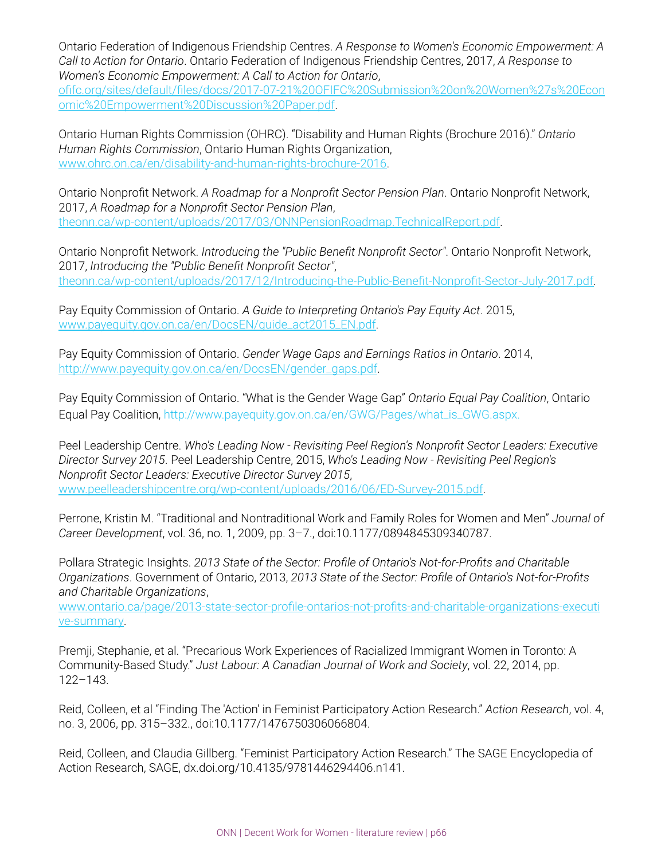Ontario Federation of Indigenous Friendship Centres. *A Response to Women's Economic Empowerment: A Call to Action for Ontario*. Ontario Federation of Indigenous Friendship Centres, 2017, *A Response to Women's Economic Empowerment: A Call to Action for Ontario*,

[ofifc.org/sites/default/files/docs/2017-07-21%20OFIFC%20Submission%20on%20Women%27s%20Econ](http://ofifc.org/sites/default/files/docs/2017-07-21%20OFIFC%20Submission%20on%20Women%27s%20Economic%20Empowerment%20Discussion%20Paper.pdf) [omic%20Empowerment%20Discussion%20Paper.pdf](http://ofifc.org/sites/default/files/docs/2017-07-21%20OFIFC%20Submission%20on%20Women%27s%20Economic%20Empowerment%20Discussion%20Paper.pdf).

Ontario Human Rights Commission (OHRC). "Disability and Human Rights (Brochure 2016)." *Ontario Human Rights Commission*, Ontario Human Rights Organization, [www.ohrc.on.ca/en/disability-and-human-rights-brochure-2016](http://www.ohrc.on.ca/en/disability-and-human-rights-brochure-2016).

Ontario Nonprofit Network. *A Roadmap for a Nonprofit Sector Pension Plan*. Ontario Nonprofit Network, 2017, *A Roadmap for a Nonprofit Sector Pension Plan*, [theonn.ca/wp-content/uploads/2017/03/ONNPensionRoadmap.TechnicalReport.pdf](http://theonn.ca/wp-content/uploads/2017/03/ONNPensionRoadmap.TechnicalReport.pdf).

Ontario Nonprofit Network. *Introducing the "Public Benefit Nonprofit Sector"*. Ontario Nonprofit Network, 2017, *Introducing the "Public Benefit Nonprofit Sector"*, [theonn.ca/wp-content/uploads/2017/12/Introducing-the-Public-Benefit-Nonprofit-Sector-July-2017.pdf.](http://theonn.ca/wp-content/uploads/2017/12/Introducing-the-Public-Benefit-Nonprofit-Sector-July-2017.pdf)

Pay Equity Commission of Ontario. *A Guide to Interpreting Ontario's Pay Equity Act*. 2015, [www.payequity.gov.on.ca/en/DocsEN/guide\\_act2015\\_EN.pdf](http://www.payequity.gov.on.ca/en/DocsEN/guide_act2015_EN.pdf).

Pay Equity Commission of Ontario. *Gender Wage Gaps and Earnings Ratios in Ontario*. 2014, [http://www.payequity.gov.on.ca/en/DocsEN/gender\\_gaps.pdf](http://www.payequity.gov.on.ca/en/DocsEN/gender_gaps.pdf).

Pay Equity Commission of Ontario. "What is the Gender Wage Gap" *Ontario Equal Pay Coalition*, Ontario Equal Pay Coalition, http://www.payequity.gov.on.ca/en/GWG/Pages/what\_is\_GWG.aspx.

Peel Leadership Centre. *Who's Leading Now - Revisiting Peel Region's Nonprofit Sector Leaders: Executive Director Survey 2015*. Peel Leadership Centre, 2015, *Who's Leading Now - Revisiting Peel Region's Nonprofit Sector Leaders: Executive Director Survey 2015*, [www.peelleadershipcentre.org/wp-content/uploads/2016/06/ED-Survey-2015.pdf.](http://www.peelleadershipcentre.org/wp-content/uploads/2016/06/ED-Survey-2015.pdf)

Perrone, Kristin M. "Traditional and Nontraditional Work and Family Roles for Women and Men" *Journal of Career Development*, vol. 36, no. 1, 2009, pp. 3–7., doi:10.1177/0894845309340787.

Pollara Strategic Insights. *2013 State of the Sector: Profile of Ontario's Not-for-Profits and Charitable Organizations*. Government of Ontario, 2013, *2013 State of the Sector: Profile of Ontario's Not-for-Profits and Charitable Organizations*,

[www.ontario.ca/page/2013-state-sector-profile-ontarios-not-profits-and-charitable-organizations-executi](http://www.ontario.ca/page/2013-state-sector-profile-ontarios-not-profits-and-charitable-organizations-executive-summary) [ve-summary](http://www.ontario.ca/page/2013-state-sector-profile-ontarios-not-profits-and-charitable-organizations-executive-summary).

Premji, Stephanie, et al. "Precarious Work Experiences of Racialized Immigrant Women in Toronto: A Community-Based Study." *Just Labour: A Canadian Journal of Work and Society*, vol. 22, 2014, pp. 122–143.

Reid, Colleen, et al "Finding The 'Action' in Feminist Participatory Action Research." *Action Research* , vol. 4, no. 3, 2006, pp. 315–332., doi:10.1177/1476750306066804.

Reid, Colleen, and Claudia Gillberg. "Feminist Participatory Action Research." The SAGE Encyclopedia of Action Research, SAGE, dx.doi.org/10.4135/9781446294406.n141.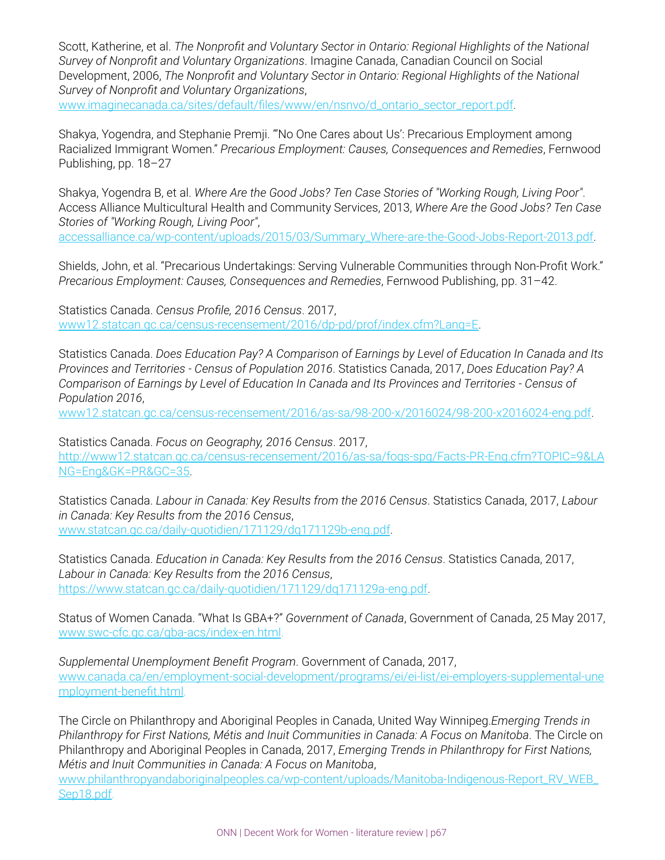Scott, Katherine, et al. *The Nonprofit and Voluntary Sector in Ontario: Regional Highlights of the National Survey of Nonprofit and Voluntary Organizations*. Imagine Canada, Canadian Council on Social Development, 2006, *The Nonprofit and Voluntary Sector in Ontario: Regional Highlights of the National Survey of Nonprofit and Voluntary Organizations*,

[www.imaginecanada.ca/sites/default/files/www/en/nsnvo/d\\_ontario\\_sector\\_report.pdf](http://www.imaginecanada.ca/sites/default/files/www/en/nsnvo/d_ontario_sector_report.pdf).

Shakya, Yogendra, and Stephanie Premji. "'No One Cares about Us': Precarious Employment among Racialized Immigrant Women." *Precarious Employment: Causes, Consequences and Remedies*, Fernwood Publishing, pp. 18–27

Shakya, Yogendra B, et al. *Where Are the Good Jobs? Ten Case Stories of "Working Rough, Living Poor"*. Access Alliance Multicultural Health and Community Services, 2013, *Where Are the Good Jobs? Ten Case Stories of "Working Rough, Living Poor"*,

[accessalliance.ca/wp-content/uploads/2015/03/Summary\\_Where-are-the-Good-Jobs-Report-2013.pdf.](http://accessalliance.ca/wp-content/uploads/2015/03/Summary_Where-are-the-Good-Jobs-Report-2013.pdf)

Shields, John, et al. "Precarious Undertakings: Serving Vulnerable Communities through Non-Profit Work." *Precarious Employment: Causes, Consequences and Remedies*, Fernwood Publishing, pp. 31–42.

Statistics Canada. *Census Profile, 2016 Census*. 2017, [www12.statcan.gc.ca/census-recensement/2016/dp-pd/prof/index.cfm?Lang=E.](http://www12.statcan.gc.ca/census-recensement/2016/dp-pd/prof/index.cfm?Lang=E)

Statistics Canada. *Does Education Pay? A Comparison of Earnings by Level of Education In Canada and Its Provinces and Territories - Census of Population 2016*. Statistics Canada, 2017, *Does Education Pay? A Comparison of Earnings by Level of Education In Canada and Its Provinces and Territories - Census of Population 2016*,

[www12.statcan.gc.ca/census-recensement/2016/as-sa/98-200-x/2016024/98-200-x2016024-eng.pdf](http://www12.statcan.gc.ca/census-recensement/2016/as-sa/98-200-x/2016024/98-200-x2016024-eng.pdf).

Statistics Canada. *Focus on Geography, 2016 Census*. 2017, [http://www12.statcan.gc.ca/census-recensement/2016/as-sa/fogs-spg/Facts-PR-Eng.cfm?TOPIC=9&LA](http://www12.statcan.gc.ca/census-recensement/2016/as-sa/fogs-spg/Facts-PR-Eng.cfm?TOPIC=9&LANG=Eng&GK=PR&GC=35) [NG=Eng&GK=PR&GC=35.](http://www12.statcan.gc.ca/census-recensement/2016/as-sa/fogs-spg/Facts-PR-Eng.cfm?TOPIC=9&LANG=Eng&GK=PR&GC=35)

Statistics Canada. *Labour in Canada: Key Results from the 2016 Census*. Statistics Canada, 2017, *Labour in Canada: Key Results from the 2016 Census*, [www.statcan.gc.ca/daily-quotidien/171129/dq171129b-eng.pdf](http://www.statcan.gc.ca/daily-quotidien/171129/dq171129b-eng.pdf).

Statistics Canada. *Education in Canada: Key Results from the 2016 Census*. Statistics Canada, 2017, *Labour in Canada: Key Results from the 2016 Census*, [https://www.statcan.gc.ca/daily-quotidien/171129/dq171129a-eng.pdf.](https://www.statcan.gc.ca/daily-quotidien/171129/dq171129a-eng.pdf)

Status of Women Canada. "What Is GBA+?" *Government of Canada*, Government of Canada, 25 May 2017, [www.swc-cfc.gc.ca/gba-acs/index-en.html.](http://www.swc-cfc.gc.ca/gba-acs/index-en.html)

*Supplemental Unemployment Benefit Program*. Government of Canada, 2017, [www.canada.ca/en/employment-social-development/programs/ei/ei-list/ei-employers-supplemental-une](http://www.canada.ca/en/employment-social-development/programs/ei/ei-list/ei-employers-supplemental-unemployment-benefit.htm) [mployment-benefit.html](http://www.canada.ca/en/employment-social-development/programs/ei/ei-list/ei-employers-supplemental-unemployment-benefit.htm).

The Circle on Philanthropy and Aboriginal Peoples in Canada, United Way Winnipeg.*Emerging Trends in Philanthropy for First Nations, Métis and Inuit Communities in Canada: A Focus on Manitoba*. The Circle on Philanthropy and Aboriginal Peoples in Canada, 2017, *Emerging Trends in Philanthropy for First Nations, Métis and Inuit Communities in Canada: A Focus on Manitoba*,

[www.philanthropyandaboriginalpeoples.ca/wp-content/uploads/Manitoba-Indigenous-Report\\_RV\\_WEB\\_](http://www.philanthropyandaboriginalpeoples.ca/wp-content/uploads/Manitoba-Indigenous-Report_RV_WEB_Sep18.pdf) [Sep18.pdf.](http://www.philanthropyandaboriginalpeoples.ca/wp-content/uploads/Manitoba-Indigenous-Report_RV_WEB_Sep18.pdf)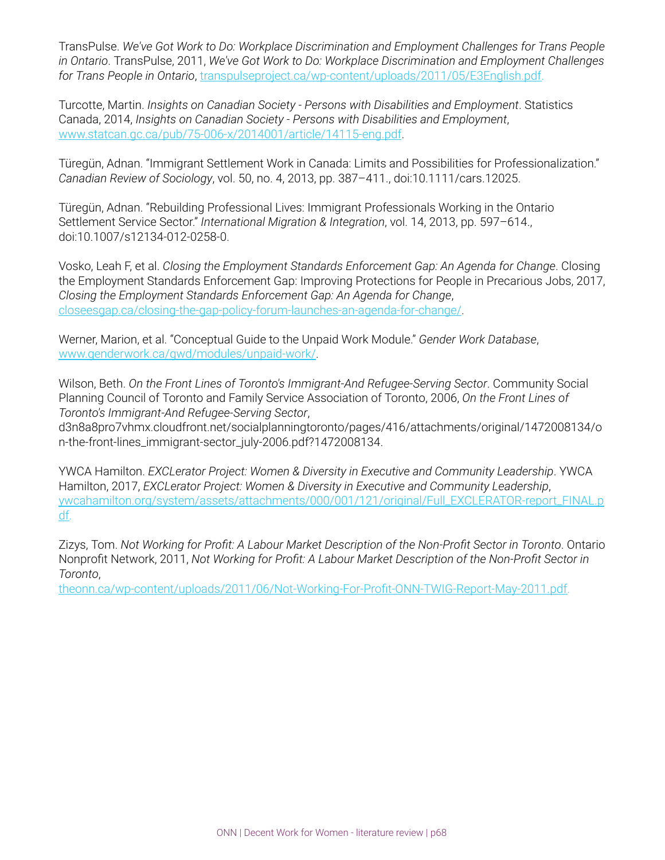TransPulse. *We've Got Work to Do: Workplace Discrimination and Employment Challenges for Trans People in Ontario*. TransPulse, 2011, *We've Got Work to Do: Workplace Discrimination and Employment Challenges for Trans People in Ontario*, [transpulseproject.ca/wp-content/uploads/2011/05/E3English.pdf.](http://transpulseproject.ca/wp-content/uploads/2011/05/E3English.pdf)

Turcotte, Martin. *Insights on Canadian Society - Persons with Disabilities and Employment*. Statistics Canada, 2014, *Insights on Canadian Society - Persons with Disabilities and Employment*, [www.statcan.gc.ca/pub/75-006-x/2014001/article/14115-eng.pdf.](http://www.statcan.gc.ca/pub/75-006-x/2014001/article/14115-eng.pdf)

Türegün, Adnan. "Immigrant Settlement Work in Canada: Limits and Possibilities for Professionalization." *Canadian Review of Sociology*, vol. 50, no. 4, 2013, pp. 387–411., doi:10.1111/cars.12025.

Türegün, Adnan. "Rebuilding Professional Lives: Immigrant Professionals Working in the Ontario Settlement Service Sector." *International Migration & Integration*, vol. 14, 2013, pp. 597–614., doi:10.1007/s12134-012-0258-0.

Vosko, Leah F, et al. *Closing the Employment Standards Enforcement Gap: An Agenda for Change*. Closing the Employment Standards Enforcement Gap: Improving Protections for People in Precarious Jobs, 2017, *Closing the Employment Standards Enforcement Gap: An Agenda for Change*, [closeesgap.ca/closing-the-gap-policy-forum-launches-an-agenda-for-change/](http://closeesgap.ca/closing-the-gap-policy-forum-launches-an-agenda-for-change/).

Werner, Marion, et al. "Conceptual Guide to the Unpaid Work Module." *Gender Work Database*, [www.genderwork.ca/gwd/modules/unpaid-work/.](http://www.genderwork.ca/gwd/modules/unpaid-work/)

Wilson, Beth. *On the Front Lines of Toronto's Immigrant-And Refugee-Serving Sector*. Community Social Planning Council of Toronto and Family Service Association of Toronto, 2006, *On the Front Lines of Toronto's Immigrant-And Refugee-Serving Sector*,

d3n8a8pro7vhmx.cloudfront.net/socialplanningtoronto/pages/416/attachments/original/1472008134/o n-the-front-lines\_immigrant-sector\_july-2006.pdf?1472008134.

YWCA Hamilton. *EXCLerator Project: Women & Diversity in Executive and Community Leadership*. YWCA Hamilton, 2017, *EXCLerator Project: Women & Diversity in Executive and Community Leadership*, [ywcahamilton.org/system/assets/attachments/000/001/121/original/Full\\_EXCLERATOR-report\\_FINAL.p](http://ywcahamilton.org/system/assets/attachments/000/001/121/original/Full_EXCLERATOR-report_FINAL.pdf) [df.](http://ywcahamilton.org/system/assets/attachments/000/001/121/original/Full_EXCLERATOR-report_FINAL.pdf)

Zizys, Tom. *Not Working for Profit: A Labour Market Description of the Non-Profit Sector in Toronto*. Ontario Nonprofit Network, 2011, *Not Working for Profit: A Labour Market Description of the Non-Profit Sector in Toronto*,

[theonn.ca/wp-content/uploads/2011/06/Not-Working-For-Profit-ONN-TWIG-Report-May-2011.pdf.](http://theonn.ca/wp-content/uploads/2011/06/Not-Working-For-Profit-ONN-TWIG-Report-May-2011.pdf)